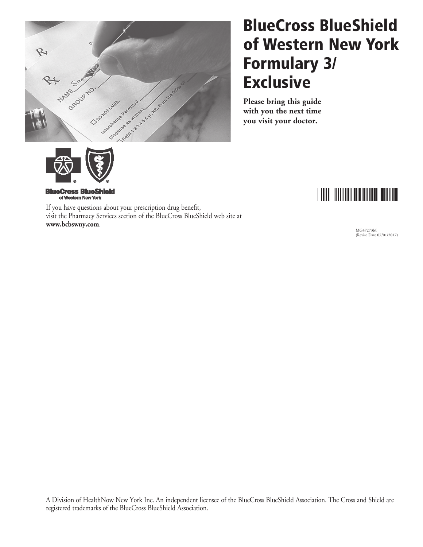

# BlueCross BlueShield of Western New York Formulary 3/ **Exclusive**

**Please bring this guide with you the next time you visit your doctor.**



**BlueCross BlueShield** of Western New York

If you have questions about your prescription drug benefit, visit the Pharmacy Services section of the BlueCross BlueShield web site at **www.bcbswny.com**.

MG47273M (Revise Date 07/01/2017)

A Division of HealthNow New York Inc. An independent licensee of the BlueCross BlueShield Association. The Cross and Shield are registered trademarks of the BlueCross BlueShield Association.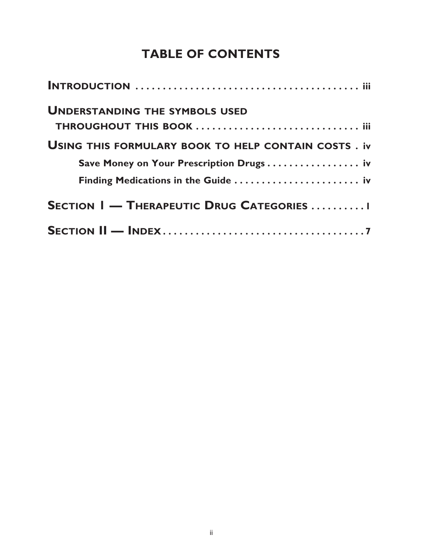## **table of contents**

| <b>UNDERSTANDING THE SYMBOLS USED</b>                      |
|------------------------------------------------------------|
|                                                            |
| <b>USING THIS FORMULARY BOOK TO HELP CONTAIN COSTS. iv</b> |
| Save Money on Your Prescription Drugs iv                   |
|                                                            |
| <b>SECTION I — THERAPEUTIC DRUG CATEGORIES I</b>           |
|                                                            |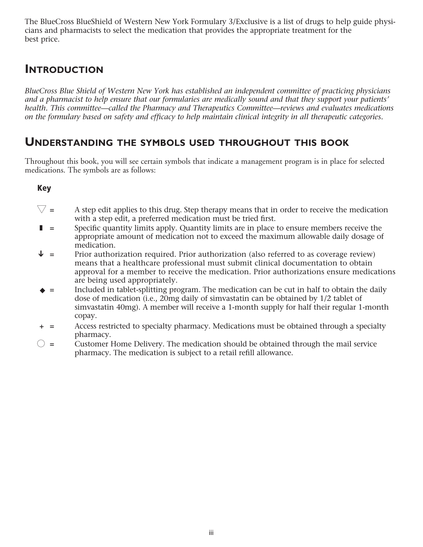The BlueCross BlueShield of Western New York Formulary 3/Exclusive is a list of drugs to help guide physicians and pharmacists to select the medication that provides the appropriate treatment for the best price.

## **Introduction**

*BlueCross Blue Shield of Western New York has established an independent committee of practicing physicians and a pharmacist to help ensure that our formularies are medically sound and that they support your patients' health. This committee—called the Pharmacy and Therapeutics Committee—reviews and evaluates medications on the formulary based on safety and efficacy to help maintain clinical integrity in all therapeutic categories.*

### **Understanding the symbols used throughout this book**

Throughout this book, you will see certain symbols that indicate a management program is in place for selected medications. The symbols are as follows:

#### Key

- $\nabla$  = A step edit applies to this drug. Step therapy means that in order to receive the medication with a step edit, a preferred medication must be tried first.
- $\blacksquare$  = Specific quantity limits apply. Quantity limits are in place to ensure members receive the appropriate amount of medication not to exceed the maximum allowable daily dosage of medication.
- $\blacklozenge$  = Prior authorization required. Prior authorization (also referred to as coverage review) means that a healthcare professional must submit clinical documentation to obtain approval for a member to receive the medication. Prior authorizations ensure medications are being used appropriately.
- $\bullet$  = Included in tablet-splitting program. The medication can be cut in half to obtain the daily dose of medication (i.e., 20mg daily of simvastatin can be obtained by 1/2 tablet of simvastatin 40mg). A member will receive a 1-month supply for half their regular 1-month copay.
- + = Access restricted to specialty pharmacy. Medications must be obtained through a specialty pharmacy.
- $\bigcirc$  = Customer Home Delivery. The medication should be obtained through the mail service pharmacy. The medication is subject to a retail refill allowance.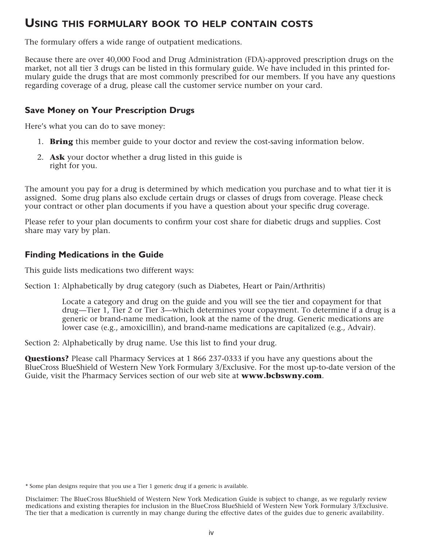## **Using this formulary book to help contain costs**

The formulary offers a wide range of outpatient medications.

Because there are over 40,000 Food and Drug Administration (FDA)-approved prescription drugs on the market, not all tier 3 drugs can be listed in this formulary guide. We have included in this printed formulary guide the drugs that are most commonly prescribed for our members. If you have any questions regarding coverage of a drug, please call the customer service number on your card.

#### **Save Money on Your Prescription Drugs**

Here's what you can do to save money:

- 1. **Bring** this member guide to your doctor and review the cost-saving information below.
- 2. **Ask** your doctor whether a drug listed in this guide is right for you.

The amount you pay for a drug is determined by which medication you purchase and to what tier it is assigned. Some drug plans also exclude certain drugs or classes of drugs from coverage. Please check your contract or other plan documents if you have a question about your specific drug coverage.

Please refer to your plan documents to confirm your cost share for diabetic drugs and supplies. Cost share may vary by plan.

#### **Finding Medications in the Guide**

This guide lists medications two different ways:

Section 1: Alphabetically by drug category (such as Diabetes, Heart or Pain/Arthritis)

 Locate a category and drug on the guide and you will see the tier and copayment for that drug—Tier 1, Tier 2 or Tier 3—which determines your copayment. To determine if a drug is a generic or brand-name medication, look at the name of the drug. Generic medications are lower case (e.g., amoxicillin), and brand-name medications are capitalized (e.g., Advair).

Section 2: Alphabetically by drug name. Use this list to find your drug.

**Questions?** Please call Pharmacy Services at 1 866 237-0333 if you have any questions about the BlueCross BlueShield of Western New York Formulary 3/Exclusive. For the most up-to-date version of the Guide, visit the Pharmacy Services section of our web site at **www.bcbswny.com**.

<sup>\*</sup> Some plan designs require that you use a Tier 1 generic drug if a generic is available.

Disclaimer: The BlueCross BlueShield of Western New York Medication Guide is subject to change, as we regularly review medications and existing therapies for inclusion in the BlueCross BlueShield of Western New York Formulary 3/Exclusive. The tier that a medication is currently in may change during the effective dates of the guides due to generic availability.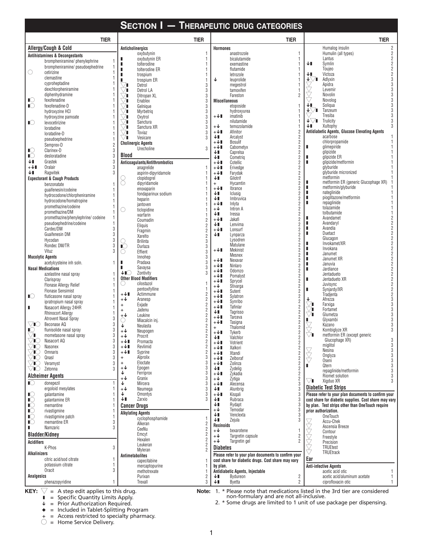|                              |                                                             |                                                 |                                              | <b>SECTION I - THERAPEUTIC DRUG CATEGORIES</b> |                               |                                                     |                                  |                      |                                                                                                           |  |
|------------------------------|-------------------------------------------------------------|-------------------------------------------------|----------------------------------------------|------------------------------------------------|-------------------------------|-----------------------------------------------------|----------------------------------|----------------------|-----------------------------------------------------------------------------------------------------------|--|
|                              | <b>TIER</b>                                                 |                                                 |                                              | <b>TIER</b>                                    |                               |                                                     | <b>TIER</b>                      |                      | <b>TIER</b>                                                                                               |  |
|                              | Allergy/Cough & Cold                                        |                                                 | <b>Anticholinergics</b>                      |                                                | <b>Hormones</b>               |                                                     |                                  |                      | $\overline{2}$<br>Humalog insulin                                                                         |  |
|                              | <b>Antihistamines &amp; Decongestants</b>                   |                                                 | oxybutynin                                   |                                                |                               | anastrozole                                         |                                  |                      | $\overline{2}$<br>Humulin (all types)<br>$\overline{\mathbf{2}}$                                          |  |
|                              | brompheniramine/phenylephrine                               | ш<br>ı                                          | oxybutynin ER<br>tolterodine                 | 1<br>1                                         |                               | bicalutamide<br>exemastine                          |                                  | ↓∎                   | Lantus<br>$\overline{\mathbf{2}}$<br>Symlin                                                               |  |
| $\bigcirc$                   | brompheniramine/ pseudoephedrine<br>cetirizine              | п                                               | tolterodine ER                               |                                                |                               | flutamide                                           |                                  |                      | $\overline{\mathbf{2}}$<br>Toujeo                                                                         |  |
|                              | clemastine                                                  | ш                                               | trospium                                     | 1                                              | ↓                             | letrozole                                           |                                  | ↓∎<br>+∆∎            | $\overline{\mathbf{2}}$<br>Victoza<br>3<br>Adlyxin                                                        |  |
|                              | cyproheptadine                                              | ٠<br>∨∎                                         | trospium ER<br>Detrol                        | 1<br>3                                         |                               | leuprolide<br>megestrol                             |                                  |                      | 3<br>Apidra                                                                                               |  |
|                              | dexchlorpheniramine                                         | ∨∎                                              | Detrol LA                                    | 3                                              |                               | tamoxifen                                           |                                  |                      | 3<br>Levemir                                                                                              |  |
|                              | diphenhydramine<br>fexofenadine                             | $\vee$ i                                        | Ditropan XL                                  | 3                                              |                               | Fareston                                            | $\overline{2}$                   |                      | 3<br>Novolin<br>3<br>Novolog                                                                              |  |
| $\mathbb{C}$<br>$\mathbb{I}$ | fexofenadine-D                                              | ▽∎<br>∨∎                                        | Enablex<br>Gelnique                          | 3<br>$\sqrt{3}$                                | <b>Miscellaneous</b>          | etoposide                                           |                                  | ↓∎                   | 3<br>Soliqua                                                                                              |  |
|                              | hydroxyzine HCI                                             | $\vee$ i                                        | Myrbetrig                                    | 3                                              |                               | hydroxyurea                                         |                                  | ↓∀∎                  | 3<br>Tanzeum                                                                                              |  |
|                              | hydroxyzine pamoate                                         | ∨∎                                              | Oxytrol                                      | 3                                              | $+\sqrt{1}$                   | imatinib                                            |                                  | ∔∀∎                  | 3<br>Tresiba<br>Trulicity                                                                                 |  |
| $\mathbb{I}$                 | levocetirizine                                              | ∨∎<br>∨∎                                        | Sanctura<br>Sanctura XR                      | 3<br>$\sqrt{3}$                                | $+\mathbf{V}$                 | nilutamide<br>temozolamide                          |                                  | ΨI                   | Xultophy                                                                                                  |  |
|                              | loratadine<br>loratadine-D                                  | ∨∎                                              | Toviaz                                       | 3                                              | $+\sqrt{1}$                   | Afinitor                                            | $\overline{2}$                   |                      | Antidiabetic Agents, Glucose Elevating Agents                                                             |  |
|                              | pseudoephedrine                                             | ∨∎                                              | Vesicare                                     | 3                                              | ↓∎                            | Arcalyst                                            | $\overline{2}$                   |                      | acarbose                                                                                                  |  |
|                              | Semprex-D<br>$\overline{2}$                                 |                                                 | <b>Cholinergic Agents</b>                    |                                                | $+\sqrt{1}$<br>$+\sqrt{1}$    | <b>Bosulif</b><br>Cabometyx                         | $\overline{2}$<br>2              | п                    | chlorpropamide<br>glimepiride                                                                             |  |
| $\mathbb{I}$                 | Clarinex-D<br>3                                             |                                                 | Urecholine                                   | 3                                              | ↓∎                            | Caprelsa                                            | $\overline{2}$                   |                      | glipizide                                                                                                 |  |
| $\mathbb{I}$                 | desloratadine<br>3                                          | Blood                                           |                                              |                                                | ↓∎                            | Cometrig                                            | $\overline{2}$                   | п                    | glipizide ER                                                                                              |  |
| ↓∎<br>$+\sqrt{1}$            | Grastek<br>Oralair                                          |                                                 | Anticoagulants/Antithrombotics<br>anagrelide |                                                | $+\sqrt{1}$<br>$+\sqrt{1}$    | Cotellic<br>Erivedge                                | $\overline{2}$<br>$\overline{2}$ | п                    | glipizide/metformin<br>glyburide                                                                          |  |
| ↓∎                           | Ragwitek<br>3                                               |                                                 | aspirin-dipyridamole                         |                                                | $+\sqrt{1}$                   | Farydak                                             | $\overline{2}$                   |                      | glyburide micronized                                                                                      |  |
|                              | <b>Expectorant &amp; Cough Products</b>                     | 8                                               | clopidogrel                                  |                                                | ↓∎                            | Gilotrif                                            | $\overline{2}$                   |                      | metformin                                                                                                 |  |
|                              | benzonatate                                                 |                                                 | dipyridamole                                 |                                                | $\ddot{}$<br>$+\sqrt{1}$      | Hycamtin                                            | $\overline{2}$<br>$\overline{2}$ | п<br>ш               | metformin ER (generic Glucophage XR)<br>metformin/glyburide                                               |  |
|                              | quaifenesin/codeine                                         |                                                 | enoxaparin<br>fondaparinux sodium            |                                                | ↓∎                            | Ibrance<br>Iclusig                                  | $\overline{2}$                   | п                    | nateglinide                                                                                               |  |
|                              | hydrocodone/chlorpheniramine<br>hydrocodone/homatropine     |                                                 | heparin                                      |                                                | ↓∎                            | Imbruvica                                           | $\overline{2}$                   | п                    | pioglitazone/metformin                                                                                    |  |
|                              | promethazine/codeine                                        |                                                 | jantoven                                     |                                                | $+\sqrt{1}$                   | Inlyta                                              | $\overline{2}$                   | п                    | repaglinide<br>tolazamide                                                                                 |  |
|                              | promethazine/DM                                             | O                                               | ticlopidine<br>warfarin                      |                                                | $+\mathbf{\downarrow}$<br>↓∎  | Intron A<br>Iressa                                  | $\overline{2}$<br>$\overline{2}$ |                      | tolbutamide                                                                                               |  |
|                              | promethazine/phenylephrine/codeine                          |                                                 | Coumadin                                     | $\overline{c}$                                 | $+\sqrt{1}$                   | Jakafi                                              | $\overline{2}$                   |                      | $\overline{c}$<br>Avandamet                                                                               |  |
|                              | pseudoephedrine/codeine                                     |                                                 | Eliquis                                      | $\overline{c}$                                 | ↓∎                            | Lenvima                                             | 2                                | п<br>п               | $\overline{c}$<br>Avandaryl<br>2<br>Avandia                                                               |  |
|                              | Cardec/DM<br>3<br>Guaifenesin DM<br>3                       |                                                 | Fragmin                                      | $\sqrt{2}$                                     | +↓∎<br>↓∎                     | Lonsurf<br>Lynparza                                 | $\overline{2}$<br>$\overline{2}$ | п                    | $\overline{\mathbf{c}}$<br>Duetact                                                                        |  |
|                              | 3<br>Hycodan                                                |                                                 | Xarelto<br><b>Brilinta</b>                   | $\overline{2}$<br>3                            |                               | Lysodren                                            |                                  |                      | $\overline{\mathbf{2}}$<br>Glucagon                                                                       |  |
|                              | Rondec DM/TR                                                | $\blacksquare$                                  | Durlaza                                      | $\sqrt{3}$                                     |                               | Matulane                                            |                                  | п                    | $\frac{2}{2}$<br>Invokamet/XR<br>Invokana                                                                 |  |
|                              | Vituz                                                       | O                                               | Effient                                      | 3                                              | $+\sqrt{1}$                   | Mekinist<br>Mesnex                                  | $\overline{c}$                   | п                    | $\overline{\mathbf{2}}$<br>Janumet                                                                        |  |
| <b>Mucolytic Agents</b>      |                                                             |                                                 | Innohep                                      | 3                                              | +↓∎                           | Nexavar                                             | $\overline{2}$                   | п                    | $\overline{2}$<br>Janumet XR                                                                              |  |
|                              | acetylcysteine inh soln.<br><b>Nasal Medications</b>        | п<br>ш                                          | Pradaxa<br>Savaysa                           | 3<br>3                                         | $+\sqrt{1}$                   | Ninlaro                                             | $\overline{2}$                   | п<br>п               | $\overline{\mathbf{c}}$<br>Januvia<br>$\overline{\mathbf{c}}$                                             |  |
|                              | azelastine nasal spray                                      | ↓∎⊖                                             | Zontivity                                    |                                                | +↓∎                           | Odomzo                                              | $\overline{2}$                   |                      | Jardiance<br>$\overline{\mathbf{c}}$<br>Jentadueto                                                        |  |
|                              | Clarispray                                                  |                                                 | <b>Other Blood Modifiers</b>                 |                                                | +↓∎<br>+↓∎                    | Pomalyst<br>Sprycel                                 | 2<br>$\overline{2}$              |                      | 2<br>Jentadueto XR                                                                                        |  |
|                              | Flonase Allergy Relief                                      | O                                               | cilostazol                                   |                                                | $+\mathbf{V}$                 | Stivarga                                            |                                  |                      | 2<br>Juvisync                                                                                             |  |
|                              | <b>Flonase Sensimist</b>                                    | $+\sqrt{1}$                                     | pentoxifylline<br>Actimmune                  |                                                | +↓∎                           | Sutent                                              |                                  |                      | $\overline{\mathbf{c}}$<br>Synjardy/XR<br>2<br>Tradjenta                                                  |  |
| $\mathbb{I}$                 | fluticasone nasal spray<br>ipratropium nasal spray          | $+\sqrt{ }$                                     | Aranesp                                      | $\overline{c}$                                 | +↓∎<br>$+\sqrt{1}$            | Sylatron<br>Synribo                                 | $\overline{2}$                   | ↓                    | 3<br>Afrezza                                                                                              |  |
| ı                            | Nasacort Allergy 24HR                                       | $+$                                             | Exjade                                       | $\overline{2}$                                 | $+\sqrt{1}$                   | Tafinlar                                            |                                  | VI<br>⊽∎             | Farxiga<br>3<br>3                                                                                         |  |
|                              | <b>Rhinocort Allerav</b>                                    | $\ddot{}$<br>$+\sqrt{ }$                        | Jadenu<br>Leukine                            | 2<br>$\overline{\mathbf{c}}$                   | ↓∎                            | <b>Tagrisso</b>                                     | $\overline{2}$                   |                      | Fortamet<br>3<br>Glumetza                                                                                 |  |
|                              | <b>Atrovent Nasal Spray</b><br>3                            | C                                               | Miacalcin inj.                               | $\overline{2}$                                 | $+\sqrt{1}$<br>$+\sqrt{1}$    | Tarceva<br>Tasigna                                  | $\overline{2}$                   |                      | Glyxambi                                                                                                  |  |
| VIO                          | Beconase AQ<br>3                                            | ↓                                               | Neulasta                                     | $\overline{2}$                                 | ᆂ                             | Thalomid                                            |                                  |                      | 3<br>Kazano                                                                                               |  |
| ∎∪<br>$\vee$ i               | flunisolide nasal spray<br>3<br>3<br>mometasone nasal spray | $+\sqrt{ }$<br>$+\sqrt{ }$                      | Neupogen<br>Procrit                          | $\frac{2}{2}$                                  | $+\sqrt{1}$                   | Tykerb                                              | $\frac{2}{2}$                    | $\bigtriangledown$ l | Kombiglyze XR<br>3<br>metformin ER (except generic                                                        |  |
| ⁄∎⊜                          | Nasacort AQ                                                 | $+\sqrt{1}$                                     | Promacta                                     | $\sqrt{2}$                                     | ↓∎<br>+↓∎                     | Valchlor<br>Votrient                                | $\overline{2}$                   |                      | Glucophage XR)<br>3                                                                                       |  |
| ′∎⊜                          | Nasonex<br>3                                                | $+\sqrt{1}$                                     | Revlimid                                     | 2                                              | +↓∎                           | Xalkori                                             | $\overline{2}$                   |                      | 3<br>3<br>miglitol<br>Nesina                                                                              |  |
| ′∎( )                        | 3<br><b>Omnaris</b><br>Qnasl<br>3                           | $+\sqrt{1}$<br>$\begin{array}{c} + \end{array}$ | Syprine<br>Alprolix                          | 2<br>3                                         | +↓∎                           | Xtandi                                              | $\overline{c}$                   | 2<br>2<br>2          | $\overline{3}$<br>Onglyza                                                                                 |  |
| ′∎⊜<br>⁄∎C                   | Veramvst<br>3                                               | $\ddot{}$                                       | Eloctate                                     | 3                                              | $+\sqrt{1}$<br>$+\sqrt{1}$    | Zelboraf<br>Zolinza                                 | $\overline{c}$<br>$\overline{2}$ |                      | 3<br>Oseni                                                                                                |  |
| VIO                          | Zetonna<br>3                                                | $+\sqrt{ }$                                     | Epogen                                       | 3                                              | ↓∎                            | Zydelig                                             | $\overline{2}$                   |                      | $\overline{3}$<br>Qtern<br>3<br>repaglinide/metformin                                                     |  |
|                              | <b>Alzheimer Agents</b>                                     | ↓                                               | Ferriprox                                    | 3                                              | +↓∎                           | Zykadia                                             |                                  |                      | 3<br>Riomet solution                                                                                      |  |
| $\mathbb{C}$                 | donepezil                                                   | $+\sqrt{ }$<br>↓                                | Granix<br>Mircera                            | 3<br>3                                         | $+\mathbf{\downarrow}$<br>+↓∎ | Zytiga<br>Alecensa                                  |                                  | $\vee$ i             | Xigduo XR                                                                                                 |  |
|                              | ergoloid mesvlates                                          | $+\sqrt{ }$                                     | Neumega                                      | 3                                              | ↓∎                            | Alunbrig                                            |                                  |                      | <b>Diabetic Test Strips</b>                                                                               |  |
| $\mathbb{C}$                 | galantamine                                                 | ↓                                               | Omontys                                      | 3                                              | $+\sqrt{1}$                   | Kisgali                                             |                                  |                      | Please refer to your plan documents to confirm your                                                       |  |
| $\mathbb{I}$<br>$\mathbb{C}$ | galantamine ER<br>memantine                                 | ↓∎                                              | Zarxio                                       | 3                                              | ↓∎<br>↓∎                      | Rubraca<br>Rydapt                                   |                                  |                      | cost share for diabetic supplies. Cost share may vary<br>by plan. Test strips other than OneTouch require |  |
| $\mathbb{C}$                 | rivastigmine                                                |                                                 | <b>Cancer Drugs</b>                          |                                                | +↓                            | Temodar                                             |                                  |                      | prior authorization.                                                                                      |  |
| $\mathbb{I}$                 | rivastigmine patch                                          |                                                 | <b>Alkylating Agents</b><br>cyclophosphamide |                                                | ↓∎                            | Venclexta                                           |                                  |                      | OneTouch                                                                                                  |  |
| $\mathbb{I}$                 | memantine ER<br>3                                           |                                                 | Alkeran                                      |                                                | ↓∎<br>Rexinoids               | Zejula                                              |                                  |                      | Accu-Chek                                                                                                 |  |
| п                            | Namzaric<br>3                                               |                                                 | CeeNu                                        | $\frac{2}{2}$                                  | $+\mathsf{V}$                 | bexarotene                                          |                                  |                      | Ascensia Breeze<br>Contour                                                                                |  |
|                              | <b>Bladder/Kidney</b>                                       |                                                 | Emcyt                                        | $\overline{c}$                                 | +↓                            | Targretin capsule                                   | $\overline{c}$                   |                      | Freestyle                                                                                                 |  |
| Acidifiers                   |                                                             |                                                 | Hexalen<br>Leukeran                          | 2<br>$\overline{2}$                            | +↓                            | Targretin gel                                       | $\overline{2}$                   |                      | Precision                                                                                                 |  |
|                              | K-Phos<br>3                                                 |                                                 | Myleran                                      | $\overline{2}$                                 | <b>Diabetes</b>               |                                                     |                                  | KKKK                 | <b>TRUEtest</b><br>TRUEtrack                                                                              |  |
| <b>Alkalinizers</b>          | citric acid/sod citrate                                     |                                                 | Antimetabolites                              |                                                |                               | Please refer to your plan documents to confirm your |                                  | Ear                  |                                                                                                           |  |
|                              | potassium citrate                                           |                                                 | capecitabine                                 |                                                | by plan.                      | cost share for diabetic drugs. Cost share may vary  |                                  |                      |                                                                                                           |  |
|                              | Oracit<br>3                                                 |                                                 | mercaptopurine<br>methotrexate               | 1                                              |                               | Antidiabetic Agents, Injectable                     |                                  |                      | <b>Anti-infective Agents</b><br>acetic acid otic                                                          |  |
| <b>Analgesics</b>            |                                                             |                                                 | Purixan                                      | 2                                              | ↓∎                            | Bydureon                                            | $\frac{2}{2}$                    |                      | acetic acid/aluminum acetate                                                                              |  |
|                              | phenazopyridine                                             |                                                 | Trexall                                      | 3                                              | ↓∎                            | Byetta                                              |                                  |                      | ciprofloxacin otic<br>1                                                                                   |  |

 $\blacksquare$  = Specific Quantity Limits Apply.

 $\sqrt{\phantom{a}}$  = Prior Authorization Required.

 $\bullet$  = Included in Tablet-Splitting Program

+ = Access restricted to specialty pharmacy.

 $\bigcirc$  = Home Service Delivery.

\* Please note that medications listed in the 3rd tier are considered non-formulary and are not all-inclusive.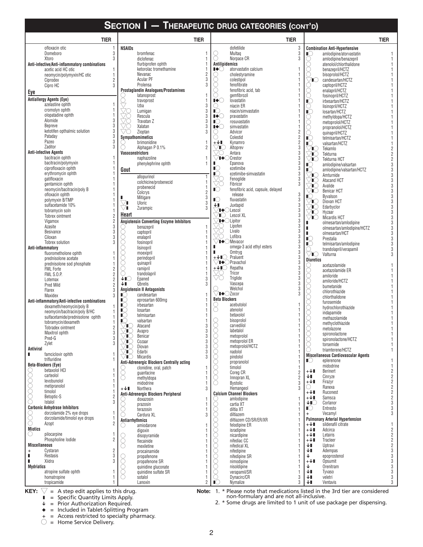| <b>SECTION I - THERAPEUTIC DRUG CATEGORIES (CONT'D)</b> |                                                                            |                 |                                                                                            |                                            |                                                                                                  |                     |  |  |  |  |  |  |
|---------------------------------------------------------|----------------------------------------------------------------------------|-----------------|--------------------------------------------------------------------------------------------|--------------------------------------------|--------------------------------------------------------------------------------------------------|---------------------|--|--|--|--|--|--|
| <b>TIER</b>                                             |                                                                            | <b>TIER</b>     | <b>TIER</b>                                                                                |                                            |                                                                                                  | <b>TIER</b>         |  |  |  |  |  |  |
| ofloxacin otic                                          | NSAIDs                                                                     |                 | dofetilide                                                                                 | $\frac{3}{3}$                              | <b>Combination Anti-Hypertensive</b>                                                             |                     |  |  |  |  |  |  |
| 3<br>Domeboro                                           | bromfenac                                                                  |                 | Multag                                                                                     |                                            | $\mathbb{Q}$<br>amlodipine/atorvastatin                                                          |                     |  |  |  |  |  |  |
| Xtoro<br>Anti-infective/Anti-inflammatory combinations  | 3<br>diclofenac<br>flurbiprofen ophth                                      |                 | Norpace CR<br><b>Antilipidemics</b>                                                        | 3                                          | Ŏ<br>amlodipine/benazepril<br>○<br>atenolol/chlorthalidone                                       |                     |  |  |  |  |  |  |
| acetic acid HC otic<br>1                                | ketorolac tromethamine                                                     |                 | $\bullet$<br>atorvastatin calcium                                                          |                                            | benazepril/HCTZ                                                                                  |                     |  |  |  |  |  |  |
| neomycin/polymyxin/HC otic<br>1                         | Nevanac                                                                    | $\overline{2}$  | 0<br>cholestyramine                                                                        |                                            | bisoprolol/HCTZ                                                                                  |                     |  |  |  |  |  |  |
| Ciprodex                                                | <b>Acular PF</b><br>$\overline{\mathbf{2}}$                                | 3               | O<br>colestipol                                                                            |                                            | candesartan/HCTZ<br>⁄∎( )                                                                        |                     |  |  |  |  |  |  |
| Cipro HC                                                | 3<br>Prolensa<br><b>Prostaglandin Analogues/Prostamines</b>                | 3               | O<br>fenofibrate<br>∩<br>fenofibric acid, tab                                              |                                            | captopril/HCTZ<br>enalapril/HCTZ                                                                 |                     |  |  |  |  |  |  |
| Eye                                                     | latanoprost                                                                |                 | gemfibrozil                                                                                |                                            | 8<br>fosinopril/HCTZ                                                                             |                     |  |  |  |  |  |  |
| <b>Antiallergy Agents (Eye)</b>                         | ę<br>travoprost                                                            |                 | ∎∙⊖<br>lovastatin                                                                          |                                            | $\check{\mathbb{C}}$<br>irbesartan/HCTZ                                                          |                     |  |  |  |  |  |  |
| azelastine ophth<br>cromolyn ophth                      | Izba<br>Lumigan                                                            | 3<br>3          | niacin ER<br>( )<br>$\overline{C}$                                                         |                                            | $\frac{1}{\sqrt{2}}$<br>lisinopril/HCTZ                                                          |                     |  |  |  |  |  |  |
| olopatadine ophth                                       | ŽŞ<br>Rescula                                                              | 3               | niacin/simvastatin<br>I♦C<br>pravastatin                                                   |                                            | losartan/HCTZ<br>methyldopa/HCTZ                                                                 |                     |  |  |  |  |  |  |
| 3<br>Alomide                                            | <u>70</u><br>Travatan Z                                                    | 3               | $\mathbb{C}$<br>rosuvastatin                                                               |                                            | 8<br>8<br>metoprolol/HCTZ                                                                        |                     |  |  |  |  |  |  |
| <b>Bepreve</b>                                          | 3<br>Xalatan<br>3                                                          | 3               | ∎∙⊖<br>simvastatin                                                                         |                                            | propranolol/HCTZ                                                                                 |                     |  |  |  |  |  |  |
| ketotifen opthalmic solution<br>3<br>Pataday            | VC<br>Zioptan<br>Sympathomimetics                                          | 3               | Advicor<br>U<br>Colestid<br>0                                                              | 2                                          | quinapril/HCTZ<br>ĬĆ                                                                             |                     |  |  |  |  |  |  |
| Pazeo                                                   | 3<br>brimonidine                                                           |                 | $+\sqrt{1}$<br>Kynamro                                                                     | $\begin{array}{c} 2 \\ 2 \\ 3 \end{array}$ | telmisartan/HCTZ<br>ৈ<br>valsartan/HCTZ                                                          |                     |  |  |  |  |  |  |
| Zaditor<br>3                                            | Alphagan P 0.1%                                                            | $\overline{2}$  | VC<br>Altoprev                                                                             |                                            | ⁄∎C<br>Tekamlo                                                                                   |                     |  |  |  |  |  |  |
| <b>Anti-infective Agents</b>                            | <b>Vasoconstrictors</b>                                                    |                 | /0<br>Antara                                                                               | 3                                          | 'IC<br>Tekturna                                                                                  |                     |  |  |  |  |  |  |
| bacitracin ophth<br>bacitracin/polymyxin                | naphazoline<br>phenylephrine ophth                                         | $\mathbf{1}$    | $\bigtriangledown$ I $\blacklozenge$ $\bigcirc$ Crestor<br>Epanova                         | 3<br>3                                     | 'IO<br>Tekturna HCT                                                                              |                     |  |  |  |  |  |  |
| ciprofloxacin ophth                                     | Gout                                                                       |                 | $\mathbb{R}$ )<br>ezetimibe                                                                | 3                                          | $\mathbb{I}$ $\circlearrowright$<br>amlodipine/valsartan<br>$\circ$<br>amlodipine/valsartan/HCTZ | 3                   |  |  |  |  |  |  |
| erythromycin ophth                                      | allopurinol                                                                |                 | ∎⊜<br>ezetimibe-simvastatin                                                                | 3                                          | 'N<br>Amturnide                                                                                  |                     |  |  |  |  |  |  |
| gatifloxacin                                            | colchicine/probenecid                                                      |                 | X<br>Fenoglide                                                                             | 3                                          | 'IO<br>Atacand HCT                                                                               |                     |  |  |  |  |  |  |
| gentamicin ophth<br>neomycin/bacitracin/poly B          | probenecid                                                                 |                 | Fibricor<br>$\mathbb{I}$<br>fenofibric acid, capsule, delayed                              | 3                                          | 'O<br>Avalide                                                                                    | 3                   |  |  |  |  |  |  |
| ofloxacin ophth                                         | Colcrys                                                                    | $\overline{2}$  | release                                                                                    | 3                                          | 'O<br><b>Benicar HCT</b><br>Byvalson                                                             | 3<br>3              |  |  |  |  |  |  |
| polymyxin B/TMP                                         | Mitigare<br><b>Uloric</b><br>∕∎                                            | 3<br>3          | $\mathbb{I} \bigcirc$<br>fluvastatin                                                       | 3                                          | 'IO<br>Diovan HCT                                                                                | 3                   |  |  |  |  |  |  |
| sulfacetamide 10%                                       | ▽∎<br>Zurampic                                                             | $\overline{3}$  | ↓∎<br>Juxtapid                                                                             | 3                                          | 'IO<br>Edarbyclor                                                                                | 3                   |  |  |  |  |  |  |
| tobramycin soln<br>Tobrex ointment<br>2                 | Heart                                                                      |                 | $\bigcirc$ Lescol<br>′∎⊜<br>Lescol XL                                                      | 3<br>3                                     | TC.<br>Hyzaar                                                                                    |                     |  |  |  |  |  |  |
| $\overline{2}$<br>Vigamox                               | <b>Angiotensin Converting Enzyme Inhibitors</b>                            |                 | <b>I</b> ◆ Lipitor                                                                         | 3                                          | ′∎∩<br>Micardis HCT<br>olmesartan/amlodipine                                                     | 3                   |  |  |  |  |  |  |
| Azasite                                                 | 3<br>benazepril                                                            |                 | Lipofen<br>/(  )                                                                           | 3                                          | olmesartan/amlodipine/HCTZ                                                                       | 3                   |  |  |  |  |  |  |
| <b>Besivance</b>                                        | 3<br>captopril<br>$^{)}$                                                   |                 | Livalo                                                                                     | 3<br>3                                     | olmesartan/HCT                                                                                   |                     |  |  |  |  |  |  |
| 3<br>Ciloxan<br>Tobrex solution                         | enalapril<br>3<br>fosinopril                                               |                 | Lofibra<br>$\nabla$ I $\triangle$ Mevacor                                                  | 3                                          | $\mathbb{C}$<br>Prestalia                                                                        |                     |  |  |  |  |  |  |
| Anti-inflammatory                                       | lisinopril                                                                 |                 | omega-3 acid ethyl esters                                                                  | 3                                          | $\mathbb{C}$<br>telmisartan/amlodipine<br>trandolapril/verapamil                                 |                     |  |  |  |  |  |  |
| fluorometholone ophth                                   | moexipril                                                                  |                 | Omtryg                                                                                     | 3                                          | VN<br>Valturna                                                                                   |                     |  |  |  |  |  |  |
| prednisolone acetate                                    | perindopril                                                                |                 | $+\bigtriangledown$ Praluent<br>$\bigtriangledown$ I $\bigtriangleup$ $\bigcirc$ Pravachol | 3<br>$\sqrt{3}$                            | <b>Diuretics</b>                                                                                 |                     |  |  |  |  |  |  |
| prednisolone sod phosphate<br>1<br><b>FML Forte</b>     | quinapril<br>O<br>ramipril<br>2                                            |                 | +↓∎⊜<br>Repatha                                                                            | 3                                          | acetazolamide<br>U                                                                               |                     |  |  |  |  |  |  |
| <b>FML S.O.P.</b><br>$\overline{2}$                     | ∩<br>trandolapril                                                          |                 | Tricor                                                                                     | 3                                          | oooo<br>Q<br>acetazolamide ER<br>amiloride                                                       |                     |  |  |  |  |  |  |
| Lotemax                                                 | ∔∎⊖<br>Epaned<br>$\overline{2}$                                            | 3               | Triglide                                                                                   | 3                                          | amiloride/HCTZ                                                                                   |                     |  |  |  |  |  |  |
| Pred Mild                                               | ↓∎<br><b>Qbrelis</b><br>$\overline{2}$                                     | 3               | Vascepa<br>Welchol                                                                         | 3<br>3                                     | bumetanide                                                                                       |                     |  |  |  |  |  |  |
| Flarex<br>Maxidex                                       | <b>Angiotensin II Antagonists</b><br>3<br>$\mathbb{R}$<br>candesartan<br>3 |                 | $\vee$ I $\bigcirc$ Zocor                                                                  | 3                                          | chlorothiazide                                                                                   |                     |  |  |  |  |  |  |
| Anti-inflammatory/Anti-infective combinations           | ∎⊖<br>eprosartan 600mg                                                     |                 | <b>Beta Blockers</b>                                                                       |                                            | chlorthalidone<br>furosemide                                                                     |                     |  |  |  |  |  |  |
| dexameth/neomycin/poly B                                | $\mathbb{R}$<br>irbesartan                                                 |                 | acebutolol                                                                                 |                                            | hydrochlorothiazide                                                                              |                     |  |  |  |  |  |  |
| neomycin/bacitracin/poly B/HC                           | IC)<br>losartan<br>telmisartan                                             |                 | O<br>atenolol<br>betaxolol                                                                 |                                            | 8<br>indapamide                                                                                  |                     |  |  |  |  |  |  |
| sulfacetamide/prednisolone ophth<br>1                   | $\mathbb{R}$ .<br>IC)<br>valsartan                                         |                 | O<br>bisoprolol                                                                            |                                            | methazolamide                                                                                    |                     |  |  |  |  |  |  |
| tobramycin/dexameth<br>Tobradex ointment                | Atacand<br>'IU<br>2                                                        | 3               | ∩<br>carvedilol                                                                            |                                            | methyclothiazide                                                                                 |                     |  |  |  |  |  |  |
| Maxitrol ophth                                          | Avapro<br>TO.<br>3                                                         | $\sqrt{3}$      | labetalol<br>8                                                                             |                                            | metolazone<br>spironolactone                                                                     |                     |  |  |  |  |  |  |
| Pred-G                                                  | TO.<br>Benicar<br>3<br>TO.<br>Cozaar                                       | $\sqrt{3}$<br>3 | metoprolol<br>metoprolol ER                                                                |                                            | 8<br>spironolactone/HCTZ                                                                         |                     |  |  |  |  |  |  |
| Zylet                                                   | 3<br>Diovan<br>TO.                                                         | 3               | metoprolol/HCTZ                                                                            |                                            | O<br>torsemide                                                                                   |                     |  |  |  |  |  |  |
| <b>Antiviral</b><br>famciclovir ophth                   | Edarbi<br>TO.                                                              | 3               | nadolol                                                                                    |                                            | O<br>triamterene/HCTZ<br><b>Miscellaneous Cardiovascular Agents</b>                              |                     |  |  |  |  |  |  |
| trifluridine                                            | ′∎(∷<br><b>Micardis</b>                                                    | 3               | pindolol                                                                                   |                                            | $\mathbb{I}(\mathbb{R})$<br>eplerenone                                                           |                     |  |  |  |  |  |  |
| <b>Beta-Blockers (Eye)</b>                              | <b>Anti-Adrenergic Blockers Centrally acting</b><br>clonidine, oral, patch |                 | propranolol<br>timolol                                                                     |                                            | midodrine                                                                                        |                     |  |  |  |  |  |  |
| betaxolol HCI<br>◡                                      | quanfacine                                                                 |                 | Coreg CR                                                                                   | 2                                          | Berinert<br>+↓∎                                                                                  | $\overline{c}$      |  |  |  |  |  |  |
| carteolol<br>levobunolol                                | methyldopa                                                                 |                 | Innopran XL                                                                                | 2                                          | ↓∎<br>Cinryze                                                                                    | $\frac{2}{2}$       |  |  |  |  |  |  |
| metipranolol                                            | midodrine<br>$+\sqrt{1}$<br>Northera                                       | 3               | <b>Bystolic</b><br>Hemangeol                                                               | 3<br>3                                     | +↓∎<br>Firazyr<br>Ranexa<br>U                                                                    | $\overline{2}$      |  |  |  |  |  |  |
| 00000<br>0<br>timolol                                   | Anti-Adrenergic Blockers Peripheral                                        |                 | <b>Calcium Channel Blockers</b>                                                            |                                            | +↓∎<br>Ruconest                                                                                  | $\frac{2}{2}$       |  |  |  |  |  |  |
| Betoptic-S                                              | doxazosin<br>3                                                             |                 | amlodipine                                                                                 |                                            | +↓∎<br>Samsca                                                                                    |                     |  |  |  |  |  |  |
| Istalol<br><b>Carbonic Anhydrase Inhibitors</b>         | prazosin                                                                   |                 | cartia XT                                                                                  |                                            | ↓∎⊜<br>Corlanor<br>$\mathbb{C}$<br>Entresto                                                      | 3<br>3              |  |  |  |  |  |  |
| dorzolamide 2% eye drops<br>U                           | terazosin<br>Cardura XL                                                    | 3               | O<br>diltia XT<br>diltiazem<br>0                                                           |                                            | Vecamyl<br>$+$                                                                                   | 3                   |  |  |  |  |  |  |
| О<br>dorzolamide/timolol eye drops                      | Antiarrhythmics                                                            |                 | diltiazem CD/SR/ER/XR                                                                      |                                            | <b>Pulmonary Arterial Hypertension</b>                                                           |                     |  |  |  |  |  |  |
| O<br>Azopt                                              | amiodarone                                                                 |                 | felodipine ER                                                                              |                                            | +↓∎<br>sildenafil citrate                                                                        |                     |  |  |  |  |  |  |
| <b>Miotics</b><br>pilocarpine<br>U                      | digoxin                                                                    |                 | isradipine                                                                                 |                                            | +↓∎<br>Adcirca                                                                                   | $\overline{c}$      |  |  |  |  |  |  |
| Phospholine lodide                                      | disopyramide<br>2<br>flecainide                                            |                 | nicardipine<br>Ŏ<br>nifediac CC                                                            |                                            | +↓∎<br>Letairis<br>+↓∎<br>Tracleer                                                               | $\frac{2}{2}$       |  |  |  |  |  |  |
| <b>Miscellaneous</b>                                    | mexiletine                                                                 |                 | nifedical XL<br>()                                                                         |                                            | ↓∎<br>Uptravi                                                                                    | $\overline{c}$      |  |  |  |  |  |  |
| Cystaran<br>+                                           | 2<br>procainamide                                                          |                 | nifedipine                                                                                 |                                            | ↓∎<br>Adempas                                                                                    | 3                   |  |  |  |  |  |  |
| Restasis<br>п                                           | 3<br>propafenone                                                           |                 | nifedipine SR                                                                              |                                            | ↓<br>epoprostenol                                                                                | 3                   |  |  |  |  |  |  |
| Xiidra<br>п<br><b>Mydriatics</b>                        | propafenone SR<br>quinidine gluconate                                      |                 | nimodipine<br>nisoldipine                                                                  |                                            | +↓∎<br>Opsumit<br>↓<br>Orenitram                                                                 | $\mathfrak{z}$<br>3 |  |  |  |  |  |  |
| atropine sulfate ophth                                  | quinidine sulfate SR                                                       |                 | verapamil/SR                                                                               |                                            | ↓∎<br><b>Tyvaso</b>                                                                              | $\mathfrak{z}$      |  |  |  |  |  |  |
| homatropine                                             | sotalol                                                                    |                 | Dynacirc/CR<br>0                                                                           | 3                                          | ↓∎<br>veletri                                                                                    | 3                   |  |  |  |  |  |  |
| tropicamide                                             | Lanoxin                                                                    | 2               | $\mathbb{C}$<br>Nymalize                                                                   | 3                                          | ↓∎<br>Ventavis                                                                                   | 3                   |  |  |  |  |  |  |

 $\blacksquare$  = Specific Quantity Limits Apply.

 $\sqrt{\phantom{a}}$  = Prior Authorization Required.

 $\bullet$  = Included in Tablet-Splitting Program

+ = Access restricted to specialty pharmacy.

 $\bigcirc$  = Home Service Delivery.

\* Please note that medications listed in the 3rd tier are considered non-formulary and are not all-inclusive.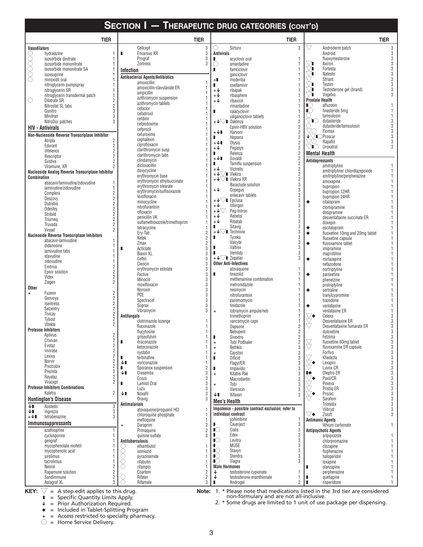|                                  | <b>TIER</b>                                                          |   | <b>TIER</b>                                         |                                  |                                                  |                                                     | <b>TIER</b>             |                             |                                                  | <b>TIER</b>    |
|----------------------------------|----------------------------------------------------------------------|---|-----------------------------------------------------|----------------------------------|--------------------------------------------------|-----------------------------------------------------|-------------------------|-----------------------------|--------------------------------------------------|----------------|
| Vasodilators                     |                                                                      |   | Cellcept                                            | 3                                | Ω                                                | Sirturo                                             | 3                       | $\bigtriangledown$          | Androderm patch                                  | 3              |
|                                  | hydralazine                                                          | п | Envarsus XR                                         | 3                                | <b>Antivirals</b>                                |                                                     |                         |                             | Android                                          | 3              |
|                                  | isosorbide dinitrate                                                 |   | Prograf                                             | 3                                | п                                                | acyclovir oral                                      | 1                       |                             | fluoxymesterone                                  | 3              |
|                                  | isosorbide mononitrate                                               |   | Zortress                                            | 3                                | $\circ$                                          | amantadine                                          | 1                       | ∨∎                          | Axiron                                           | 3              |
| 00000                            | isosorbide mononitrate SA<br>isoxsuprine                             |   | Infection                                           |                                  | ш                                                | famciclovir<br>ganciclovir                          |                         | V∎<br>∨∎                    | Fortesta<br>Natesto                              | 3<br>3         |
|                                  | minoxidil oral                                                       |   | <b>Antibacterial Agents/Antibiotics</b>             |                                  | $+$                                              | moderiba                                            |                         |                             | <b>Striant</b>                                   | 3              |
|                                  | nitroglycerin pumpspray                                              |   | amoxicillin<br>amoxicillin-clavulanate ER           |                                  | п                                                | oseltamivir                                         |                         | ∨∎                          | Testim                                           | 3              |
|                                  | nitroglycerin SR                                                     |   | ampicillin                                          |                                  | $+\sqrt{ }$                                      | ribapak                                             |                         | V∎                          | Testosterone gel (brand)                         | 3              |
| $\bigcirc$                       | nitroglycerin transdermal patch<br>$\overline{2}$<br>Dilatrate SR    |   | azithromycin suspension                             |                                  | $+\mathsf{\downarrow}$<br>$+\mathsf{\downarrow}$ | ribasphere                                          |                         | $\vee$ i<br>Prostate Health | Vogelxo                                          |                |
|                                  | $\overline{2}$<br>Nitrostat SL tabs                                  |   | azithromycin tablets                                |                                  |                                                  | ribavirin<br>rimantadine                            |                         | $\mathbb{C}$                | alfuzosin                                        |                |
|                                  | Gonitro<br>3                                                         |   | cefaclor<br>cefadroxil                              |                                  | п                                                | valacyclovir                                        |                         | $\mathbb{C}$                | finasteride 5mg                                  |                |
|                                  | 3<br>Minitran                                                        |   | cefdinir                                            |                                  |                                                  | valganciclovir tablets                              |                         |                             | tamsulosin                                       | 1              |
|                                  | NitroDur patches<br>3                                                |   | cefpodoxime                                         |                                  |                                                  | $+\sqrt{\sqrt{\ }}$ Daklinza<br>Epivir-HBV solution | $\overline{2}$<br>2     | VO                          | dutasteride<br>dutasteride/tamsulosin            | 3<br>3         |
|                                  | <b>HIV - Antivirals</b>                                              |   | cefprozil                                           |                                  | $+\sqrt{1}$                                      | Harvoni                                             | $\overline{2}$          | VC.                         | Flomax                                           | 3              |
|                                  | Non-Nucleoside Reverse Transcriptase Inhibitor                       |   | cefuroxime<br>cephalexin                            |                                  | ш                                                | Hepsera                                             | $\overline{\mathbf{2}}$ |                             | $\check{\mathbf{L}}$ $\Box$ Proscar              | 3              |
|                                  | 2<br>Atripla<br>$\overline{c}$<br>Edurant                            |   | ciprofloxacin                                       |                                  | $+\sqrt{1}$                                      | Olysio                                              | $\overline{2}$          | VO                          | Rapaflo                                          | 3              |
|                                  | $\overline{2}$<br>Intelence                                          |   | clarithromycin susp                                 |                                  | $+\mathbf{\downarrow}$                           | Pegasys                                             | 2<br>2                  | $\bigcirc$ i $\bigcirc$     | Uroxatral                                        |                |
|                                  | $\overline{2}$<br>Rescriptor                                         |   | clarithromycin tabs                                 |                                  | ш<br>$+\sqrt{1}$                                 | Relenza<br>Sovaldi                                  | $\overline{2}$          |                             | <b>Mental Health</b>                             |                |
|                                  | $\overline{2}$<br>Sustiva                                            |   | clindamycin<br>dicloxacillin                        |                                  | ш                                                | Tamiflu suspension                                  | $\overline{2}$          |                             | <b>Antidepressants</b><br>amitriptyline          |                |
|                                  | Viramune, XR<br>Nucleoside Analog Reverse Transcriptase Inhibitor    |   | doxycycline                                         |                                  | $+\mathbf{\downarrow}$                           | Victrelis                                           | $\overline{2}$          |                             | amitriptyline/chlordiazepoxide                   |                |
| Combination                      |                                                                      |   | erythromycin base                                   |                                  | $+\sqrt{\sqrt{ }}$ Viekira                       |                                                     | $\overline{2}$          |                             | amitriptyline/perphenazine                       |                |
|                                  | abacavir/lamivudine/zidovudine                                       |   | erythromycin ethylsuccinate                         |                                  |                                                  | $+\sqrt{\ }$ Viekira XR<br>Baraclude solution       | $\overline{2}$<br>3     |                             | amoxapine                                        |                |
|                                  | lamivudine/zidovudine<br>1                                           |   | erythromycin stearate<br>erythromycin/sulfisoxazole | 1                                | $+\mathsf{\downarrow}$                           | Copegus                                             | 3                       |                             | bupropion                                        |                |
|                                  | 2<br>Complera<br>$\overline{2}$                                      |   | levofloxacin                                        |                                  |                                                  | entecavir tablets                                   | 3                       |                             | bupropion 12HR<br>bupropion 24HR                 |                |
|                                  | Descovy<br>$\overline{2}$<br>Dutrebis                                |   | minocycline                                         |                                  |                                                  | $+\sqrt{\ }$ Epclusa                                | 3                       | ٠                           | citalopram                                       |                |
|                                  | $\overline{2}$<br>Odesfey                                            |   | nitrofurantoin                                      |                                  | $+\sqrt{ }$<br>$+\sqrt{\sqrt{ }}$                | Infergen<br>Peg-Intron                              | 3<br>3                  |                             | clomipramine                                     |                |
|                                  | $\overline{c}$<br>Stribild                                           |   | ofloxacin<br>penicillin VK                          |                                  | $+\mathsf{V}$                                    | Rebetol                                             | 3                       |                             | desipramine                                      |                |
|                                  | $\overline{c}$<br>Triumeg                                            |   | sulfamethoxazole/trimethoprim                       |                                  | $+\sqrt{ }$                                      | Ribatab                                             | 3                       |                             | desvenlafaxine succinate ER<br>doxepin           |                |
|                                  | $\overline{2}$<br>Truvada<br>$\overline{2}$<br>Viread                |   | tetracycline                                        |                                  | п                                                | Sitavig                                             | 3                       | ٠                           | escitalopram                                     |                |
|                                  | <b>Nucleoside Reverse Transcriptase Inhibitors</b>                   |   | Ery-Tab                                             | $\overline{c}$                   |                                                  | $+\sqrt{\smash[b]{\bigtriangledown}}$ Technivie     | 3<br>3                  | ٠                           | fluoxetine 10mg and 20mg tablet                  |                |
|                                  | abacavir-lamivudine                                                  |   | Ketek<br>Zmax                                       | $\overline{c}$<br>$\overline{2}$ | п                                                | Tyzeka<br>Valcyte                                   | 3                       |                             | fluoxetine capsule                               |                |
|                                  | didanosine                                                           | п | Acticlate                                           | 3                                | п                                                | Valtrex                                             | 3                       | ٠                           | fluvoxamine tablet<br>imipramine                 |                |
|                                  | lamivudine tabs                                                      |   | <b>Biaxin XL</b>                                    | 3                                | п                                                | Vemlidy                                             | 3                       |                             | maprotiline                                      |                |
|                                  | stavudine<br>zidovudine                                              |   | Ceftin                                              | 3                                | $+ \sqrt{\sqrt{ }} \blacksquare$ Zepatier        |                                                     | 3                       | ۰                           | mirtazapine                                      |                |
|                                  | $\overline{2}$<br>Emtriva                                            |   | Cleocin                                             | 3<br>3                           |                                                  | <b>Other Anti-Infectives</b><br>atovaquone          |                         |                             | nefazodone                                       |                |
|                                  | $\overline{2}$<br>Epivir solution                                    |   | erythromycin estolate<br>Factive                    | 3                                | п                                                | linezolid                                           |                         | ٠                           | nortriptyline<br>paroxetine                      |                |
|                                  | $\overline{2}$<br>Videx<br>$\overline{2}$                            |   | Minocin                                             | 3                                |                                                  | methenamine combination                             |                         |                             | phenelzine                                       |                |
| Other                            | Ziagen                                                               |   | moxifloxacin                                        | 3                                |                                                  | metronidazole                                       |                         |                             | protriptyline                                    |                |
| $\begin{array}{c} + \end{array}$ | $\overline{2}$<br>Fuzeon                                             |   | Noroxin<br>PCE                                      | 3<br>3                           |                                                  | neomycin<br>nitrofurantoin                          |                         | ۰                           | sertraline<br>tranylcypromine                    |                |
|                                  | $\overline{c}$<br>Genvoya                                            |   | Spectracef                                          | 3                                |                                                  | paromomycin                                         |                         |                             | trazodone                                        |                |
|                                  | $\overline{2}$<br>Isentress<br>$\overline{2}$                        |   | Suprax                                              | 3                                |                                                  | tinidazole                                          |                         | ٠                           | venlafaxine                                      |                |
|                                  | Selzentry<br>$\overline{2}$<br>Tivicay                               |   | Vibramycin                                          | 3                                | $\ddot{}$                                        | tobramycin ampule/neb                               |                         |                             | venlafaxine ER                                   |                |
|                                  | Tybost<br>$\overline{2}$                                             |   | Antifungals<br>clotrimazole lozenge                 |                                  |                                                  | trimethoprim<br>vancomycin caps                     |                         | ∨◆                          | Celexa<br>Desvenlafaxine ER                      | 3              |
|                                  | Vitekta<br>$\overline{2}$                                            |   | fluconazole                                         |                                  |                                                  | Dapsone                                             | $\overline{2}$          | Š                           | Desvenlafaxine fumarate ER                       | 3              |
|                                  | <b>Protease Inhibitors</b>                                           |   | flucytosine                                         | 1                                |                                                  | Nebupent                                            | 2                       |                             | duloxetine                                       | 3              |
|                                  | $\overline{2}$<br>Aptivus<br>Crixivan                                |   | griseofulvin                                        | 1                                | п                                                | Sivextro                                            | 2                       |                             | Fetzima                                          | 3              |
|                                  | $\frac{2}{2}$<br>Evotaz                                              | ı | itraconazole<br>ketoconazole                        | 1                                | $\bf +$                                          | Tobi Podhaler<br><b>Bethkis</b>                     | 2<br>3                  | $\breve\forall$             | fluoxetine 60mg tablet<br>fluvoxamine ER capsule | $\frac{3}{3}$  |
|                                  | $\overline{2}$<br>Invirase                                           |   | nystatin                                            |                                  | $\bf +$<br>$\ddot{}$                             | Cayston                                             | 3                       |                             | Forfivo                                          | $\sqrt{3}$     |
|                                  | Lexiva<br>$\overline{2}$                                             | ш | terbinafine                                         |                                  | п                                                | Dificid                                             | 3                       | V                           | Khedezla                                         | $\sqrt{3}$     |
|                                  | $\overline{2}$<br>Norvir<br>$\overline{2}$<br>Prezcobix              |   | ↓∎<br>voriconazole                                  |                                  |                                                  | Flagyl/ER                                           | 3                       | ⊻∙                          | Lexapro                                          | $\sqrt{3}$     |
|                                  | $\overline{2}$<br>Prezista                                           |   | Sporanox suspension<br>ш<br>↓∎<br>Cresemba          | $\frac{2}{3}$                    | п<br>$+$                                         | Impavido<br>Kitabis Pak                             | 3<br>3                  | ⋫                           | Luvox CR<br>Oleptro ER                           | $\sqrt{3}$     |
|                                  | $\overline{2}$<br>Reyataz                                            |   | Ecoza                                               | 3                                |                                                  | Macrodantin                                         | 3                       |                             | Paxil/CR                                         | $\frac{3}{3}$  |
|                                  | $\overline{2}$<br>Viracept                                           | п | Lamisil Oral                                        | 3                                | $\ddot{}$                                        | Tobi                                                | 3                       |                             | Pexeva                                           | $\frac{3}{3}$  |
|                                  | <b>Protease Inhibitors Combinations</b><br>$\overline{2}$<br>Kaletra |   | Luzu                                                | 3                                |                                                  | Vancocin                                            | 3                       |                             | Pristig ER                                       |                |
|                                  | <b>Huntington's Disease</b>                                          |   | ↓∎<br>Noxafil<br>Oravig                             | 3<br>3                           | Ψ∎                                               | Xifaxan                                             | 3                       |                             | Prozac<br>Sarafem                                | 3333           |
| ↓∎                               | 3<br>Austedo                                                         |   | <b>Antimalarials</b>                                |                                  | <b>Men's Health</b>                              |                                                     |                         |                             | Trintellix                                       |                |
| ↓∎                               | Ingrezza<br>3                                                        |   | atovaguone/proguanil HCI                            | 1                                |                                                  | Impotence - possible contract exclusion; refer to   |                         |                             | Viibryd                                          |                |
| $+\sqrt{1}$                      | 3<br>tetrabenazine                                                   |   | chloroquine phosphate                               |                                  |                                                  | individual contract                                 |                         | ▽◆                          | Zoloft                                           | $\mathfrak{z}$ |
|                                  | Immunosuppressants                                                   |   | mefloquine<br>Daraprim<br>$\ddot{}$                 | $\overline{c}$                   | п                                                | vohimbine<br>Caverject                              | 3                       |                             | <b>Antimanic Agents</b><br>lithium carbonate     | 1              |
|                                  | azathioprine                                                         |   | Primaguine                                          | $\overline{2}$                   | $\mathbb{I}$                                     | Cialis                                              | 3                       |                             | <b>Antipsychotic Agents</b>                      |                |
|                                  | cyclosporine                                                         |   | quinine sulfate                                     | 3                                | п.                                               | Edex                                                | 3                       |                             | aripiprazole                                     |                |
|                                  | gengraf                                                              |   | Antituberculosis                                    |                                  | $\mathbb{I}$                                     | Levitra                                             | 3                       |                             | chlorpromazine                                   |                |
|                                  | mycophenolate mofetil<br>mycophenolic acid                           |   | ethambutol<br>( )<br>isoniazid                      |                                  | п.<br>$\mathbb{I}$                               | <b>MUSE</b><br>Staxyn                               | 3<br>3                  |                             | clozapine<br>fluphenazine                        |                |
|                                  | sirolimus                                                            |   | Q<br>O<br>pyrazinamide                              |                                  | $\mathbb{I}$                                     | Stendra                                             | 3                       |                             | haloperidol                                      |                |
|                                  | tacrolimus                                                           |   | O<br>rifabutin                                      |                                  | $\mathbb{I}$                                     | Viagra                                              | 3                       |                             | loxapine                                         |                |
|                                  | Neoral                                                               |   | rifampin<br>0                                       |                                  | <b>Male Hormones</b>                             |                                                     |                         | п                           | olanzapine                                       |                |
|                                  | Rapamune solution<br>2<br>Sandimmune                                 |   | Coartem                                             | $\overline{c}$                   | ↓                                                | testosterone cypionate<br>testosterone enanthionate | 1                       |                             | perphenazine                                     | 1<br>1         |
|                                  | 2<br>3<br>Astagraf XL                                                |   | Rifater<br>Rifamate                                 | $\frac{2}{3}$                    | ı                                                | Androgel                                            | 2                       | ш<br>п                      | quetiapine<br>risperidone                        | 1              |

 $\bigvee$  = A step edit applies to this drug. **KEY:**  $\sqrt{ }$  = A step edit applies to this drug.  $\sqrt{ }$  **Note:** 1.

 $\blacksquare$  = Specific Quantity Limits Apply.

 $\sqrt{\phantom{a}}$  = Prior Authorization Required.

 $\bullet$  = Included in Tablet-Splitting Program

+ = Access restricted to specialty pharmacy.

 $\bigcirc$  = Home Service Delivery.

\* Please note that medications listed in the 3rd tier are considered non-formulary and are not all-inclusive.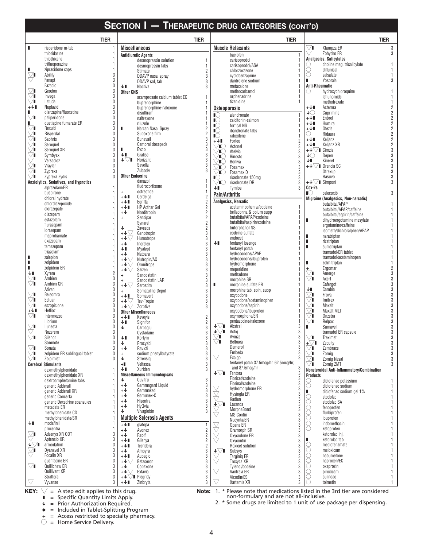|                                   |                                         | <b>TIER</b> |                                                    | <b>TIER</b>             |                                         |                                              | <b>TIER</b>           |                                                                                                                                                                                                                                                                                                                                                                                                                                                                    |                                                                      | <b>TIER</b>    |
|-----------------------------------|-----------------------------------------|-------------|----------------------------------------------------|-------------------------|-----------------------------------------|----------------------------------------------|-----------------------|--------------------------------------------------------------------------------------------------------------------------------------------------------------------------------------------------------------------------------------------------------------------------------------------------------------------------------------------------------------------------------------------------------------------------------------------------------------------|----------------------------------------------------------------------|----------------|
| п                                 | risperidone m-tab                       |             | <b>Miscellaneous</b>                               |                         |                                         | <b>Muscle Relaxants</b>                      |                       | ▽∎                                                                                                                                                                                                                                                                                                                                                                                                                                                                 | Xtampza ER                                                           | 3              |
|                                   | thioridazine                            |             | <b>Antidiuretic Agents</b>                         |                         |                                         | baclofen                                     | $\mathbf{1}$          |                                                                                                                                                                                                                                                                                                                                                                                                                                                                    | Zohydro ER                                                           | 3              |
|                                   | thiothixene                             |             | desmopressin solution                              | 1                       |                                         | carisoprodol                                 |                       |                                                                                                                                                                                                                                                                                                                                                                                                                                                                    | <b>Analgesics, Salicylates</b>                                       |                |
|                                   | trifluoperazine                         |             | desmopressin tabs                                  | 1                       |                                         | carisoprodol/ASA                             |                       |                                                                                                                                                                                                                                                                                                                                                                                                                                                                    | choline mag. trisalicylate                                           |                |
| $\bigtriangledown$ l              | ziprasidone caps<br>Abilify             | 3           | Stimate                                            | $\overline{2}$          |                                         | chlorzoxazone                                |                       | О                                                                                                                                                                                                                                                                                                                                                                                                                                                                  | diflunisal                                                           |                |
| $\bigtriangledown$                | Fanapt                                  | 3           | DDAVP nasal spray                                  | $\sqrt{3}$              |                                         | cyclobenzaprine<br>dantrolene sodium         |                       | O<br>п                                                                                                                                                                                                                                                                                                                                                                                                                                                             | salsalate<br>Yosprala                                                |                |
|                                   | Fazaclo                                 | 3           | DDAVP sol, tab<br>↓∎<br>Noctiva                    | 3<br>$\overline{3}$     |                                         | metaxalone                                   |                       | <b>Anti-Rheumatic</b>                                                                                                                                                                                                                                                                                                                                                                                                                                              |                                                                      |                |
| $\bigtriangledown$ i              | Geodon                                  | 3           | <b>Other CNS</b>                                   |                         |                                         | methocarbamol                                |                       | O                                                                                                                                                                                                                                                                                                                                                                                                                                                                  | hydroxychloroquine                                                   |                |
| $\bigtriangledown_{\blacksquare}$ | Invega                                  | 3           | acamprosate calcium tablet EC                      | 1                       |                                         | orphenadrine                                 |                       |                                                                                                                                                                                                                                                                                                                                                                                                                                                                    | leflunomide                                                          |                |
|                                   | Latuda                                  | 3           | buprenorphine                                      |                         |                                         | tizanidine                                   |                       |                                                                                                                                                                                                                                                                                                                                                                                                                                                                    | methotrexate                                                         |                |
| $+\sqrt{1}$                       | Nuplazid                                | 3           | buprenorphine-naloxone                             | 1                       | Osteoporosis                            |                                              |                       | +↓∎                                                                                                                                                                                                                                                                                                                                                                                                                                                                | Actemra                                                              |                |
| п<br>$\vee$ i                     | olanzapine/fluoxetine<br>paliperidone   | 3<br>3      | disulfiram<br>naltrexone                           |                         | $\mathbb{C}$                            | alendronate                                  |                       | ↓⊜<br>$+\sqrt{1}$                                                                                                                                                                                                                                                                                                                                                                                                                                                  | Cuprimine<br>Enbrel                                                  | 2              |
| п                                 | quetiapine fumarate ER                  | 3           | riluzole                                           |                         | $\mathbb{I}$                            | calcitonin-salmon                            |                       | $+\sqrt{1}$                                                                                                                                                                                                                                                                                                                                                                                                                                                        | Humira                                                               |                |
| ∨∎                                | Rexulti                                 | 3           | Narcan Nasal Spray<br>п                            |                         | $\mathbb{C}$<br>$\mathbb{I}^{\bigcirc}$ | fortical NS<br>ibandronate tabs              |                       | +↓∎                                                                                                                                                                                                                                                                                                                                                                                                                                                                | Otezla                                                               |                |
|                                   | Risperdal                               | 3           | Suboxone film                                      | $\frac{2}{2}$           | $\mathbb{I}$                            | raloxifene                                   |                       | O                                                                                                                                                                                                                                                                                                                                                                                                                                                                  | Ridaura                                                              | $\overline{2}$ |
| ∇                                 | Saphris                                 | 3           | <b>Bunavail</b>                                    | $\sqrt{3}$              | +↓∎                                     | Forteo                                       | 2                     | +↓∎                                                                                                                                                                                                                                                                                                                                                                                                                                                                | Xeljanz                                                              | $\overline{2}$ |
| ∕∎                                | Seroquel                                | 3           | Campral dosepack<br>Evzio                          | 3                       | Æ                                       | Actonel                                      | 3                     | +↓∎                                                                                                                                                                                                                                                                                                                                                                                                                                                                | Xeljanz XR                                                           |                |
| ∨∎<br>∨∎                          | Seroquel XR<br>Symbyax                  | 3<br>3      | Gralise<br>↓∎                                      | 3<br>$\sqrt{3}$         | Æ                                       | Atelvia                                      | 3                     | $+\bigvee\hspace{-0.15cm}\bigvee\hspace{-0.15cm}\bigvee\hspace{-0.15cm}\bigvee\hspace{-0.15cm}\bigvee\hspace{-0.15cm}\bigvee\hspace{-0.15cm}\bigvee\hspace{-0.15cm}\bigvee\hspace{-0.15cm}\bigvee\big( \mathsf{I}\hspace{-0.15cm}\bigcap\hspace{-0.15cm}\bigtriangleup\hspace{-0.15cm}\bigtriangleup\hspace{-0.15cm}\bigtriangleup\hspace{-0.15cm}\bigtriangleup\hspace{-0.15cm}\bigtriangleup\hspace{-0.15cm}\bigtriangleup\hspace{-0.15cm}\bigtriangleup\$<br>↓⊜ | Depen                                                                | 3              |
|                                   | Versacloz                               | 3           | ↓∇∎<br>Horizant                                    | $\sqrt{3}$              | 'IC                                     | Binosto                                      | $\sqrt{3}$            | Ψ∎                                                                                                                                                                                                                                                                                                                                                                                                                                                                 | Kineret                                                              | 3              |
| Ŭ∎                                | Vraylar                                 | 3           | Savella                                            | 3                       | 'IC<br>TC.                              | <b>Boniva</b><br>Fosamax                     | $\sqrt{3}$<br>3       |                                                                                                                                                                                                                                                                                                                                                                                                                                                                    | $+\sqrt{\smash[b]{\mathstrut}}\,\mathrel{{\mathsf{I}}}\,$ Orencia SC | 3              |
| $\bigtriangledown$ l              | Zyprexa                                 | 3           | Zubsolv                                            | 3                       | 'IO                                     | Fosamax D                                    | 3                     |                                                                                                                                                                                                                                                                                                                                                                                                                                                                    | Otrexup                                                              |                |
| ∨∎                                | Zyprexa Zydis                           | 3           | <b>Other Endocrine</b>                             |                         | $\mathbb{R}$ )                          | risedronate 150mg                            | 3                     |                                                                                                                                                                                                                                                                                                                                                                                                                                                                    | Rasuvo                                                               | 3              |
|                                   | Anxiolytics, Sedatives, and Hypnotics   |             | danazol                                            |                         | 'IC                                     | risedronate DR                               | 3                     | $+\sqrt{\sqrt{ }}$ Simponi                                                                                                                                                                                                                                                                                                                                                                                                                                         |                                                                      |                |
|                                   | alprazolam/ER                           |             | fludrocortisone                                    | 1<br>1                  | ΨI                                      | Tymlos                                       | 3                     | Cox-2s                                                                                                                                                                                                                                                                                                                                                                                                                                                             |                                                                      |                |
|                                   | buspirone                               |             | octreotide<br>$\ddot{}$<br>$+\sqrt{1}$<br>Cerdelga |                         | Pain/Arthritis                          |                                              |                       | $\mathbb{C}$                                                                                                                                                                                                                                                                                                                                                                                                                                                       | celecoxib                                                            |                |
|                                   | chloral hydrate<br>chlordiazepoxide     |             | $+\sqrt{1}$<br>Egrifta                             | $\frac{2}{2}$           |                                         | Analgesics, Narcotic                         |                       |                                                                                                                                                                                                                                                                                                                                                                                                                                                                    | Migraine (Analgesics, Non-narcotic)                                  |                |
|                                   | clorazepate                             |             | <b>HP</b> Acthar Gel<br>$+\sqrt{1}$                | $\overline{\mathbf{c}}$ |                                         | acetaminophen w/codeine                      |                       |                                                                                                                                                                                                                                                                                                                                                                                                                                                                    | butalbital/APAP<br>butalbital/APAP/caffeine                          |                |
|                                   | diazepam                                |             | Norditropin<br>$+\mathbf{\downarrow}$              | $\sqrt{2}$              |                                         | belladonna & opium supp                      |                       |                                                                                                                                                                                                                                                                                                                                                                                                                                                                    | butalbital/aspirin/caffeine                                          |                |
|                                   | estazolam                               |             | Sensipar<br>$\ddot{}$                              | $\overline{\mathbf{c}}$ |                                         | butalbital/APAP/codeine                      |                       | п                                                                                                                                                                                                                                                                                                                                                                                                                                                                  | dihydroergotamine mesylate                                           |                |
|                                   | flurazepam                              |             | Synarel                                            | $\overline{\mathbf{c}}$ |                                         | butalbital/aspirin/codeine                   |                       |                                                                                                                                                                                                                                                                                                                                                                                                                                                                    | ergotamine/caffeine                                                  |                |
|                                   | lorazepam                               | 1           | Zavesca<br>Genotropin                              | $\frac{2}{3}$           |                                         | butorphanol NS<br>codeine sulfate            |                       |                                                                                                                                                                                                                                                                                                                                                                                                                                                                    | isometh/dichloralphen/APAP                                           |                |
|                                   | meprobamate                             |             | $\overline{\mathbb{L}}^{\psi+1}$<br>Humatrope      | 3                       |                                         | endocet                                      |                       |                                                                                                                                                                                                                                                                                                                                                                                                                                                                    | naratriptan                                                          |                |
|                                   | oxazepam                                |             | $+\mathbf{\downarrow}$<br>Increlex                 | $\sqrt{3}$              | Ψ∎                                      | fentanyl lozenge                             |                       | п                                                                                                                                                                                                                                                                                                                                                                                                                                                                  | rizatriptan                                                          |                |
|                                   | temazepam<br>triazolam                  |             | ↓∎<br>Myalept                                      | $\sqrt{3}$              |                                         | fentanyl patch                               |                       | п                                                                                                                                                                                                                                                                                                                                                                                                                                                                  | sumatriptan                                                          |                |
| п                                 | zaleplon                                |             | $+\sqrt{2}$<br><b>Natpara</b>                      | $\sqrt{3}$              |                                         | hydrocodone/APAP                             |                       |                                                                                                                                                                                                                                                                                                                                                                                                                                                                    | tramadol/ER tablet<br>tramadol/acetaminopen                          |                |
| П                                 | zolpidem                                |             | $+\sqrt{\bigtriangledown}$<br>Nutropin/AQ          | $\sqrt{3}$              |                                         | hydrocodone/ibuprofen                        |                       |                                                                                                                                                                                                                                                                                                                                                                                                                                                                    | zolmitriptan                                                         |                |
| п                                 | zolpidem ER                             | 1           | $+\mathsf{V}\triangleleft$<br>Omnitrope<br>+↓∇     | 3<br>$\sqrt{3}$         |                                         | hydromorphone<br>meperidine                  |                       | $\ddot{}$                                                                                                                                                                                                                                                                                                                                                                                                                                                          | Ergomar                                                              |                |
| ↓∎                                | Xyrem                                   | 2           | Saizen<br>Sandostatin                              | $\sqrt{3}$              |                                         | methadone                                    |                       | $\vee$ i                                                                                                                                                                                                                                                                                                                                                                                                                                                           | Amerge                                                               |                |
| $\sqrt{ }$                        | Ambien                                  | 3           | Sandostatin LAR<br>$\ddot{}$                       | $\sqrt{3}$              |                                         | morphine SR                                  |                       | ▽∎                                                                                                                                                                                                                                                                                                                                                                                                                                                                 | Axert                                                                |                |
| $\bigtriangledown$ l              | Ambien CR                               | 3           | $+\mathbf{\sqrt{}}$<br>Serostim                    | $\sqrt{3}$              | п                                       | morphine sulfate ER                          |                       |                                                                                                                                                                                                                                                                                                                                                                                                                                                                    | Cafergot                                                             | 3              |
|                                   | Ativan                                  | 3           | Somatuline Depot<br>$+$                            | $\sqrt{3}$              |                                         | morphine tab, soln, supp                     |                       | Ψ                                                                                                                                                                                                                                                                                                                                                                                                                                                                  | Cambia                                                               |                |
| $\vee$ i                          | Belsomra                                | 3           | $+\sqrt{1}$<br>Somavert                            | 3                       |                                         | oxycodone                                    |                       | $\vee$ i                                                                                                                                                                                                                                                                                                                                                                                                                                                           | Frova                                                                | 3              |
| $\vee$ i<br>∨∎                    | Edluar<br>eszopiclone                   | 3<br>3      | Tev-Tropin<br>$+ \sqrt[4]{\sqrt[4]{x}}$            | $\mathfrak{z}$          |                                         | oxycodone/acetaminophen<br>oxycodone/aspirin |                       | $\vee$ i<br>∕∎                                                                                                                                                                                                                                                                                                                                                                                                                                                     | Imitrex<br>Maxalt                                                    |                |
| +↓∎                               | Hetlioz                                 | 3           | Zorbtive<br><b>Other Miscellaneous</b>             | 3                       |                                         | oxycodone/ibuprofen                          |                       | $\bigtriangledown$ l                                                                                                                                                                                                                                                                                                                                                                                                                                               | <b>Maxalt MLT</b>                                                    |                |
| $\vee$ i                          | Intermezzo                              | 3           | Kevevis<br>$+\sqrt{1}$                             | $\overline{2}$          |                                         | oxymorphone/ER                               |                       | ∕∎                                                                                                                                                                                                                                                                                                                                                                                                                                                                 | Onzetra                                                              |                |
|                                   | Librium                                 | 3           | ↓∎<br>Signifor                                     | $\overline{c}$          |                                         | pentazocine/naloxone                         |                       | ∕∎                                                                                                                                                                                                                                                                                                                                                                                                                                                                 | Relpax                                                               |                |
| $\bigtriangledown$                | Lunesta                                 | 3           | ↓<br>Carbaglu                                      | $\sqrt{3}$              | ↓∀∎                                     | Abstral                                      | 3                     |                                                                                                                                                                                                                                                                                                                                                                                                                                                                    | Sumavel                                                              |                |
|                                   | Rozerem                                 | 3           | Cystadane                                          | $\mathfrak{z}$          | ∔∀∎                                     | Actig                                        | 3<br>3                |                                                                                                                                                                                                                                                                                                                                                                                                                                                                    | tramadol ER capsule                                                  |                |
| V∎                                | Silenor                                 | 3           | ↓∎<br>Korlym                                       | 3                       | ∕∎                                      | Avinza                                       |                       | $\bigtriangledown$ i                                                                                                                                                                                                                                                                                                                                                                                                                                               | Treximet                                                             | 3              |
| $\bigtriangledown$ l              | Somnote<br>Sonata                       | 3<br>3      | ↓<br>Procysbi<br>$+\pmb{\downarrow}$<br>Ravicti    | <b>3</b><br>ვ<br>ვ      | $\vee$ i                                | Belbuca<br>Demerol                           | 3<br>3                | $\bigoplus_{\pm\infty}^{\infty}$                                                                                                                                                                                                                                                                                                                                                                                                                                   | Zecuity<br>Zembrace                                                  | 3<br>3         |
|                                   | zolpidem ER sublingual tablet           | 3           | sodium phenylbutyrate<br>$+$                       |                         |                                         | Embeda                                       | 3                     | ▽∎                                                                                                                                                                                                                                                                                                                                                                                                                                                                 | Zomig                                                                | 3              |
| $\bigtriangledown$                | Zolpimist                               | 3           | ↓<br>Strensig                                      |                         | $\bigtriangledown$                      | Exalgo                                       | 3                     | Ί                                                                                                                                                                                                                                                                                                                                                                                                                                                                  | Zomig Nasal                                                          | 3              |
|                                   | <b>Cerebral Stimulants</b>              |             | $+$<br>Veltassa                                    | 3                       |                                         | fentanyl patch 37.5mcg/hr, 62.5mcg/hr,       |                       | ▽∎                                                                                                                                                                                                                                                                                                                                                                                                                                                                 | Zomig ZMT                                                            | 3              |
|                                   | dexmethylphenidate                      | 1           | ↓∎<br>Xuriden                                      | 3                       | ↓▽∎                                     | and 87.5mcg/hr<br>Fentora                    | 3                     |                                                                                                                                                                                                                                                                                                                                                                                                                                                                    | Nonsteroidal Anti-Inflammatory/Combination                           |                |
|                                   | dexmethylphenidate XR                   | 1           | <b>Miscellaneous Immunologicals</b>                |                         |                                         | Fioricet/codeine                             | $\overline{3}$        | <b>Products</b>                                                                                                                                                                                                                                                                                                                                                                                                                                                    |                                                                      |                |
|                                   | dextroamphetamine tabs                  |             | ↓<br>Cuvitru<br>$+\sqrt{ }$<br>Gammagard Liquid    |                         |                                         | Fiorinal/codeine                             | 3                     | $\begin{matrix} 0 \\ 0 \\ 0 \end{matrix}$                                                                                                                                                                                                                                                                                                                                                                                                                          | diclofenac potassium                                                 |                |
|                                   | generic Adderall<br>generic Adderall XR |             | Gammaked<br>$+\mathsf{V}$                          |                         |                                         | hydromorphone ER                             |                       |                                                                                                                                                                                                                                                                                                                                                                                                                                                                    | diclofenac sodium<br>diclofenac sodium gel 1%                        | 1              |
|                                   | generic Concerta                        |             | $+\mathsf{V}$<br>Gamunex-C                         | 3<br>3<br>3<br>3<br>3   |                                         | Hysingla ER                                  | ვ<br>ვ<br>ვ           |                                                                                                                                                                                                                                                                                                                                                                                                                                                                    | etodolac                                                             |                |
|                                   | generic Dexedrine spansules             |             | $+\sqrt{ }$<br>Hizentra                            |                         |                                         | Kadian                                       |                       |                                                                                                                                                                                                                                                                                                                                                                                                                                                                    | etodolac SA                                                          |                |
|                                   | metadate ER                             |             | $+\sqrt{ }$<br>HyQvia                              | 3                       | ↓∀<br>∕∎                                | Lazanda<br>MorphaBond                        | $\overline{3}$        |                                                                                                                                                                                                                                                                                                                                                                                                                                                                    | fenoprofen                                                           |                |
|                                   | methylphenidate CD                      |             | ↓<br>Vivaglobin                                    | 3                       | Ň                                       | <b>MS Contin</b>                             |                       |                                                                                                                                                                                                                                                                                                                                                                                                                                                                    | flurbiprofen                                                         |                |
|                                   | methylphenidate/SR                      |             | <b>Multiple Sclerosis Agents</b>                   |                         |                                         | Nucynta/ER                                   |                       |                                                                                                                                                                                                                                                                                                                                                                                                                                                                    | ibuprofen                                                            |                |
| ↓∎                                | modafinil                               |             | $+\sqrt{1}$<br>glatopa                             | 1                       | $\vee$                                  | Opana ER                                     | $\frac{3}{3}$         | 000000                                                                                                                                                                                                                                                                                                                                                                                                                                                             | indomethacin                                                         |                |
|                                   | procentra                               | 1           | $+\sqrt{ }$<br>Avonex                              | $\overline{\mathbf{c}}$ | $\breve{\bigtriangledown}$              | Oramorph SR                                  | 3                     |                                                                                                                                                                                                                                                                                                                                                                                                                                                                    | ketoprofen                                                           |                |
| $\bigtriangledown$                | Adzenys XR ODT<br>Aptensio XR           | 3<br>3      | $+\mathsf{\downarrow}$<br>Rebif                    | $\overline{\mathbf{c}}$ | $\bigtriangledown$                      | Oxycodone ER                                 | 3                     | I.                                                                                                                                                                                                                                                                                                                                                                                                                                                                 | ketorolac inj.<br>ketorolac tab                                      |                |
| ↓∀∎                               | armodafinil                             | 3           | $+\sqrt{1}$<br>Gilenya<br>$+\sqrt{1}$<br>Tecfidera | $\frac{2}{2}$           |                                         | Oxycontin<br>Roxicet solution                | 3<br>3<br>3           |                                                                                                                                                                                                                                                                                                                                                                                                                                                                    | meclofenamate                                                        |                |
|                                   | Dyanavel XR                             | 3           | $+\sqrt{ }$<br>Ampyra                              | $\sqrt{3}$              | +∆∎                                     | Subsys                                       |                       |                                                                                                                                                                                                                                                                                                                                                                                                                                                                    | meloxicam                                                            |                |
| $\bigtriangledown$ l              | Focalin XR                              | 3           | $+\sqrt{1}$<br>Aubagio                             | $\sqrt{3}$              |                                         | <b>Targinig ER</b>                           |                       |                                                                                                                                                                                                                                                                                                                                                                                                                                                                    | nabumetone                                                           |                |
|                                   | quanfacine ER                           | 3           | $+\mathsf{V}\setminus$<br>Betaseron                | $\sqrt{3}$              | $\bigtriangledown$                      | Troxyca XR                                   |                       |                                                                                                                                                                                                                                                                                                                                                                                                                                                                    | naproxen/EC                                                          |                |
| $\bigtriangledown$ i              | Quillichew ER                           | 3           | $+\sqrt{ }$<br>Copaxone                            | $\sqrt{3}$              |                                         | Tylenol/codeine                              |                       |                                                                                                                                                                                                                                                                                                                                                                                                                                                                    | oxaprozin                                                            |                |
|                                   | Quillivant XR                           | 3           | $+\sqrt{2}$<br>Extavia                             | 3                       | $\bigtriangledown$                      | Vantrela ER                                  | 3<br>3<br>3<br>3<br>3 | 000000                                                                                                                                                                                                                                                                                                                                                                                                                                                             | piroxicam                                                            |                |
| $\bigtriangledown$                | Strattera<br>Vyvanse                    | 3<br>3      | $+\nabla$ Plegridy<br>$+\sqrt{1}$<br>Zinbryta      | 3<br>3                  | $\bigtriangledown$                      | Vicodin/ES<br>Xartemis XR                    | 3                     |                                                                                                                                                                                                                                                                                                                                                                                                                                                                    | sulindac<br>tolmetin                                                 | $\overline{1}$ |
|                                   |                                         |             |                                                    |                         |                                         |                                              |                       |                                                                                                                                                                                                                                                                                                                                                                                                                                                                    |                                                                      |                |

 $\bigvee$  = A step edit applies to this drug. **KEY:**  $\sqrt{ }$  = A step edit applies to this drug.  $\sqrt{ }$  **Note:** 1.

 $\blacksquare$  = Specific Quantity Limits Apply.

 $\sqrt{\phantom{a}}$  = Prior Authorization Required.

 $\bullet$  = Included in Tablet-Splitting Program

+ = Access restricted to specialty pharmacy.

 $\bigcirc$  = Home Service Delivery.

\* Please note that medications listed in the 3rd tier are considered non-formulary and are not all-inclusive.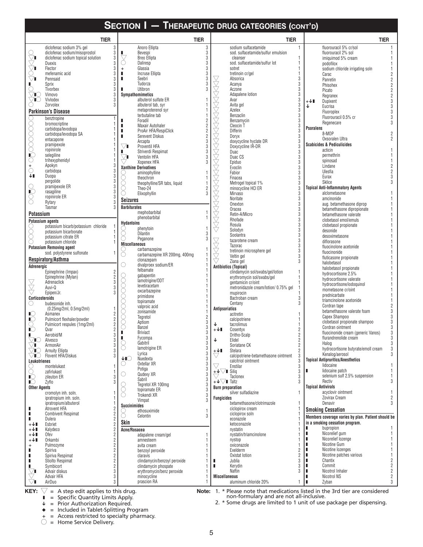|                                  | <b>TIER</b>                                                                  |                      | <b>TIER</b>                                                      |                                  | <b>TIER</b>                                      | <b>TIER</b>                      |                           |                                                          |                                  |
|----------------------------------|------------------------------------------------------------------------------|----------------------|------------------------------------------------------------------|----------------------------------|--------------------------------------------------|----------------------------------|---------------------------|----------------------------------------------------------|----------------------------------|
|                                  | diclofenac sodium 3% gel<br>3                                                |                      | Anoro Ellipta<br>3                                               |                                  | sodium sulfacetamide                             | $\mathbf{1}$                     |                           | fluorouracil 5% cr/sol                                   |                                  |
| O                                | 3<br>diclofenac sodium/misoprostol                                           | ш                    | 3<br>Bevespi                                                     |                                  | sod. sulfacetamide/sulfur emulsion               |                                  |                           | fluorouracil 2% sol                                      |                                  |
| $\bigtriangledown$               | 3<br>diclofenac sodium topical solution<br>3                                 | ▽<br>С               | 3<br><b>Breo Ellipta</b><br>3<br>Daliresp                        |                                  | cleanser                                         | $\overline{1}$                   |                           | imiguimod 5% cream                                       |                                  |
| $\vee$ i                         | <b>Duexis</b><br>Flector<br>3                                                | $\ddot{}$            | 3<br>Glassia                                                     |                                  | sod. sulfacetamide/sulfur lot<br>sotret          | 1                                |                           | podofilox<br>sodium chloride irrigating soln             |                                  |
|                                  | 3<br>mefenamic acid                                                          | п                    | 3<br><b>Incruse Ellipta</b>                                      |                                  | tretinoin cr/gel                                 | 1                                |                           | Carac                                                    |                                  |
| ∨∎                               | 3<br>Pennsaid                                                                | п                    | 3<br>Seebri                                                      | 又人人                              | Absorica                                         | 3                                |                           | Panretin                                                 | $\overline{2}$                   |
| п                                | Sprix<br>3                                                                   | п                    | 3<br>Tudorza<br>$\overline{3}$                                   |                                  | Acanya                                           | 3<br>3                           |                           | Phisohex                                                 |                                  |
| $\circlearrowright$<br>TC 3      | Tivorbex<br>Vimovo<br>3                                                      |                      | Utibron<br>Sympathomimetics                                      |                                  | Aczone<br>Adapalene lotion                       |                                  |                           | Picato                                                   |                                  |
| 'I∪                              | Vivlodex<br>3                                                                |                      | albuterol sulfate ER                                             |                                  | Avar                                             | 3                                | +↓∎                       | Regranex<br>Dupixent                                     | $\overline{2}$<br>3              |
|                                  | Zorvolex<br>3                                                                |                      | albuterol tab, syr                                               |                                  | Avita gel                                        | 3                                | ↓                         | Eucrisa                                                  | 3                                |
|                                  | <b>Parkinson's Disease</b>                                                   |                      | metaproterenol syr<br>terbutaline tab                            |                                  | Azelex<br>Benzaclin                              | 3                                |                           | Fluoroplex                                               | 3                                |
|                                  | benztropine<br>$\overline{1}$                                                | п                    | Foradil                                                          |                                  | Benzamycin                                       | 3                                |                           | Fluorouracil 0.5% cr                                     | 3                                |
|                                  | bromocriptine                                                                | Π                    | $\begin{array}{c}\n2 \\ 2 \\ 2\n\end{array}$<br>Maxair Autohaler |                                  | Cleocin T                                        | 3                                | <b>Psoralens</b>          | Regenecare                                               | 3                                |
|                                  | carbidopa/levodopa<br>carbidopa/levodopa SA                                  |                      | ProAir HFA/RespiClick                                            |                                  | <b>Differin</b>                                  | 3                                |                           | 8-MOP                                                    |                                  |
|                                  | entacapone                                                                   |                      | <b>Serevent Diskus</b><br>3<br>Arcapta                           |                                  | Doryx<br>doxycycline hyclate DR                  | 3<br>3                           |                           | Oxsoralen Ultra                                          |                                  |
| 0000000                          | pramipexole                                                                  | $\bigtriangledown$ i | 3<br>Proventil HFA                                               |                                  | Doxycycline IR-DR                                | 3                                |                           | <b>Scabicides &amp; Pediculicides</b>                    |                                  |
|                                  | ropinirole                                                                   |                      | 3<br>Striverdi Respimat                                          |                                  | Duac                                             | 3                                |                           | acticin                                                  |                                  |
| IC.<br>О                         | selegiline<br>trihexyphenidyl                                                | $\bigtriangledown$ l | 3<br>Ventolin HFA<br>3                                           | 会人人人人人人人人人人人                     | Duac CS                                          | 3<br>3                           |                           | permethrin<br>spinosad                                   |                                  |
|                                  | Apokyn                                                                       |                      | Xopenex HFA<br><b>Xanthine Derivatives</b>                       |                                  | Epiduo<br>Evoclin                                | 3                                |                           | Lindane                                                  | $\overline{2}$                   |
| $\bigcirc$                       | 3<br>carbidopa                                                               |                      | aminophylline                                                    |                                  | Fabior                                           | 3                                |                           | Ulesfia                                                  | $\overline{2}$                   |
| ↓∎                               | 3<br>Duopa<br>pergolide                                                      |                      | theochron                                                        | 人人人人人人                           | Finacea                                          | 3                                |                           | Eurax                                                    | 3<br>3                           |
|                                  | pramipexole ER<br>3                                                          |                      | theophylline/SR tabs, liquid<br>Theo-24                          |                                  | Metrogel topical 1%                              | 3<br>3                           |                           | <b>Sklice</b><br><b>Topical Anti-Inflammatory Agents</b> |                                  |
| $\frac{\circ}{\mathbb{C}}$       | 3<br>rasagiline                                                              |                      | $\frac{2}{3}$<br>Elixophyllin                                    |                                  | minocycline HCI ER<br>Mirvaso                    | 3                                |                           | alclometasone                                            |                                  |
| 8                                | ropinirole ER<br>3                                                           | <b>Seizures</b>      |                                                                  |                                  | Noritate                                         | 3                                |                           | amcinonide                                               |                                  |
|                                  | Rytary<br>Tasmar                                                             | <b>Barbiturates</b>  |                                                                  |                                  | Onexton                                          | 3                                |                           | aug. betamethasone diprop                                |                                  |
| Potassium                        |                                                                              |                      | mephobarbital                                                    |                                  | Oracea<br>Retin-A/Micro                          | $\mathfrak{z}$<br>3              |                           | betamethasone dipropionate<br>betamethasone valerate     |                                  |
|                                  | <b>Potassium agents</b>                                                      |                      | phenobarbital                                                    | $\bigotimes\limits_{i=1}^{N}$    | Rhofade                                          | 3                                |                           | clobetasol emol/emuls                                    |                                  |
|                                  | potassium bicarb/potassium chloride                                          | <b>Hydantoins</b>    | phenytoin                                                        |                                  | Rosula                                           | 3                                |                           | clobetasol propionate                                    |                                  |
| 8                                | potassium bicarbonate                                                        | 5                    | <b>Dilantin</b><br>3                                             |                                  | Solodyn<br>Soolantra                             | 3<br>3                           |                           | desonide                                                 |                                  |
| ∩                                | potassium citrate ER<br>potassium chloride<br>$\overline{1}$                 | Ō                    | $\overline{3}$<br>Peganone                                       |                                  | tazarotene cream                                 | 3                                |                           | desoximetasone<br>diflorasone                            |                                  |
|                                  | <b>Potassium Removing agent</b>                                              | <b>Miscellaneous</b> |                                                                  | $\bigtriangledown$               | Tazorac                                          | 3                                |                           | fluocinolone acetonide                                   |                                  |
|                                  | sod. polystyrene sulfonate<br>-1                                             | O                    | carbamazepine<br>carbamazepine XR 200mg, 400mg                   | Ž                                | tretinoin microsphere gel<br>Veltin gel          | 3                                |                           | fluocinonide                                             |                                  |
|                                  | Respiratory/Asthma                                                           |                      | clonazepam                                                       | ▽                                | Ziana gel                                        | 3                                |                           | fluticasone propionate<br>halobetasol                    |                                  |
| Adrenergic                       |                                                                              | ∩                    | divalproex sodium/ER                                             |                                  | <b>Antibiotics (Topical)</b>                     |                                  |                           | halobetasol propionate                                   |                                  |
|                                  | Epinephrine (Impax)<br>$\overline{2}$                                        |                      | felbamate<br>gabapentin                                          |                                  | clindamycin sol/swabs/gel/lotion                 | 1                                |                           | hydrocortisone 2.5%                                      |                                  |
|                                  | $\overline{2}$<br>Epinephrine (Mylan)<br>3<br>Adrenaclick                    |                      | lamotrigine/ODT                                                  |                                  | erythromycin sol/swabs/gel<br>gentamicin cr/oint | 1<br>1                           |                           | hydrocortisone valerate                                  |                                  |
| 2<br>R                           | 3<br>Auvi-Q                                                                  |                      | levetiracetam                                                    |                                  | metronidazole cream/lotion/ 0.75% gel            |                                  |                           | hydrocortisone/iodoquinol<br>mometasone cr/oint          |                                  |
|                                  | Epipen/Jr.                                                                   |                      | oxcarbazepine<br>primidone                                       |                                  | mupirocin                                        |                                  |                           | prednicarbate                                            |                                  |
| Corticosteroids<br>O             | budesonide inh.                                                              |                      | topiramate                                                       |                                  | Bactroban cream<br>Centany                       | 3<br>3                           |                           | triamcinolone acetonide                                  |                                  |
|                                  | (0.25mg/2ml, 0.5mg/2ml)<br>-1                                                |                      | valproic acid                                                    | <b>Antipsoriatics</b>            |                                                  |                                  |                           | Cordran tape                                             | 3                                |
| ା                                | Asmanex                                                                      |                      | zonisamide<br>Tegretol<br>2                                      |                                  | acitretin                                        |                                  |                           | betamethasone valerate foam<br>Capex Shampoo             | 3                                |
| $\mathbb{I} \mathbb{C}$<br>O     | Pulmicort flexhaler/powder<br>$\overline{2}$<br>Pulmicort respules (1mg/2ml) |                      | Aptiom                                                           | ↓                                | calcipotriene<br>tacrolimus                      |                                  |                           | clobetasol propionate shampoo                            | 3                                |
| $\mathbb{I} \mathbb{C}$          | Qvar                                                                         |                      | $\frac{3}{3}$<br>Banzel                                          | $+\sqrt{1}$                      | Cosentyx                                         | 2                                |                           | Cordran ointment                                         | $\mathfrak{z}$                   |
| ш                                | 3<br>Aerobid/M                                                               | п                    | 3<br><b>Briviact</b><br>3<br>Fycompa                             |                                  | Dritho-Scalp                                     | $\overline{2}$                   |                           | fluocinonide cream (generic Vanos)                       | 3<br>3                           |
| ↸                                | $\sqrt{N}$ Alvesco                                                           |                      | Gabitril                                                         |                                  | Elidel                                           | $\overline{c}$                   |                           | flurandrenolide cream<br>Halog                           | 3                                |
| $\bigtriangledown$ l<br>⁄∎( )    | 3<br>ArmonAir<br><b>Arnuity Ellipta</b><br>3                                 | 8                    | 3<br>3<br>lamotrigine ER                                         | +↓∎                              | Soriatane CK<br><b>Stelara</b>                   | $\overline{2}$<br>$\overline{2}$ |                           | hydrocortisone butyrate/emoll cream                      | $\mathbf{3}$                     |
| VIO                              | Flovent HFA/Diskus                                                           |                      | 3<br>Lyrica                                                      |                                  | calcipotriene-betamethasone ointment             |                                  |                           | Kenalog/aerosol                                          |                                  |
| Leukotrienes                     |                                                                              | ↓∎⊖                  | Nuedexta<br>3<br>Oxtellar XR<br>3                                |                                  | calcitriol ointment                              |                                  |                           | <b>Topical Antipruritics/Anesthetics</b>                 |                                  |
| Ŏ                                | montelukast                                                                  |                      | 3<br>Potiga                                                      | $+\vee \sqrt{\phantom{a}}$ Siliq | Enstilar                                         | 3<br>3                           |                           | lidocaine<br>lidocaine patch                             |                                  |
| IC)                              | zafirlukast<br>zileuton ER                                                   |                      | 3<br>Qudexy XR                                                   |                                  | Taclonex                                         |                                  |                           | selenium sulf 2.5% suspension                            | 1                                |
| ∎⊖                               | Zyflo                                                                        |                      | 3<br>Sabril<br>3<br>Tegretol XR 100mg                            | $+\sqrt{}$ Taltz                 |                                                  |                                  |                           | Rectiv                                                   | 3                                |
| <b>Other Agents</b>              |                                                                              |                      | topiramate ER<br>3                                               | <b>Burn preparation</b>          |                                                  |                                  | <b>Topical Antivirals</b> |                                                          |                                  |
|                                  | cromolyn inh. soln.<br>ipratropium inh. soln.                                |                      | Trokendi XR<br>3                                                 | <b>Fungicides</b>                | silver sulfadiazine                              |                                  |                           | acyclovir ointment<br>Zovirax Cream                      | $\overline{2}$                   |
|                                  | ipratropium/albuterol                                                        | Succinimides         | Vimpat                                                           |                                  | betamethasone/clotrimazole                       |                                  |                           | Denavir                                                  |                                  |
| п                                | Atrovent HFA                                                                 |                      | ethosuximide<br>1                                                |                                  | ciclopirox cream                                 |                                  |                           | <b>Smoking Cessation</b>                                 |                                  |
| П<br>П                           | <b>Combivent Respimat</b><br>ź                                               |                      | 3<br>Celontin                                                    |                                  | ciclopirox soln<br>econazole                     |                                  |                           | Members coverage varies by plan. Patient should be       |                                  |
| +↓∎                              | Dulera<br>2<br>Esbriet                                                       | <b>Skin</b>          |                                                                  |                                  | ketoconazole                                     |                                  |                           | in a smoking cessation program.                          |                                  |
| $+\mathsf{\downarrow}\mathsf{I}$ | Kalydeco                                                                     | Acne/Rosacea         |                                                                  |                                  | nystatin                                         |                                  |                           | bupropion                                                |                                  |
| $+\sqrt{1}$                      | Ofev                                                                         |                      | adapalene cream/gel                                              |                                  | nystatin/triamcinolone                           |                                  |                           | Nicorelief gum<br>Nicorelief lozenge                     |                                  |
| $+\sqrt{1}$<br>$\ddot{}$         | Orkambi<br>Pulmozyme                                                         |                      | amnesteem<br>avita cream                                         |                                  | nystop<br>oxiconazole                            |                                  |                           | Nicotine Gum                                             |                                  |
| п                                | Spiriva                                                                      |                      | benzoyl peroxide                                                 |                                  | Exelderm                                         |                                  |                           | Nicotine lozenges                                        |                                  |
| п                                | $\overline{2}$<br>Spiriva Respimat                                           |                      | claravis                                                         |                                  | Oxistat lotion                                   |                                  |                           | Nicotine patches various                                 |                                  |
| П<br>п                           | $\overline{2}$<br>Stiolto Respimat                                           |                      | clindamycin/benzoyl peroxide                                     | п<br>п                           | Jublia                                           |                                  |                           | Chantix<br>Commit                                        | $\overline{2}$<br>$\overline{2}$ |
| $\bigtriangledown$ l             | Symbicort<br>Advair diskus                                                   |                      | clindamycin phospate<br>erythromycin/benz peroxide               |                                  | Kerydin<br>Naftin                                |                                  |                           | Nicotrol Inhaler                                         |                                  |
|                                  | Advair HFA                                                                   |                      | minocycline                                                      | <b>Miscellaneous</b>             |                                                  |                                  |                           | Nicotrol NS                                              | $\overline{c}$                   |
| $\vee$ i                         | AirDuo<br>3                                                                  |                      | prascion RA                                                      |                                  | aluminum chloride 20%                            | 1                                | п                         | Zyban                                                    | 3                                |

 $\bigvee$  = A step edit applies to this drug. **KEY:**  $\sqrt{ }$  = A step edit applies to this drug.  $\sqrt{ }$  **Note:** 1.

 $\blacksquare$  = Specific Quantity Limits Apply.

 $\sqrt{\phantom{a}}$  = Prior Authorization Required.

 $\bullet$  = Included in Tablet-Splitting Program

+ = Access restricted to specialty pharmacy.

 $\bigcirc$  = Home Service Delivery.

\* Please note that medications listed in the 3rd tier are considered non-formulary and are not all-inclusive.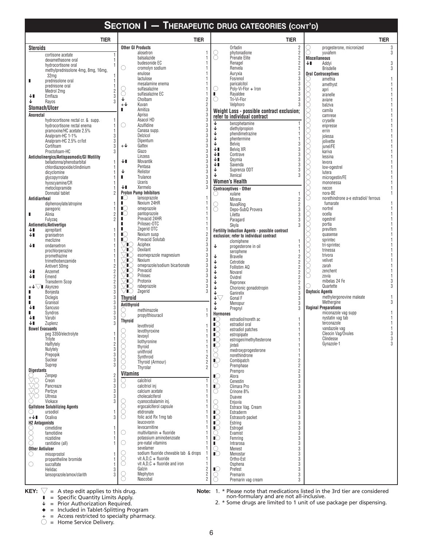| <b>TIER</b>                                            | <b>TIER</b>                                                      |                                  | <b>TIER</b>                                             |                                  | <b>TIER</b>                                    |
|--------------------------------------------------------|------------------------------------------------------------------|----------------------------------|---------------------------------------------------------|----------------------------------|------------------------------------------------|
| <b>Steroids</b>                                        | <b>Other GI Products</b>                                         |                                  | Orfadin                                                 | $\overline{2}$                   | 3<br>progesterone, micronized                  |
| cortisone acetate                                      | alosetron                                                        | 8                                | phytonadione                                            | 2                                | vuvafem<br>3                                   |
| dexamethasone oral                                     | balsalazide<br>budesonide EC                                     |                                  | Prenate Elite<br>Renagel                                | $\overline{2}$<br>$\overline{2}$ | <b>Miscellaneous</b><br>ΨL<br>Addyi<br>3       |
| hydrocortisone oral                                    | O<br>cromolyn sodium                                             |                                  | Renvela                                                 | $\overline{2}$                   | <b>Brisdelle</b>                               |
| methylprednisolone 4mg, 8mg, 16mg,<br>32 <sub>mq</sub> | enulose                                                          |                                  | Auryxia                                                 | 3                                | <b>Oral Contraceptives</b>                     |
| prednisolone oral<br>ш                                 | lactulose                                                        |                                  | Fosrenol                                                | 3                                | amethia                                        |
| prednisone oral                                        | mesalamine enema<br>sulfasalazine                                | O                                | paricalcitol<br>Poly-Vi-Flor + Iron                     |                                  | amethyst                                       |
| $\overline{2}$<br>Medrol 2mg                           | sulfasalazine EC                                                 | п                                | Rayaldee                                                |                                  | apri<br>aranelle                               |
| Emflaza<br>↓∎<br>Rayos<br>↓                            | Cholbam<br>2                                                     | O                                | Tri-Vi-Flor                                             |                                  | aviane                                         |
| Stomach/Ulcer                                          | 2<br>$+\sqrt{ }$<br>Kuvan                                        |                                  | Velphoro                                                |                                  | balziva                                        |
|                                                        | 3<br>п<br>Amitiza<br>3<br>Apriso                                 |                                  | Weight Loss - possible contract exclusion;              |                                  | camila                                         |
| Anorectal<br>hydrocortisone rectal cr. & supp.         | 3<br>Asacol HD                                                   |                                  | refer to individual contract                            |                                  | camrese<br>cryselle                            |
| hydrocortisone rectal enema                            | 3<br>Azulfidine<br>O                                             | ↓                                | benzphetamine                                           |                                  | enpresse                                       |
| pramoxine/HC acetate 2.5%                              | 3<br>Canasa supp.                                                | ↓<br>↓                           | diethylpropion<br>phendimetrazine                       |                                  | errin                                          |
| 3<br>Analpram-HC 1-1%                                  | 3<br>Delzicol<br>3<br>Dipentum                                   | ↓                                | phentermine                                             |                                  | jolessa                                        |
| Analpram-HC 2.5% cr/lot<br>3<br>Cortifoam<br>3         | 3<br>$+\sqrt{ }$<br>Gattex                                       | ↓                                | Belvig                                                  | 3                                | jolivette<br>junel/FE                          |
| Proctofoam-HC                                          | 3<br>Giazo                                                       | ↓∎                               | Belvig XR                                               | 3                                | kariva                                         |
| Anticholinergics/Antispasmodic/GI Motility             | 3<br>Linzess                                                     | ↓∎<br>↓∎                         | Contrave<br>Qsymia                                      |                                  | lessina                                        |
| belladonna/phenobarbital                               | 3<br>↓∎<br>Movantik<br>3                                         | ↓∎                               | Saxenda                                                 | 3                                | levora                                         |
| chlordiazepoxide/clindinium<br>dicyclomine             | Pentasa<br>3<br>↓<br>Relistor                                    | ↓                                | Suprenza ODT                                            |                                  | low-ogestrel<br>lutera                         |
| glycopyrrolate                                         | 3<br>п<br>Trulance                                               | ↓                                | Xenical                                                 |                                  | microgestin/FE                                 |
| hyoscyamine/CR                                         | 3<br><b>Uceris</b>                                               |                                  | <b>Women's Health</b>                                   |                                  | mononessa                                      |
| metoclopramide                                         | Xermelo<br>3<br>↓∎                                               |                                  | <b>Contraceptives - Other</b>                           |                                  | necon                                          |
| Donnatal tablet                                        | <b>Proton Pump Inhibitors</b><br>∎⊜<br>lansoprazole              | U                                | xulane                                                  |                                  | nora-BE<br>norethindrone a-e estradiol/ferrous |
| Antidiarrheal<br>diphenoxylate/atropine                | п.<br>Nexium 24HR                                                |                                  | Mirena<br>NuvaRing                                      | $\overline{2}$<br>$\overline{2}$ | fumarate                                       |
| paregoric                                              | $\mathbb{I}$<br>omeprazole                                       | 8                                | Depo-SubQ Provera                                       |                                  | nortrel                                        |
| Alinia<br>$\overline{2}$<br>п                          | $\mathbb{I}$<br>pantoprazole                                     |                                  | Liletta                                                 |                                  | ocella                                         |
| $\overline{2}$<br>Fulyzaq                              | Prevacid 24HR<br>п<br>Prilosec-OTC                               |                                  | Paragard                                                |                                  | ogestrel<br>portia                             |
| Antiemetic/Antivertigo<br>↓∎<br>aprepitant             | Zegerid OTC<br>п                                                 |                                  | Skyla<br>Fertility Induction Agents - possible contract |                                  | previfem                                       |
| ↓∎<br>granisetron                                      | $\overline{c}$<br>Nexium susp<br>$\mathbb{I}$                    |                                  | exclusion; refer to individual contract                 |                                  | quasense                                       |
| meclizine                                              | $\frac{2}{3}$<br>Prevacid Solutab<br>$\mathbb{I}(\cdot)$         |                                  | clomiphene                                              |                                  | sprintec                                       |
| ↓∎<br>ondansetron                                      | ÆC<br>Aciphex<br>3<br>Dexilant<br>Æ                              | ↓                                | progesterone in oil                                     |                                  | tri-sprintec<br>trinessa                       |
| prochlorperazine<br>promethazine                       | 3<br>K<br>esomeprazole magnesium                                 | ↓                                | serophene<br><b>Bravelle</b>                            | $\overline{2}$                   | trivora                                        |
| trimethobenzamide                                      | 3<br>K<br>Nexium                                                 | ↓                                | Cetrotide                                               | $\overline{2}$                   | velivet                                        |
| Antivert 50mg                                          | 3<br>K<br>omeprazole/sodium bicarbonate                          | ↓                                | Follistim AQ                                            | $\overline{2}$                   | zarah                                          |
| ↓∎<br>Anzemet                                          | 3<br>Prevacid<br>K<br>Prilosec<br>Œ                              | ↓                                | Novarel                                                 | $\overline{2}$                   | zenchent<br>zovia                              |
| $\overline{2}$<br>Emend<br>↓∎<br><b>Transderm Scop</b> | $\frac{3}{3}$<br>TC<br>Protonix                                  | ↓<br>↓                           | Ovidrel                                                 | $\overline{2}$                   | mibelas 24 Fe                                  |
| $+\sqrt{\sqrt{ }}$ Akynzeo                             | 3<br>rabeprazole<br>′∎(∷                                         | ↓                                | Repronex<br>Chorionic gonadotropin                      | 3                                | Quartette                                      |
| п<br>Bonjesta                                          | 3<br>⁄∎O<br>Zegerid                                              | ↓                                | Ganirelix                                               | 3                                | <b>Oxytocic Agents</b>                         |
| Diclegis                                               | <b>Thyroid</b>                                                   | ↓▽                               | Gonal F                                                 | 3                                | methylergonovine maleate<br>3                  |
| Granisol<br>Sancuso<br>↓∎                              | Antithyroid                                                      | ↓<br>↓                           | Menopur                                                 | 3<br>3                           | Methergine<br><b>Vaginal Preparations</b>      |
| Syndros<br>п                                           | methimazole                                                      | <b>Hormones</b>                  | Pregnyl                                                 |                                  | miconazole vag supp                            |
| Varubi<br>↓∎                                           | propylthiouracil<br><b>Thyroid</b>                               | IU.                              | estradiol/noreth ac                                     |                                  | nystatin vag tab                               |
| ↓∎<br>Zuplenz                                          | levothroid                                                       | $\mathbb{I}(\mathcal{A})$        | estradiol oral                                          |                                  | terconazole                                    |
| <b>Bowel Evacuants</b><br>peg 3350/electrolyte         | levothyroxine                                                    | $\mathbb{I} \mathbb{C}$          | estradiol patches                                       |                                  | vandazole vag<br>Cleocin Vag/Ovules            |
| Trilyte                                                | levoxyl                                                          | $\blacksquare$<br>$\blacksquare$ | estropipate<br>estrogen/methyltesterone                 |                                  | Clindesse                                      |
| Halflytely                                             | liothyronine<br>1<br>thyroid                                     | $\mathbb{I}\mathbb{C}$           | jinteli                                                 |                                  | Gynazole-1                                     |
| 3<br>Nulytely                                          | unithroid<br>1                                                   | 8                                | medroxyprogesterone                                     |                                  |                                                |
| $\sqrt{3}$<br>Prepopik<br>Suclear<br>3                 | $\frac{2}{2}$<br>Synthroid                                       | $\overline{C}$                   | norethindrone<br>Combipatch                             | 1<br>$\overline{2}$              |                                                |
| Suprep<br>3                                            | Thyroid (Armour)                                                 | O                                | Premphase                                               | $\sqrt{2}$                       |                                                |
| <b>Digestants</b>                                      | 2<br>Thyrolar<br><b>Vitamins</b>                                 |                                  | Prempro                                                 | $\overline{2}$                   |                                                |
| $\overline{2}$<br>Zenpep<br>3                          |                                                                  | $\blacksquare$                   | Alora                                                   | 3                                |                                                |
| Creon<br>3<br>Pancreaze                                | calcitriol<br>∩<br>calcitriol inj                                | O<br>$\mathbb{I} \mathbb{O}$     | Cenestin<br>Climara Pro                                 | 3<br>3                           |                                                |
| Pertzye<br>3                                           | calcium acetate                                                  | O                                | Crinone 8%                                              | 3                                |                                                |
| <b>Ultresa</b><br>3                                    | cholecalciferol                                                  |                                  | Duavee                                                  | 3                                |                                                |
| Viokace                                                | cyanocobalamin inj.<br>ergocalciferol capsule                    | 8                                | Enjuvia                                                 | 3                                |                                                |
| <b>Gallstone Solubilizing Agents</b><br>ursodiol       | etidronate                                                       | $\mathbb{C}$                     | Estrace Vag. Cream<br>Estraderm                         | 3<br>3                           |                                                |
| Ocaliva<br>$+\sqrt{1}$<br>3                            | folic acid Rx 1mg tab<br>( )                                     | $\blacksquare$                   | Estrasorb packet                                        | 3                                |                                                |
| <b>H2 Antagonists</b>                                  | leucovorin                                                       | $\blacksquare$                   | Estring                                                 | 3                                |                                                |
| cimetidine                                             | levocarnitine<br>multivitamin + fluoride<br>O                    | $\blacksquare$                   | Estrogel                                                | 3<br>3                           |                                                |
| famotidine<br>()<br>nizatidine                         | potassium aminobenzoate                                          | O<br>$\blacksquare$              | Evamist<br>Femring                                      | 3                                |                                                |
| ∩<br>ranitidine (all)                                  | O<br>pre-natal vitamins                                          | п.                               | Intrarosa                                               | 3                                |                                                |
| <b>Other Antiulcer</b>                                 | sevelamer                                                        | 0                                | Menest                                                  | 3                                |                                                |
| misoprostol<br>O                                       | sodium fluoride chewable tab & drops<br>vit $A.D.C + fluct$<br>U | $\mathbb{I} \circlearrowleft$    | Menostar                                                | 3<br>3                           |                                                |
| propantheline bromide<br>O<br>sucralfate               | €<br>vit $A.D.C +$ fluoride and iron<br>1                        |                                  | Ortho-Est<br>Osphena                                    | 3                                |                                                |
| Helidac<br>3                                           | Galzin<br>2                                                      | $\blacksquare$                   | Prefest                                                 | 3                                |                                                |
| lansoprazole/amox/clarith                              | $\frac{2}{2}$<br>Mephyton<br>8                                   | O                                | Premarin                                                | 3                                |                                                |
|                                                        | Nascobal                                                         |                                  | Premarin vag cream                                      | 3                                |                                                |

 $\bigvee$  = A step edit applies to this drug. **KEY:**  $\sqrt{ }$  = A step edit applies to this drug.  $\sqrt{ }$  **Note:** 1.

 $\blacksquare$  = Specific Quantity Limits Apply.

 $\sqrt{\phantom{a}}$  = Prior Authorization Required.

 $\bullet$  = Included in Tablet-Splitting Program

+ = Access restricted to specialty pharmacy.

 $\bigcirc$  = Home Service Delivery.

\* Please note that medications listed in the 3rd tier are considered non-formulary and are not all-inclusive.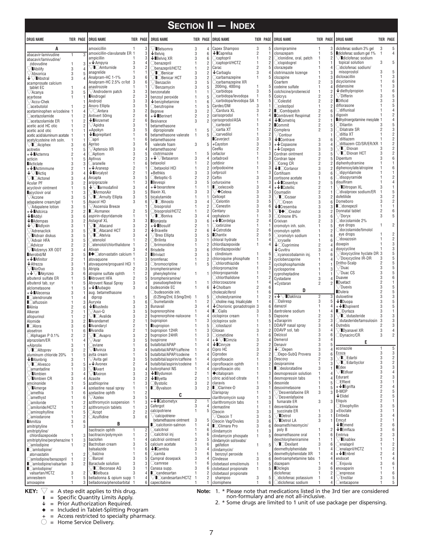|                                                                           |                                                       |                                                  |                                                     |                                                        |                                                         | <b>SECTION II - INDEX</b>                           |                                            |                                                     |                                  |                                                           |                  |                                  |
|---------------------------------------------------------------------------|-------------------------------------------------------|--------------------------------------------------|-----------------------------------------------------|--------------------------------------------------------|---------------------------------------------------------|-----------------------------------------------------|--------------------------------------------|-----------------------------------------------------|----------------------------------|-----------------------------------------------------------|------------------|----------------------------------|
| <b>DRUG NAME</b>                                                          | TIER PAGE                                             | <b>DRUG NAME</b>                                 | <b>TIER PAGE</b>                                    | <b>DRUG NAME</b>                                       |                                                         | TIER PAGE ORDG NAME                                 | TIER PAGE                                  | <b>DRUG NAME</b>                                    | TIER PAGE                        | <b>DRUG NAME</b>                                          | <b>TIER PAGE</b> |                                  |
| A                                                                         |                                                       | amoxicillin                                      | 3                                                   | Belsomra                                               | 3<br>4                                                  | Capex Shampoo                                       | 3                                          | 5 Clomipramine                                      | $\mathbf{1}$                     | diclofenac sodium 3% gel                                  | 3                | 5                                |
| abacavir-lamivudine                                                       | $\mathbf{1}$                                          | amoxicillin-clavulanate ER 1                     | 3                                                   | $\bigtriangledown$ Belvig                              | 3<br>6                                                  | $\downarrow$ Caprelsa                               | $\overline{2}$<br>1                        | clonazepam                                          | 1                                | diclofenac sodium gel 1%                                  | $\mathbf{1}$     | 4                                |
| abacavir/lamivudine/                                                      | 3                                                     | ampicillin<br>$+$ Ampyra                         | 3<br>3<br>$\overline{4}$                            | $\bigtriangledown$ Belvia XR<br>$\bigcirc$ benazepril  | 3<br>6<br>2<br>1                                        | $\supset$ captopril<br>Captopril/HCTZ               | $\mathbf{1}$<br>2<br>2<br>1                | ◯clonidine, oral, patch<br>Cclopidogrel             | -1<br>1                          | $\sqrt{}$ Idiclofenac sodium<br>topical solution          | 3                | 5                                |
| zidovudine<br><b>Ability</b>                                              | $\mathbf{1}$<br>3<br>$\overline{4}$                   | $\bigtriangledown$ I $\bigcirc$ Amturnide        | $\overline{c}$<br>3                                 | benazepril/HCTZ                                        | $\overline{2}$<br>1                                     | Carac                                               | 2<br>5                                     | clorazepate                                         | 1                                | Odiclofenac sodium/                                       |                  |                                  |
| /Absorica                                                                 | 3<br>5                                                | anagrelide                                       | $\mathbf{1}$<br>1                                   | <sup>7</sup> ∎○Benicar                                 | 3<br>$\overline{2}$                                     | $\downarrow$ Carbaglu                               | 3                                          | clotrimazole lozenge                                |                                  | misoprostol                                               | 3                |                                  |
| $\sqrt{\phantom{a}}$ Abstral                                              | 3                                                     | Analpram-HC 1-1%                                 | 3<br>6                                              | <sup>™</sup> IOBenicar HCT                             | 3<br>2                                                  | Carbamazepine                                       | 1<br>5                                     | clozapine                                           | 1                                | dicloxacillin<br>dicyclomine                              |                  | 3<br>6                           |
| acamprosate calcium                                                       | 1                                                     | Analpram-HC 2.5% cr/lot<br>anastrozole           | $\,6$<br>3<br>1<br>1                                | 'Benzaclin<br>Benzamycin                               | 3<br>5<br>3<br>5                                        | Carbamazepine XR<br>200mg, 400mg                    | $\mathbf{1}$                               | Coartem<br>codeine sulfate                          | $\overline{2}$<br>1              | didanosine                                                |                  | 3                                |
| tablet EC<br>$\sqrt{A}$ canya                                             | 3                                                     | $\sqrt{A}$ ndroderm patch                        | 3<br>3                                              | benzonatate                                            | 1                                                       | Carbidopa                                           | 3<br>5                                     | colchicine/probenecid                               | $\mathbf{1}$                     | $\downarrow$ diethylpropion                               |                  |                                  |
| acarbose                                                                  |                                                       | <b>Androgel</b>                                  | $\overline{2}$<br>3                                 | benzoyl peroxide                                       | 5<br>1                                                  | carbidopa/levodopa                                  | $\mathbf{1}$<br>5                          | Colcrys                                             | 2                                | $\bigtriangledown$ Differin                               |                  |                                  |
| $\sqrt{\text{Accu-Chek}}$                                                 |                                                       | Android                                          | 3<br>3                                              | $\downarrow$ benzphetamine                             | 6<br>1                                                  | Carbidopa/levodopa SA 1                             | 5                                          | Colestid                                            | $\overline{2}$                   | <b>Dificid</b>                                            |                  |                                  |
| Cacebutolol                                                               |                                                       | Anoro Ellipta                                    | 3<br>5<br>$\sqrt{3}$<br>$\overline{2}$              | Obenztropine                                           | 5<br>1                                                  | Cardec/DM<br>$\bigcirc$ Cardura XL                  | 3<br>1<br>3                                | Ccolestipol<br>2 Combipatch                         | 1<br>$\overline{c}$              | diflorasone<br>Odiflunisal                                |                  |                                  |
| acetaminophen w/codeine 1<br>Cacetazolamide                               |                                                       | ∨∪Antara<br>Antivert 50mg                        | $\overline{2}$<br>6                                 | Bepreve<br>$+\bigstar$ Berinert                        | 3<br>$\overline{2}$<br>$\overline{2}$<br>$\overline{2}$ | carisoprodol                                        | 1<br>4                                     | Combivent Respimat                                  | $\sqrt{2}$                       | digoxin                                                   |                  | $\overline{2}$                   |
| Cacetazolamide ER                                                         | 2<br>$\overline{1}$                                   | $\bigcup$ Anzemet                                | $\overline{c}$<br>6                                 | Besivance                                              | $\mathfrak{p}$<br>3                                     | carisoprodol/ASA                                    |                                            | $\downarrow$ Cometrig                               | $\overline{2}$                   | dihydroergotamine mesylate                                |                  |                                  |
| acetic acid HC otic                                                       | $\overline{1}$                                        | $\vee$ Apidra                                    | 3                                                   | betamethasone                                          |                                                         | Carteolol                                           |                                            | <b>Commit</b>                                       | $\overline{2}$                   | $\bigcirc$ Dilantin                                       |                  |                                  |
| acetic acid otic                                                          |                                                       | +Apokyn                                          | 3<br>5<br>6                                         | dipropionate                                           | 5<br>1                                                  | ⊃cartia XT<br><b>Carvedilol</b>                     | 2<br>2<br>1                                | Complera                                            | $\overline{2}$                   | ◯Dilatrate SR<br>$\bigcirc$ diltia XT                     |                  |                                  |
| acetic acid/aluminum acetate 1<br>acetylcysteine inh soln.                | $\overline{1}$                                        | $\downarrow$ <b>Laprepitant</b><br>○apri         | $\mathbf{1}$<br>6                                   | betamethasone valerate<br>betamethasone                | 5<br>$\mathbf{1}$                                       | <b>Caverject</b>                                    | 3<br>3                                     | $\bigtriangledown$ Contour<br>$\downarrow$ Contrave | 3<br>6                           | Odiltiazem                                                |                  |                                  |
| $\sqrt{ }$ $\blacksquare$ $\bigcirc$ Aciphex                              | 3<br>6                                                | Apriso                                           | 3<br>6                                              | valerate foam                                          | 3<br>5                                                  | +Cayston                                            | 3<br>3                                     | $+$ $\sqrt{\ }$ Copaxone                            | 3<br>4                           | diltiazem CD/SR/ER/XR                                     |                  |                                  |
| acitretin                                                                 | 5<br>1                                                | Aptensio XR                                      | 3<br>$\overline{4}$                                 | betamethasone/                                         |                                                         | CeeNu                                               | $\overline{2}$                             | +↓Copegus                                           | 3<br>3                           | <b>I</b> ODiovan                                          |                  |                                  |
| +↓∎Actemra                                                                | $\overline{2}$                                        | <b>Aptiom</b>                                    | 3<br>5                                              | clotrimazole                                           | 5<br>1                                                  | cefaclor                                            | 1<br>3                                     | Cordran ointment                                    | 3                                | ∕∎⊜Diovan HCT                                             |                  |                                  |
| acticin<br><b>Acticlate</b>                                               | 3<br>3                                                | Aptivus<br>$\bigcirc$ aranelle                   | $\overline{2}$<br>3<br>$\mathsf{6}$<br>$\mathbf{1}$ | $+\mathsf{\Psi}\bigvee$ Betaseron<br>betaxolol         | 3<br>4<br>$\overline{2}$<br>-1                          | cefadroxil<br>cefdinir                              | 3<br>3                                     | Cordran tape<br>$\bigcirc$ Coreg CR                 | $\overline{c}$<br>$\overline{c}$ | Dipentum<br>diphenhydramine                               |                  |                                  |
| $+\mathbf{\downarrow}$ Actimmune                                          | $\overline{2}$                                        | +↓Aranesp                                        | $\overline{c}$<br>1                                 | Obetaxolol HCI                                         | $\overline{2}$                                          | cefpodoxime                                         | 3                                          | $\bigcup$ Corlanor                                  | 3                                | diphenoxylate/atropine                                    |                  |                                  |
| $\sqrt{\phantom{a}}$ Actiq                                                | 3<br>Δ                                                | $\bigcup$ Arcalvst                               | $\overline{2}$                                      | +Bethkis                                               | 3<br>3                                                  | cefprozil                                           | 1<br>3                                     | Cortifoam                                           | 3                                | $\bigcirc$ dipyridamole                                   |                  |                                  |
| $\sqrt{ }$ OActonel                                                       | 3                                                     | Arcapta                                          | 3<br>5                                              | Betoptic-S                                             | $\overline{2}$<br>$\overline{2}$                        | Ceftin                                              | 3<br>3                                     | cortisone acetate                                   | 1                                | $\bigcirc$ disopyramide                                   |                  |                                  |
| Acular PF                                                                 | 3<br>$\mathbf{1}$                                     | aripiprazole<br>$\sqrt{\sqrt{ }}$ armodafinil    | 3<br>$\mathbf{1}$<br>3<br>$\overline{4}$            | Bevespi<br>$+\bigstar$ bexarotene                      | 3<br>5<br>1                                             | l cefuroxime<br><b>C</b> celecoxib                  | 1<br>3<br>3<br>4                           | $+\bigstar$ Cosentyx<br>+↓∎Cotellic                 | $\overline{2}$<br>$\overline{c}$ | disulfiram<br>√∎Ditropan XL                               |                  |                                  |
| acyclovir ointment<br>acyclovir oral                                      | 5<br>3<br>$\mathbf{1}$                                | ∕∎ArmonAir                                       | 5<br>3                                              | <b>Biaxin XL</b>                                       | 3<br>3                                                  | √Celexa                                             | 3<br>3                                     | Coumadin                                            | $\sqrt{2}$                       | Odivalproex sodium/ER                                     |                  |                                  |
| $\vee$ Aczone                                                             | 3<br>5                                                | ∕∎⊜Arnuity Ellipta                               | 3<br>5                                              | bicalutamide                                           | 1                                                       | Cellcept                                            | 3<br>3                                     | ∕∎⊜Cozaar                                           | 3                                | dofetilide                                                |                  |                                  |
| adapalene cream/gel                                                       | $\overline{1}$<br>5                                   | Asacol HD                                        | 3<br>6                                              | 7∎∩Binosto                                             | 3<br>4                                                  | $\bigcirc$ Celontin                                 | 3<br>5                                     | ∕ Creon                                             | 3                                | Domeboro                                                  |                  | $\overline{2}$                   |
| $\sqrt{\phantom{a}}$ Adapalene lotion                                     | 3<br>5                                                | $\sqrt{}$ Ascensia Breeze                        | 5                                                   | Obisoprolol                                            | $\overline{2}$<br>1<br>$\overline{2}$<br>1              | $\supset$ Cenestin                                  | 3<br>6<br>3<br>5                           | $\bigcup$ Cresemba                                  | 3                                | Donnatal tablet                                           |                  | 6                                |
| $+\bigarrow{\blacksquare}$ Adcirca<br>$\downarrow$ <b>Addyi</b>           | $\overline{2}$<br>3<br>ĥ                              | $\Box$ Asmanex<br>aspirin-dipyridamole           | $\overline{c}$<br>$\mathbf{1}$<br>1                 | bisoprolol/HCTZ<br>∕∎⊜Boniva                           | 3<br>4                                                  | Centany<br>cephalexin                               | 1<br>3                                     | √I◆○Crestor<br>OCrinone 8%                          | 3<br>3                           | $\vee$ Doryx                                              | 3                | 5                                |
| $\downarrow$ <b>M</b> Adempas                                             | 3                                                     | Astagraf XL                                      | 3<br>3                                              | Bonjesta                                               | 3<br>6                                                  | +↓∎Cerdelaa                                         | $\overline{c}$<br>4                        | Crixivan                                            | $\overline{2}$                   | $\bigcirc$ dorzolamide 2%                                 |                  |                                  |
| $\overline{\mathbf{\downarrow}}$ $\overline{\mathbf{\downarrow}}$ Adlyxin | 3<br>$\mathbf{1}$                                     | 7∎○Atacand                                       | 3<br>$\overline{2}$                                 | $+\bigarrow{\blacksquare}$ Bosulif                     | $\overline{2}$                                          | $\supset$ cetirizine                                | 1                                          | cromolyn inh. soln.                                 | $\mathbf{1}$                     | eye drops                                                 |                  |                                  |
| √Adrenaclick                                                              | 3<br>5                                                | <b>I</b> OAtacand HCT                            | 3<br>$\overline{c}$                                 | $\bigvee$ Bravelle                                     | $\overline{2}$<br>6                                     | $\bigstar$ Cetrotide                                | $\overline{2}$<br>հ<br>$\overline{2}$<br>5 | cromolyn ophth                                      | $\mathbf{1}$                     | $\bigcirc$ dorzolamide/timolol<br>eye drops               |                  |                                  |
| ∕∎Advair diskus<br>Advair HFA                                             | 3<br>5<br>3<br>5                                      | <sup>7</sup> ∎⊜Atelvia<br>atenolol               | $\overline{4}$<br>$\overline{c}$                    | Breo Ellipta<br><b>Brilinta</b>                        | 3<br>5<br>3                                             | I∎Chantix<br>chloral hydrate                        | 1<br>4                                     | Ccromolyn sodium<br>$\bigcirc$ cryselle             | 1<br>1                           | ○doxazosin                                                |                  | $\overline{2}$                   |
| ○Advicor                                                                  | $\overline{c}$<br>$\overline{c}$                      | atenolol/chlorthalidone                          | $\overline{c}$                                      | $O$ brimonidine                                        | $\mathbf{1}$<br>$\overline{2}$                          | chlordiazepoxide                                    | 1<br>4                                     | $\downarrow$ Cuprimine                              | $\overline{2}$                   | doxepin                                                   |                  | 3                                |
| $\sqrt{\mathsf{M}}$ Adzenys XR ODT                                        | 3                                                     | Ativan                                           | $\overline{4}$                                      | Brisdelle                                              | 3<br>6                                                  | chlordiazepoxide/                                   |                                            | $\downarrow$ Cuvitru                                | 3                                | doxycycline                                               |                  |                                  |
| Aerobid/M                                                                 | 3                                                     | ■◆ Catorvastatin calcium 1                       | $\overline{c}$                                      | Briviact                                               | 3<br>5                                                  | clindinium<br>chloroquine phosphate                 | 1<br>6<br>$\mathbf{1}$<br>3                | ○ cyanocobalamin inj.                               |                                  | $\sqrt{ }$ doxycycline hyclate DR 3<br>√Doxycycline IR-DR |                  |                                  |
| $+\bigarrow{\blacksquare}$ Afinitor<br>$\blacklozenge$ Afrezza            | $\overline{c}$<br>3                                   | atovaquone<br>atovaguone/proguanil HCl 1         | 3<br>3                                              | bromfenac<br>Obromocriptine                            | $\overline{2}$<br>1<br>5<br>1                           | Ochlorothiazide                                     | 1                                          | cyclobenzaprine<br>cyclophosphamide                 | 1<br>$\mathbf{1}$                | Dritho-Scalp                                              |                  |                                  |
| √∎AirDuo                                                                  | 3<br>5                                                | Atripla                                          | $\overline{2}$<br>3                                 | brompheniramine/                                       |                                                         | chlorpromazine                                      | 1                                          | cyclosporine                                        |                                  | <sup>7</sup> Duac                                         |                  | 5                                |
| +↓√∎Akynzeo                                                               | 3<br>6                                                | atropine sulfate ophth                           | $\overline{c}$<br>$\mathbf{1}$                      | phenylephrine                                          | $\mathbf{1}$                                            | chlorpropamide                                      | 1                                          | cyproheptadine                                      | 1                                | $\sqrt{}$ Duac CS                                         |                  |                                  |
| albuterol sulfate ER                                                      | $\mathbf{1}$                                          | Atrovent HFA                                     | 5<br>$\overline{2}$                                 | brompheniramine/                                       |                                                         | Ochlorthalidone                                     | 2<br>4                                     | Cystadane                                           | 3                                | Duavee<br><b>IDuetact</b>                                 |                  |                                  |
| albuterol tab, syr<br>alclometasone                                       | $\overline{1}$<br>5<br>$\mathbf{1}$<br>5              | Atrovent Nasal Spray<br>$+\bigstar$ Aubagio      | 3<br>$\mathbf{1}$<br>$\sqrt{3}$<br>$\overline{4}$   | pseudoephedrine<br>budesonide EC                       | $\mathbf{1}$<br>6<br>1                                  | chlorzoxazone<br>$\downarrow$ Cholbam               | $\overline{2}$<br>հ                        | +Cystaran                                           | $\overline{2}$                   | $\sqrt{$ Duexis                                           |                  |                                  |
| $+$ $\bigvee$ Alecensa                                                    | 3<br>-1                                               | aug. betamethasone                               |                                                     | $\bigcirc$ budesonide inh.                             |                                                         | cholecalciferol                                     | հ                                          | D                                                   |                                  | Dulera                                                    |                  |                                  |
| <b>Calendronate</b>                                                       | $\overline{1}$<br>Δ                                   | diprop                                           | $\mathbf{1}$<br>5                                   | (0.25mg/2ml, 0.5mg/2ml)                                | 5<br>-1                                                 | $\bigcirc$ cholestyramine                           | $\overline{2}$                             | $+\sqrt{\sqrt{ }}$ Daklinza                         | $\overline{2}$                   | duloxetine                                                |                  | 3                                |
| <b>Calfuzosin</b>                                                         | $\mathbf{1}$<br>3                                     | Auryxia                                          | 3<br>6                                              | Obumetanide                                            | $\overline{2}$<br>3<br>4                                | Choline mag. trisalicylate                          | $\overline{1}$<br>4                        | ◯Daliresp                                           | 3                                | $\downarrow$ Duopa<br>+↓∎Dupixent                         |                  | 5                                |
| <b>Alinia</b><br>Alkeran                                                  | $\overline{2}$<br>6<br>$\overline{2}$                 | $\downarrow$ <b>LAustedo</b><br>$\sqrt{}$ Auvi-Q | 3<br>3<br>3<br>5                                    | Bunavail<br>buprenorphine                              | 4                                                       | ↓ Chorionic gonadotropin 3<br>$\blacksquare$ Cialis | 6<br>3<br>3                                | danazol<br>dantrolene sodium                        | -1<br>1                          | $\Box$ Durlaza                                            |                  |                                  |
| allopurinol                                                               | 2                                                     | √∎⊜Avalide                                       | 3<br>$\overline{c}$                                 | buprenorphine-naloxone                                 | 4                                                       | ciclopirox cream                                    | 5<br>1                                     | Dapsone                                             | $\overline{2}$                   | <b>I</b> Odutasteride                                     |                  |                                  |
| Alomide                                                                   | 3<br>$\overline{c}$                                   | Avandamet                                        | $\overline{c}$                                      | bupropion                                              | 3                                                       | ciclopirox soln                                     | 5<br>1                                     | +Daraprim                                           | $\overline{2}$                   | Odutasteride/tamsulosin                                   | 3                | 3                                |
| <b>CAlora</b>                                                             | 3<br>6                                                | <b>Avandaryl</b>                                 | $\overline{2}$                                      | <b>I</b> bupropion                                     | 5<br>1                                                  | Ccilostazol                                         | 1<br>1.                                    | DDAVP nasal spray                                   | 3                                | Dutrebis                                                  | 2                |                                  |
| alosetron                                                                 |                                                       | Avandia<br>/IIO Avapro                           | 3<br>$\overline{2}$                                 | bupropion 12HR<br>bupropion 24HR                       | 3<br>$\mathbf{1}$<br>3<br>1                             | Ciloxan<br>$\bigcirc$ cimetidine                    | 3<br>$\mathbf{1}$<br>6                     | 2 DDAVP sol, tab<br>Delzicol                        | 3<br>4<br>3<br>6                 | ∕∎Dyanavel XR<br>◯Dynacirc/CR                             | 3<br>3           | $\overline{4}$<br>$\overline{2}$ |
| Alphagan P 0.1%<br>alprazolam/ER                                          | 2<br>$\overline{c}$<br>$\mathbf{1}$<br>$\overline{4}$ | /Avar                                            | 3<br>5                                              | buspirone                                              | 4                                                       | +↓▽∎Cimzia                                          | 3<br>4                                     | Demerol                                             | $\,3$                            |                                                           |                  |                                  |
| +Alprolix                                                                 | 3                                                     | Daviane                                          | 6                                                   | butalbital/APAP                                        | $\overline{4}$                                          | $\downarrow$ Cinryze                                | $\overline{2}$<br>$\overline{2}$           | Denavir                                             | 3                                | Е                                                         |                  |                                  |
| $\sqrt{ }$ OAltoprev                                                      | $\overline{2}$<br>3                                   | ∕∎Avinza                                         | 3<br>$\overline{4}$                                 | butalbital/APAP/caffeine                               | 4<br>$\mathbf{1}$                                       | Cipro HC                                            | 3<br>$\overline{c}$                        | $\downarrow$ Obepen                                 | 3                                | econazole<br>Ecoza                                        | 3                | 5<br>3                           |
| aluminum chloride 20%<br>$\downarrow$ <b>Malunbrig</b>                    | 5<br>3<br>$\mathbf{1}$                                | avita cream<br>√Avita gel                        | $\mathbf{1}$<br>5<br>$\sqrt{3}$<br>5                | butalbital/APAP/codeine<br>butalbital/aspirin/caffeine | 4<br>4                                                  | Ciprodex<br>ciprofloxacin                           | $\overline{2}$<br>2<br>1                   | ○Depo-SubQ Provera<br>3 Descovy                     | 3<br>$\overline{2}$              | <b>I</b> OEdarbi                                          | 3                |                                  |
| $\sqrt{ }$ $\blacksquare$ $\bigcirc$ Alvesco                              | 3<br>5                                                | -↓Avonex                                         | $\overline{2}$<br>4                                 | butalbital/aspirin/codeine                             | 4<br>$\mathbf{1}$                                       | ciprofloxacin ophth                                 | $\overline{2}$<br>1                        | desipramine                                         | 1                                | <b>JCE</b> darby clor                                     | 3                | $\overline{2}$                   |
| $\supset$ amantadine                                                      | 3<br>$\mathbf{1}$                                     | / <b>LAxert</b>                                  | 3<br>$\overline{4}$                                 | butorphanol NS                                         |                                                         | ciprofloxacin otic                                  |                                            | <b>C</b> desloratadine                              | 3                                | <b>LEdex</b>                                              |                  | 3                                |
| $\sqrt{\mathsf{I}}$ Ambien                                                | 3                                                     | / <b>LAxiron</b>                                 | 3<br>3                                              | $\downarrow$ Bydureon                                  | $\overline{2}$                                          | ◆citalopram                                         | 1<br>3                                     | desmopressin solution                               | $\mathbf{1}$                     | $\bigtriangledown$ Edluar                                 |                  | 3                                |
| $\nabla$ lambien CR                                                       | 3                                                     | Azasite                                          | 3<br>$\overline{2}$<br>3                            | $\bigcup$ Byetta                                       | $\overline{2}$                                          | citric acid/sod citrate                             |                                            | desmopressin tabs                                   |                                  | Edurant<br><b>CEffient</b>                                |                  |                                  |
| amcinonide<br>$\sqrt{ }$ Amerge                                           | 3                                                     | azathioprine<br>azelastine nasal sprav           | 1                                                   | ○Bystolic<br><b>C</b> Byvalson                         | 3<br>$\overline{2}$<br>3<br>$\overline{2}$              | claravis<br>Clarinex-D                              | 5<br>3<br>1                                | desonide<br>desoximetasone                          | -1                               | +↓∎Egrifta                                                |                  |                                  |
| $\supset$ amethia                                                         | $\mathbf{1}$<br>6                                     | azelastine ophth                                 | $\overline{2}$                                      |                                                        |                                                         | Clarispray                                          | 1<br>1                                     | $\sqrt{}$ Desvenlafaxine ER                         | 3                                | 8-MOP                                                     |                  |                                  |
| $\bigcirc$ amethyst                                                       | 6                                                     | $\vee$ Azelex                                    | 5<br>3                                              | C                                                      |                                                         | clarithromycin susp                                 | 3<br>1                                     | $\sqrt{}$ Desvenlafaxine                            |                                  | $\downarrow$ Elidel                                       |                  |                                  |
| <b>Camiloride</b>                                                         | -1                                                    | azithromycin suspension                          | 3<br>$\mathbf{1}$                                   | +↓■Cabometyx<br>Cafergot                               | $\overline{2}$<br>3<br>4                                | clarithromycin tabs                                 | 3<br>1                                     | fumarate ER                                         | 3                                | Eliquis<br><b>CElixophyllin</b>                           |                  | 5                                |
| Camiloride/HCTZ                                                           | $\mathbf{1}$                                          | azithromycin tablets                             | 3                                                   | calcipotriene                                          | 5<br>1                                                  | clemastine<br>Cleocin                               | 3<br>3                                     | desvenlafaxine<br>succinate ER                      | 1                                | +Eloctate                                                 |                  |                                  |
| <b>Caminophylline</b><br>Camiodarone                                      |                                                       | <b>Azopt</b><br>OAzulfidine                      | $\overline{c}$<br>$\mathbf 3$<br>$\mathsf{6}$       | /calcipotriene-                                        |                                                         | $\sqrt{c}$ leocin T                                 | 3<br>5                                     | √∎Detrol                                            | 3                                | Embeda                                                    |                  |                                  |
| <b>Amitiza</b>                                                            | 3<br>6                                                | B                                                |                                                     | betamethasone ointment                                 | 3<br>5                                                  | Cleocin Vag/Ovules                                  | 3<br>6                                     | $\sqrt{\phantom{a}}$ Detrol LA                      | 3                                | Emcyt                                                     |                  |                                  |
| amitriptyline                                                             | 1                                                     |                                                  |                                                     | Calcitonin-salmon                                      | 4<br>6                                                  | Climara Pro                                         | 3<br>6                                     | dexameth/neomycin/                                  |                                  | $\downarrow$ Emend                                        |                  | 6                                |
| amitriptyline/<br>chlordiazepoxide                                        |                                                       | bacitracin ophth<br>bacitracin/polymyxin         | $\overline{2}$<br>1<br>$\overline{c}$<br>1          | Calcitriol<br>○calcitriol inj                          | 6<br>1                                                  | clindamycin<br>clindamycin phospate                 | 3<br>1<br>5<br>1                           | poly B<br>dexamethasone oral                        | $\mathbf{1}$<br>2<br>6<br>1      | $\downarrow$ Emflaza<br>Emtriva                           |                  | 3                                |
| amitriptyline/perphenazine 1                                              | 3                                                     | baclofen                                         | $\overline{4}$<br>$\mathbf{1}$                      | calcitriol ointment                                    | 3<br>5                                                  | clindamycin sol/swabs/                              |                                            | dexchlorpheniramine                                 | 1                                | <b>Enablex</b>                                            |                  |                                  |
| <b>Camlodipine</b>                                                        | $\mathbf{1}$                                          | Bactroban cream                                  | 3<br>5                                              | calcium acetate                                        | $\mathbf{1}$<br>6                                       | gel/lotion                                          | 5<br>1                                     | $\bigtriangledown$ Dexilant                         | 3<br>6                           | <b>Cenalapril</b>                                         |                  | $\overline{2}$                   |
| Camlodipine/                                                              |                                                       | balsalazide                                      | 6<br>$\mathbf{1}$                                   | $\downarrow$ Cambia                                    | 3<br>4                                                  | clindamycin/                                        |                                            | dexmethylphenidate                                  |                                  | Cenalapril/HCTZ                                           |                  | $\overline{2}$                   |
| atorvastatin                                                              | $\overline{2}$<br>$\overline{1}$                      | ◯balziva                                         | 6<br>3<br>5                                         | $\bigcirc$ camila                                      | 6<br>1<br>3                                             | benzoyl peroxide                                    | $\mathbf{1}$<br>5                          | dexmethylphenidate XR                               |                                  | $+\bigstar$ Enbrel                                        |                  | 4                                |
| amlodipine/benazepril@<br>■ Camlodipine/valsartan 3                       | $\overline{2}$<br>$\overline{1}$<br>$\overline{2}$    | ○Banzel<br><b>Baraclude solution</b>             | 3<br>3                                              | Campral dosepack<br>$\bigcirc$ camrese                 | 4<br>6                                                  | Clindesse<br>clobetasol emol/emuls                  | 3<br>հ<br>5<br>1                           | dextroamphetamine tabs<br>diazepam                  |                                  | endocet<br>○Enjuvia                                       |                  | 6                                |
| Camlodipine/                                                              |                                                       | ∕∎⊜Beconase AQ                                   | 3                                                   | Canasa supp.                                           | 3<br>ĥ                                                  | clobetasol propionate                               | 1<br>5                                     | <b>Diclegis</b>                                     | 3                                | enoxaparin                                                |                  |                                  |
| valsartan/HCTZ                                                            | $\overline{2}$<br>3                                   | $\sqrt{\phantom{a}}$ Belbuca                     | 3<br>$\overline{4}$                                 | $\Box$ Candesartan                                     | $\overline{2}$                                          | clobetasol propionate                               |                                            | diclofenac                                          |                                  | Cenpresse                                                 |                  | ĥ                                |
| amnesteem                                                                 | 5                                                     | belladonna & opium supp 1                        | $\overline{4}$                                      | $\sqrt{ }$ Ocandesartan/HCTZ                           | $\overline{2}$                                          | shampoo                                             | 3<br>5                                     | Odiclofenac potassium                               |                                  | $\sqrt{}$ Enstilar                                        |                  |                                  |
| amoxapine                                                                 | 3                                                     | belladonna/phenobarbital 1                       | $\mathsf{6}$                                        | capecitabine                                           | $\mathbf{1}$                                            | clomiphene                                          | 1<br>6                                     | $\bigcirc$ diclofenac sodium                        |                                  | entacapone                                                |                  | 5                                |

 $\blacksquare$  = Specific Quantity Limits Apply.

 $\sqrt{\phantom{a}}$  = Prior Authorization Required.

 $\bullet$  = Included in Tablet-Splitting Program

+ = Access restricted to specialty pharmacy.

 $\bigcirc$  = Home Service Delivery.

\* Please note that medications listed in the 3rd tier are considered non-formulary and are not all-inclusive.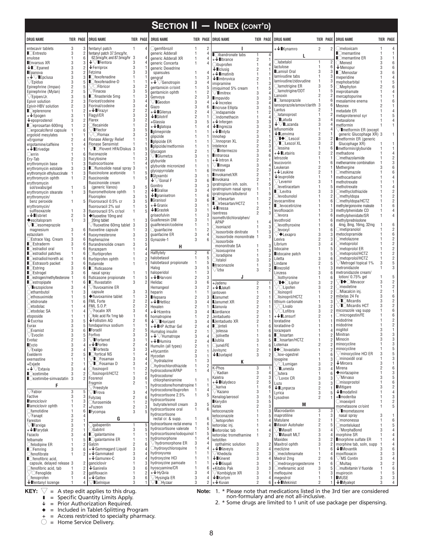|                                                                                    |                                |                     |                                                            |                                                         |                                                 |                                       | <b>SECTION II - INDEX (CONT'D)</b>                |                                            |                                                   |                      |                                                                          |                  |                                  |
|------------------------------------------------------------------------------------|--------------------------------|---------------------|------------------------------------------------------------|---------------------------------------------------------|-------------------------------------------------|---------------------------------------|---------------------------------------------------|--------------------------------------------|---------------------------------------------------|----------------------|--------------------------------------------------------------------------|------------------|----------------------------------|
| <b>DRUG NAME</b>                                                                   |                                | <b>TIER PAGE</b>    | <b>DRUG NAME</b>                                           | <b>TIER PAGE</b>                                        | <b>DRUG NAME</b>                                | <b>TIER PAGE</b>                      | <b>DRUG NAME</b>                                  | <b>TIER PAGE</b>                           | <b>DRUG NAME</b>                                  | TIER PAGE            | <b>DRUG NAME</b>                                                         | <b>TIER PAGE</b> |                                  |
| entecavir tablets                                                                  | 3                              | 3                   | fentanyl patch                                             | $\mathbf{1}$<br>4                                       | <b>Ogemfibrozil</b>                             | $\overline{c}$<br>$\mathbf{1}$        | п                                                 |                                            | +↓ Kynamro                                        | $\overline{2}$<br>2  | Omeloxicam                                                               |                  | $\Delta$                         |
| <b>CEntresto</b><br>enulose                                                        | 3<br>$\mathbf{1}$              | $\overline{2}$<br>6 | fentanyl patch 37.5mcg/hr,<br>62.5mcg/hr, and 87.5mcg/hr 3 |                                                         | generic Adderall                                | 4<br>1<br>4                           | ■ Oibandronate tabs                               | 1                                          | L                                                 |                      | $\blacksquare$ Cmemantine<br>$\blacksquare$ <b>M</b> <i>Memantine</i> ER |                  | 1                                |
| <b>Envarsus XR</b>                                                                 | 3                              | 3                   | $\sqrt{\phantom{a}}$ Fentora                               | 3<br>$\overline{4}$                                     | generic Adderall XR<br>generic Concerta         | 1<br>1<br>4                           | +↓∎Ibrance                                        | $\overline{c}$<br>1                        | Olabetalol                                        |                      | ∩Menest                                                                  |                  |                                  |
| $\bigcup$ $\bigcup$ Epaned                                                         | 3                              |                     | $\downarrow$ Ferriprox                                     | 3<br>1                                                  | generic Dexedrine                               |                                       | <i><b>Dibuprofen</b></i><br>$\downarrow$ Ilclusig | $\overline{2}$                             | lactulose                                         | $\mathbf{1}$         | $\downarrow$ Menopur                                                     |                  |                                  |
| <b>Epanova</b>                                                                     | 3                              |                     | Fetzima                                                    | 3<br>3                                                  | spansules                                       | 1<br>4                                | +↓∎imatinib                                       | 1                                          | Lamisil Oral                                      | 3                    | <b>CMenostar</b>                                                         |                  |                                  |
| $+\sqrt{\sqrt{2}}$ Epclusa                                                         | 3<br>3                         | 3                   | <b>C</b> fexofenadine<br>Cfexofenadine-D                   | $\mathbf{1}$<br>$\mathbf{1}$<br>1                       | gengraf                                         | 3<br>1                                | $\downarrow$ Ilmbruvica                           | $\overline{2}$                             | lamivudine tabs<br>lamivudine/zidovudine          |                      | meperidine<br>mephobarbital                                              |                  |                                  |
| $\vee$ Epiduo<br>Epinephrine (Impax)                                               | $\overline{2}$                 | 5                   | ○Fibricor                                                  | 3<br>2                                                  | + $\sqrt{\ }$ Genotropin<br>gentamicin cr/oint  | 3<br>4<br>1<br>5                      | imipramine                                        | 1                                          | $\bigcirc$ lamotrigine ER                         | 3                    | $\bigcirc$ Mephyton                                                      |                  | 6                                |
| Epinephrine (Mylan)                                                                | $\overline{2}$                 | 5                   | $\vee$ Finacea                                             | 3<br>5                                                  | gentamicin ophth                                | 1<br>2                                | imiguimod 5% cream<br>$\vee$ Ilmitrex             | 3                                          | ○lamotrigine/ODT                                  | 1                    | meprobamate                                                              |                  |                                  |
| $\sqrt{\mathsf{E}}$ pipen/Jr.                                                      | 3                              |                     | ■ finasteride 5mg                                          | $\mathbf{1}$<br>3                                       | Genvoya                                         | $\overline{2}$<br>3                   | <b>Ilmpavido</b>                                  | 3                                          | Lanoxin                                           | $\overline{2}$       | mercaptopurine                                                           |                  |                                  |
| Epivir solution                                                                    | 2                              |                     | Fioricet/codeine                                           | 3<br>4<br>3                                             | ∕∎Geodon                                        | 3<br>4                                | $+$ Increlex                                      | 3                                          | <b>Clansoprazole</b><br>lansoprazole/amox/clarith | $\mathbf{1}$<br>3    | mesalamine enema                                                         |                  |                                  |
| Epivir-HBV solution<br><b>Ceplerenone</b>                                          | $\overline{2}$<br>1            | 3<br>$\overline{2}$ | Fiorinal/codeine<br>$+\bigarrow$ Firazvr                   | 4<br>$\overline{2}$<br>$\overline{2}$                   | Giazo                                           | 3<br>6                                | <b>Incruse Ellipta</b>                            | 3                                          | Lantus                                            |                      | Mesnex<br>metadate ER                                                    |                  |                                  |
| $+\bigtriangledown$ Epogen                                                         | 3                              |                     | Flagyl/ER                                                  | 3<br>3                                                  | +↓∎Gilenya<br>$\downarrow$ <b>Cilotrif</b>      | $\overline{2}$<br>4<br>$\overline{2}$ | $\bigcirc$ indapamide<br>○indomethacin            |                                            | ○latanoprost                                      | 1                    | metaproterenol syr                                                       |                  | 5                                |
| $\downarrow$ epoprostenol                                                          | 3                              |                     | Flarex                                                     | 3<br>$\overline{c}$                                     | +Glassia                                        | 3<br>5                                | $+$ Infergen                                      | 3                                          | ∕∎Latuda                                          | 3                    | metaxalone                                                               |                  |                                  |
| ■ Ceprosartan 600mg                                                                |                                |                     | <b>Tlecainide</b>                                          | $\overline{2}$                                          | +↓∎glatopa                                      | 1<br>4                                | $\downarrow$ Ilnorezza                            | 3                                          | $\sqrt{\phantom{a}}$ Lazanda<br>leflunomide       | 3<br>$\mathbf{1}$    | metformin                                                                |                  |                                  |
| Cergocalciferol capsule<br>ergoloid mesylates                                      | -1                             |                     | ∕∎Flector<br>√○Flomax                                      | 3<br>3                                                  | <b>Iglimepiride</b>                             | 1                                     | +↓∎Iniyta                                         | $\overline{c}$                             | $\downarrow$ Lenvima                              | $\overline{2}$       | $\sqrt{\blacksquare}$ metformin ER (except<br>generic Glucophage XR) 3   |                  |                                  |
| +Ergomar                                                                           | $\overline{2}$                 |                     | Flonase Allergy Relief                                     |                                                         | glipizide                                       | $\mathbf{1}$                          | Innohep                                           | 3<br>$\overline{2}$                        | <b>I</b> ◆○Lescol                                 | 3                    | metformin ER (generic                                                    |                  |                                  |
| ergotamine/caffeine                                                                | $\mathbf{1}$                   |                     | <b>Flonase Sensimist</b>                                   |                                                         | <b>Iglipizide ER</b><br>Iglipizide/metformin    | 1<br>1                                | . )Innopran XL<br>Intelence                       | $\overline{2}$                             | <b>I</b> OLescol XL                               | 3                    | Glucophage XR)                                                           |                  |                                  |
| $+\n\bigtriangledown$ Erivedge                                                     | $\overline{2}$                 |                     | ∕∎⊝Flovent HFA/Diskus 3                                    |                                                         | Glucagon                                        | $\overline{2}$                        | $\vee$ IIntermezzo                                | 3                                          | <b>Dessina</b>                                    |                      | metformin/glyburide                                                      |                  |                                  |
| ○errin                                                                             | $\mathbf{1}$                   | 6<br>3              | fluconazole<br>flucytosine                                 | 3<br>3                                                  | √∎Glumetza                                      | 3                                     | <b>Intrarosa</b>                                  | 3                                          | +↓∎Letairis<br>letrozole                          | $\overline{2}$       | methadone<br>Omethazolamide                                              |                  |                                  |
| Ery-Tab<br>erythromycin base                                                       | $\overline{2}$<br>$\mathbf{1}$ | 3                   | fludrocortisone                                            |                                                         | glyburide                                       | 1<br>1                                | $+\bigarrow$ Intron A                             | $\overline{c}$                             | leucovorin                                        |                      | methenamine combination                                                  |                  |                                  |
| erythromycin estolate                                                              | 3                              | 3                   | ■ flunisolide nasal spray 3                                |                                                         | glyburide micronized                            | 1                                     | √∎Invega<br>Invirase                              | 3<br>$\overline{2}$                        | Leukeran                                          | $\overline{2}$       | Methergine                                                               |                  |                                  |
| erythromycin ethylsuccinate                                                        |                                | 3                   | fluocinolone acetonide                                     | 5<br>-1                                                 | glycopyrrolate<br><b>Glyxambi</b>               | 6<br>1<br>3                           | Invokamet/XR                                      | $\overline{c}$                             | +↓Leukine                                         | $\overline{2}$       | Omethimazole                                                             |                  |                                  |
| erythromycin ophth                                                                 | $\mathbf{1}$                   | $\overline{2}$      | fluocinonide                                               | 5<br>$\mathbf{1}$                                       | $\sqrt{\ }$ Gonal F                             | 3<br>հ                                | <b>Invokana</b>                                   | 2                                          | $\downarrow$ leuprolide<br>∕Levemir               | $\mathbf{1}$<br>3    | methocarbamol<br>methotrexate                                            |                  |                                  |
| ervthromvcin<br>sol/swabs/gel                                                      | $\overline{1}$                 |                     | fluocinonide cream<br>(generic Vanos)                      | 3<br>5                                                  | Gonitro                                         | 3<br>3                                | ipratropium inh. soln.                            |                                            | levetiracetam                                     |                      | methotrexate                                                             |                  |                                  |
| erythromycin stearate                                                              | $\mathbf{1}$                   | 3                   | fluorometholone ophth                                      | $\overline{c}$<br>$\mathbf{1}$                          | $\downarrow$ <b>C</b> ralise                    | 3                                     | ipratropium nasal spray<br>ipratropium/albuterol  |                                            | $\blacksquare$ Clevitra                           | 3                    | $\bigcirc$ methyclothiazide                                              |                  |                                  |
| erythromycin/                                                                      |                                |                     | Fluoroplex                                                 | 3                                                       | $\downarrow$ Igranisetron                       | $\mathbf{1}$<br>ĥ                     | $\blacksquare$ Cirbesartan                        |                                            | Olevobunolol                                      |                      | $\bigcirc$ methyldopa                                                    |                  |                                  |
| benz peroxide                                                                      | $\overline{1}$                 |                     | Fluorouracil 0.5% cr                                       | 3<br>5<br>5                                             | <b>Granisol</b><br>$+$ Granix                   | 3<br>հ<br>3                           | ■○irbesartan/HCTZ                                 |                                            | levocarnitine<br><b>Clevocetirizine</b>           |                      | ◯methyIdopa/HCTZ<br>methylergonovine maleate                             |                  | ĥ                                |
| erythromycin/<br>sulfisoxazole                                                     | $\mathbf{1}$                   | 3                   | fluorouracil 2% sol<br>fluorouracil 5% cr/sol              | $\mathbf{1}$<br>$\mathbf{1}$<br>5                       | $\bigtriangledown$ <b>Grastek</b>               | 3                                     | $\downarrow$ lessa                                | $\overline{2}$                             | levofloxacin                                      |                      | methylphenidate CD                                                       |                  |                                  |
| +↓∎Esbriet                                                                         | $\overline{2}$                 | 5                   | ◆fluoxetine 10mg and                                       |                                                         | griseofulvin                                    | 1                                     | Isentress<br>isometh/dichloralphen/               | 2                                          | ⊃levora                                           |                      | methylphenidate/SR                                                       |                  | Δ                                |
| ◆escitalopram                                                                      | $\mathbf{1}$                   | 3                   | 20mg tablet                                                | 3                                                       | Guaifenesin DM                                  | 3                                     | APAP                                              |                                            | levothroid                                        |                      | methylprednisolone                                                       |                  |                                  |
| $\bigtriangledown$ I $\bigcirc$ esomeprazole<br>magnesium                          | 3                              | 6                   | $\sqrt{t}$ luoxetine 60mg tablet 3                         | 3<br>3                                                  | quaifenesin/codeine                             | 1<br>1<br>1<br>$\overline{2}$         | <i>D</i> isoniazid                                |                                            | ⊃levothyroxine<br>Olevoxyl                        |                      | 4mg, 8mg, 16mg, 32mg<br>$\bigcirc$ metipranolol                          |                  | 2                                |
| estazolam                                                                          | $\mathbf{1}$                   | $\overline{4}$      | fluoxetine capsule<br>fluoxymesterone                      | 1<br>3<br>3                                             | $\bigcirc$ guanfacine<br>guanfacine ER          | 3<br>$\overline{4}$                   | isosorbide dinitrate                              | 3                                          | <b>Exapro</b>                                     | 3                    | metoclopramide                                                           |                  | ĥ                                |
| ◯Estrace Vag. Cream                                                                | 3                              | 6                   | fluphenazine                                               | $\mathbf{1}$<br>3                                       | Gynazole-1                                      | 3<br>6                                | isosorbide mononitrate 1<br>isosorbide            | 3                                          | Lexiva                                            | $\overline{2}$       | Ometolazone                                                              |                  |                                  |
| <b>CEstraderm</b>                                                                  | 3                              | 6                   | flurandrenolide cream                                      | 3<br>5                                                  | H,                                              |                                       | mononitrate SA                                    |                                            | Librium                                           | 3                    | $\bigcirc$ metoprolol                                                    |                  | $\overline{2}$                   |
| Cestradiol oral                                                                    | $\mathbf{1}$<br>$\overline{1}$ | 6                   | flurazepam                                                 |                                                         | Halflytely                                      | $\overline{2}$<br>6                   | <i>i</i> soxsuprine                               |                                            | lidocaine                                         |                      | $\bigcirc$ metoprolol ER<br>$\bigcirc$ metoprolol/HCTZ                   |                  | $\overline{2}$<br>$\overline{2}$ |
| Cestradiol patches<br>■○estradiol/noreth ac                                        | $\overline{1}$                 |                     | <b>Oflurbiprofen</b><br>flurbiprofen ophth                 | $\overline{2}$<br>$\mathbf{1}$                          | halobetasol                                     | 5<br>1                                | isradipine)                                       |                                            | lidocaine patch<br>Liletta                        | 3                    | Ometoprolol/HCTZ                                                         |                  | $\overline{2}$                   |
| <b>CEstrasorb</b> packet                                                           | 3                              | 6                   | flutamide                                                  | $\mathbf{1}$                                            | halobetasol propionate                          | 5<br>1                                | Distalol<br><b>litraconazole</b>                  | 3<br>1                                     | Lindane                                           | $\overline{2}$       | $\sqrt{}$ Metrogel topical 1%                                            | 3                | 5                                |
| $\blacksquare$ Estring                                                             | 3                              | 6                   | <b>C</b> fluticasone                                       |                                                         | Halog                                           | 3<br>5                                | ∕lzba                                             | 3                                          | <b>Ilinezolid</b>                                 |                      | metronidazole                                                            |                  | 3                                |
| $\blacksquare$ Estrogel                                                            | 3                              | 6                   | nasal spray                                                | $\mathbf{1}$<br>1                                       | haloperidol<br>+↓ Harvoni                       | 3<br>1<br>$\overline{2}$<br>3         | J                                                 |                                            | Linzess                                           | 3                    | metronidazole cream/<br>lotion/ 0.75% gel                                |                  | 5                                |
| Cestrogen/methyltesterone 1<br>$\blacksquare$ Cestropipate                         |                                | -6<br>$\sqrt{2}$    | fluticasone propionate<br><b>C</b> fluvastatin             | $\mathbf{1}$<br>5<br>3<br>$\overline{c}$                | Helidac                                         | 3<br>6                                | +Jadenu                                           | $\overline{c}$                             | Oliothyronine<br><b>I</b> ◆○Lipitor               | $\mathbf{1}$<br>3    | √l◆○Mevacor                                                              |                  | $\overline{c}$                   |
| $\sqrt{\phantom{a}}$ leszopicione                                                  | 3                              | 4                   | $\sqrt{t}$ luvoxamine ER                                   |                                                         | Hemangeol                                       | 3<br>$\overline{2}$                   | +↓∎Jakafi                                         | 2                                          | /(CLipofen                                        | 3                    | $\supset$ mexiletine                                                     |                  | $\overline{c}$                   |
| <b>Cethambutol</b>                                                                 | $\mathbf{1}$                   |                     | capsule                                                    | 3<br>3                                                  | heparin                                         | 1                                     | iantoven                                          | 1                                          | Olisinopril                                       |                      | ◯Miacalcin inj.                                                          |                  |                                  |
| ○ethosuximide                                                                      |                                |                     | ◆fluvoxamine tablet                                        | $\mathbf{1}$<br>3                                       | <b>Hepsera</b>                                  | $\overline{2}$<br>3                   | <b>Janumet</b>                                    | $\overline{2}$                             | ◯lisinopril/HCTZ                                  |                      | mibelas 24 Fe<br>$\sqrt{ }$ Micardis                                     |                  | ĥ<br>2                           |
| <b>Oetidronate</b><br>⊝etodolac                                                    | $\mathbf{1}$<br>$\mathbf{1}$   | 6                   | <b>FML</b> Forte<br><b>FML S.O.P.</b>                      | $\overline{2}$<br>$\overline{c}$<br>$\overline{c}$<br>2 | $+ \bigtriangledown$ Hetlioz<br>Hexalen         | 3<br>4<br>$\overline{2}$              | <b>Janumet XR</b><br><b>Januvia</b>               | $\overline{2}$<br>$\overline{2}$           | lithium carbonate<br>$\sqrt{C}$ Livalo            | 3                    | $\bigtriangledown$ Micardis HCT                                          |                  | $\overline{2}$                   |
| ○etodolac SA                                                                       |                                |                     | Focalin XR                                                 | 3<br>4                                                  | +↓Hizentra                                      | 3<br>4                                | <b>Jardiance</b>                                  | $\overline{2}$                             | $\bigtriangledown$ CLofibra                       | 3                    | miconazole vag supp                                                      |                  |                                  |
| etoposide                                                                          | $\mathbf{1}$                   |                     | folic acid Rx 1mg tab                                      | $\mathbf{1}$<br>6                                       | homatropine                                     | $\mathbf{1}$<br>$\overline{c}$        | Jentadueto                                        | 2                                          | $+\bigarrow{\blacksquare}$ Lonsurf                | $\overline{2}$       | Omicrogestin/FE                                                          |                  | ĥ                                |
| $\downarrow$ Eucrisa                                                               | 3                              |                     | $\bigvee$ Follistim AQ                                     | $\overline{2}$<br>6                                     | $\sqrt{\phantom{a}}$ Horizant                   | 3<br>$\Delta$                         | Uentadueto XR                                     | $\overline{2}$                             | loratadine                                        |                      | midodrine                                                                |                  |                                  |
| Eurax<br>C Evamist                                                                 | 3<br>3                         | 5<br>6              | fondaparinux sodium<br><b>Foradil</b>                      | $\mathbf{1}$<br>1<br>$\mathcal{P}$                      | $+\sqrt{\phantom{a}}$ HP Acthar Gel             | $\overline{2}$<br>4                   | ■○jinteli                                         | 1<br>6                                     | Ioratadine-D<br>6 lorazepam                       | Δ                    | midodrine<br>miglitol                                                    |                  |                                  |
| $\bigtriangledown$ Evoclin                                                         | 3                              | 5                   | Forfivo                                                    | 3<br>3                                                  | Humalog insulin<br>$+\bigstar\sqrt{}$ Humatrope | 2<br>3<br>4                           | ◯jolessa<br><b>Ojolivette</b>                     | 1<br>1                                     | 6 Closartan                                       | 1                    | Minitran                                                                 | 3                | 3                                |
| Evotaz                                                                             | $\sqrt{2}$                     | 3                   | <b>IFortamet</b>                                           | 3<br>1                                                  | +↓ Humira                                       | $\overline{c}$<br>4                   | <b>Jublia</b>                                     | 3<br>5                                     | <b>Closartan/HCTZ</b>                             | 1                    | Minocin                                                                  | 3                | 3                                |
| <b>LEvzio</b>                                                                      | 3                              |                     | $\downarrow$ Forteo                                        | $\overline{c}$<br>4                                     | Humulin (all types)                             | $\sqrt{2}$                            | ◯junel/FE                                         | 1<br>6                                     | Lotemax                                           | 2                    | minocycline                                                              |                  | 3                                |
| $\sqrt{\mathsf{Exalgo}}$                                                           | 3<br>$\overline{2}$            |                     | 7∎Fortesta<br><b>C</b> fortical NS                         | 3<br>3<br>$\mathbf{1}$<br>4                             | +Hycamtin                                       | $\overline{2}$                        | Juvisync                                          | $\overline{c}$                             | ■◆○lovastatin<br>Olow-ogestrel                    | $\mathbf{1}$         | minocycline<br>$\sqrt{m}$ inocycline HCl ER                              |                  | 5<br>5                           |
| Exelderm<br>exemastine                                                             | $\mathbf{1}$                   |                     | 7∎○Fosamax                                                 | 3                                                       | Hycodan                                         | 3                                     | $\bigcup$ Juxtapid                                | 3                                          | loxapine                                          | $\mathbf{1}$         | Ominoxidil oral                                                          |                  | 3                                |
| +Exjade                                                                            | $\overline{2}$                 |                     | <b>I</b> OFosamax D                                        | 3                                                       | Ohydralazine<br>Ohydrochlorothiazide            | 3<br>1<br>$\overline{2}$<br>1         | Κ                                                 |                                            | <sup>∕</sup> ○Lumigan                             | 3                    | $\bar{\blacklozenge}$ Mircera                                            |                  | $\mathbf{1}$                     |
| $+\bigvee$ Extavia                                                                 | 3                              |                     | Ofosinopril                                                | $\overline{2}$<br>1                                     | hydrocodone/APAP                                | $\mathbf{1}$                          | K-Phos                                            | 3                                          | Lunesta                                           | 3                    | Mirena                                                                   |                  | 6                                |
| $\blacksquare$ Cezetimibe                                                          | 3                              | $\overline{2}$      | fosinopril/HCTZ                                            | $\overline{2}$<br>$\mathbf{1}$<br>6                     | hydrocodone/                                    |                                       | /Kadian<br>Kaletra                                | 3<br>$\overline{4}$<br>$\overline{c}$<br>3 | Olutera                                           | 1<br>ĥ               | ◆mirtazapine<br>$\sqrt{M}$ irvaso                                        |                  | 3<br>5                           |
| Cezetimibe-simvastatin 3                                                           |                                | 2                   | Fosrenol<br>Fragmin                                        | 3<br>$\overline{2}$                                     | chlorpheniramine                                | 1                                     | +↓∎Kalydeco                                       | $\overline{c}$<br>5                        | $\bigtriangledown$ Luvox CR<br>Luzu               | 3<br>3               | <b>Omisoprostol</b>                                                      |                  | 6                                |
| F                                                                                  |                                |                     | Freestyle                                                  |                                                         | hydrocodone/homatropine 1                       |                                       | ⊃kariva                                           | 1<br>6                                     | $\bigcup$ Lynparza                                | $\overline{c}$       | <b>Mitigare</b>                                                          |                  | $\overline{2}$                   |
| $\bigtriangledown$ Fabior                                                          | 3                              | 5                   | ∕∎Frova                                                    | 3                                                       | hydrocodone/ibuprofen<br>hydrocortisone 2.5%    | $\overline{1}$<br>4<br>5<br>1         | $\sqrt{}$ Kazano                                  | 3                                          | Lvrica                                            | 3                    | $\downarrow$ Imodafinil                                                  |                  | $\overline{4}$                   |
| Factive<br><b>I</b> famciclovir                                                    | 3<br>$\mathbf{1}$              | 3                   | Fulyzaq                                                    | $\overline{c}$<br>6                                     | hydrocortisone                                  |                                       | Kenalog/aerosol                                   | 3                                          | Lysodren                                          | $\overline{2}$       | +Imoderiba                                                               |                  | 3                                |
| <b>I</b> famciclovir ophth                                                         | $\mathbf{1}$                   |                     | Ofurosemide<br>+Fuzeon                                     | $\overline{2}$<br>$\mathbf{1}$<br>$\overline{2}$<br>3   | butyrate/emoll cream                            | 3<br>5                                | Kerydin<br>Ketek                                  | 3<br>$\overline{2}$                        | M                                                 |                      | $\bigcirc$ moexipril<br>mometasone cr/oint                               |                  | 2<br>5                           |
| <i><b>Cfamotidine</b></i>                                                          | $\mathbf{1}$                   |                     | Fycompa                                                    | 3                                                       | hydrocortisone oral                             | $\mathbf{1}$<br>6                     | ketoconazole                                      |                                            | Macrodantin                                       | 3<br>3               | √∎mometasone                                                             |                  |                                  |
| $\sqrt{2}$ Fanapt                                                                  | $\mathbf{3}$                   |                     | G                                                          |                                                         | hydrocortisone<br>rectal cr. & supp.            | 1<br>6                                | ketoconazole                                      |                                            | maprotiline                                       | 3<br>1               | nasal spray                                                              |                  | $\overline{1}$                   |
| Fareston                                                                           | $\overline{c}$                 |                     |                                                            |                                                         | hydrocortisone rectal enema 1                   | 6                                     | $\bigcirc$ ketoprofen                             |                                            | Matulane                                          | 2                    | $\supset$ mononessa                                                      |                  | 6                                |
| $\sqrt{\mathsf{I}^{\mathsf{F}}\mathsf{A}}$ Farxiga<br>$+ \bigtriangledown$ Farydak | $\sqrt{3}$<br>$\sqrt{2}$       |                     | <b>gabapentin</b><br>Gabitril                              | 5<br>1<br>5<br>3                                        | hydrocortisone valerate                         | $\overline{1}$<br>5                   | ketorolac inj.<br><b>Exetorolac tab</b>           |                                            | <b>Maxair Autohaler</b><br>/ <b>I</b> Maxalt      | $\sqrt{2}$<br>5<br>3 | $\bigcirc$ montelukast<br>$\bigtriangledown$ MorphaBond                  |                  | 5<br>$\overline{4}$              |
| Fazaclo                                                                            | 3                              | Δ                   | $\Box$ Qalantamine                                         | $\mathbf{1}$<br>1                                       | hydrocortisone/iodoquinol 1                     | 5                                     | ketorolac tromethamine                            | 2<br>$\mathbf{1}$                          | ∕∎Maxalt MLT                                      | 3                    | morphine SR                                                              |                  | $\overline{4}$                   |
| felbamate                                                                          |                                | 5                   | <b>C</b> galantamine ER                                    | $\mathbf{1}$<br>1                                       | hydromorphone                                   | 1                                     | ketotifen                                         |                                            | Maxidex                                           | 3                    | <b>Imorphine sulfate ER</b>                                              |                  | $\overline{4}$                   |
| ◯felodipine ER                                                                     | $\mathbf{1}$                   |                     | Galzin                                                     | $\overline{2}$<br>6                                     | $\nabla$ hydromorphone ER                       | 3<br>$\mathbf{1}$<br>4                | opthalmic solution                                | 3<br>2                                     | Maxitrol ophth                                    | 3                    | morphine tab, soln, supp                                                 |                  | $\Delta$                         |
| $\blacksquare$ Femring                                                             | 3                              | 6                   | $+$ Gammagard Liquid<br>$+\bigtriangledown$ Gammaked       | $\sqrt{3}$<br>4<br>$\overline{4}$<br>3                  | Ohydroxychloroquine<br>hydroxyurea              | 1                                     | +↓∎Kevevis<br>$\bigtriangledown$ Khedezla         | $\overline{c}$<br>4<br>3<br>3              | meclizine<br>Omeclofenamate                       |                      | $\downarrow$ Movantik<br>moxifloxacin                                    |                  | ĥ<br>3                           |
| <b>Ofenofibrate</b><br>■ Ofenofibric acid,                                         |                                |                     | +↓Gamunex-C                                                | 3<br>$\overline{4}$                                     | hydroxyzine HCI                                 | 1                                     | $\downarrow$ Kineret                              | 3<br>Δ                                     | Medrol 2mg                                        | $\overline{2}$<br>6  | $\bigtriangledown$ MS Contin                                             |                  | $\Delta$                         |
| capsule, delayed release 3                                                         |                                | 2                   | ganciclovir                                                | $\mathbf{1}$<br>3                                       | hydroxyzine pamoate                             | 1<br>1                                | +↓ Kisgali                                        | 3                                          | <b>Omedroxyprogesterone</b>                       | -1                   | $\bigcirc$ Multaq                                                        |                  | $\overline{2}$                   |
| Tenofibric acid, tab                                                               |                                | $\overline{2}$      | $\downarrow$ Ganirelix                                     | 3<br>6                                                  | hyoscyamine/CR                                  | 6<br>1                                | +Kitabis Pak                                      | 3<br>3                                     | Omefenamic acid                                   | 3                    | ○multivitamin V fluoride                                                 |                  | 6                                |
| $\sqrt{\bigcirc}$ Fenoglide                                                        | 3<br>$\mathbf{1}$              | $\overline{2}$      | gatifloxacin                                               | $\overline{c}$<br>$\mathbf{1}$                          | $+$ $\bigvee$ HyQvia<br>$\nabla$ Hysingla ER    | 3<br>4<br>3<br>4                      | √Kombiglyze XR                                    | 3<br>3                                     | mefloquine                                        |                      | mupirocin<br><b>IMUSE</b>                                                |                  | 5                                |
| <b>Ofenoprofen</b><br>$\overline{\mathbf{v}}$ fentanyl lozenge                     |                                |                     | $+$ $\bigvee$ Gattex<br><b>IGelnique</b>                   | 3<br>6<br>3                                             | <sup>7</sup> ∎○Hyzaar                           | 3<br>$\overline{c}$                   | $\downarrow$ Korlym<br>+↓Kuvan                    | $\overline{c}$                             | megestrol<br>$+ \sqrt{\mathbb{I}}$ Mekinist       | $\overline{2}$       | $\downarrow$ Myalept                                                     | 3                | 3<br>4                           |

 $\blacksquare$  = Specific Quantity Limits Apply.

 $\sqrt{\phantom{a}}$  = Prior Authorization Required.

 $\bullet$  = Included in Tablet-Splitting Program

+ = Access restricted to specialty pharmacy.

 $\bigcirc$  = Home Service Delivery.

\* Please note that medications listed in the 3rd tier are considered non-formulary and are not all-inclusive.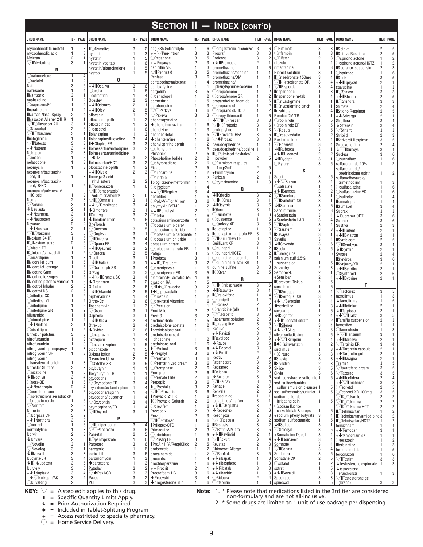|                                                               |                                                       |                                                                   |                                                   |                                                                          |                                                         | <b>SECTION II - INDEX (CONT'D)</b>                              |                                        |                                                                              |                                                     |                                                        |                                  |                                |
|---------------------------------------------------------------|-------------------------------------------------------|-------------------------------------------------------------------|---------------------------------------------------|--------------------------------------------------------------------------|---------------------------------------------------------|-----------------------------------------------------------------|----------------------------------------|------------------------------------------------------------------------------|-----------------------------------------------------|--------------------------------------------------------|----------------------------------|--------------------------------|
| <b>DRUG NAME</b>                                              | TIER PAGE                                             | <b>DRUG NAME</b>                                                  | TIER PAGE                                         | <b>DRUG NAME</b>                                                         |                                                         | TIER PAGE   DRUG NAME                                           |                                        | TIER PAGE DRUG NAME                                                          | <b>TIER PAGE</b>                                    | <b>DRUG NAME</b>                                       |                                  | <b>TIER PAGE</b>               |
| mycophenolate mofetil                                         | $\overline{1}$<br>3                                   | $\blacksquare$ Nymalize                                           | 3<br>$\overline{2}$                               | peg 3350/electrolyte                                                     | 1<br>6                                                  | Oprogesterone, micronized 3                                     | 6                                      | $\bigcirc$ Rifamate                                                          | 3<br>3                                              | Spiriva                                                | $\overline{2}$                   | $\sqrt{5}$                     |
| mycophenolic acid<br>Myleran                                  | 1<br>$\overline{2}$                                   | nystatin<br>nystatin                                              | 3<br>$\mathbf{1}$<br>5<br>$\mathbf{1}$            | $+\sqrt{\sqrt{P}}$ eg-Intron<br>OPeganone                                | 3<br>3<br>3<br>5                                        | Prograf<br>Prolensa                                             | 3<br>3                                 | Orifampin<br>ORifater                                                        | $\mathbf{1}$<br>3<br>$\overline{2}$                 | Spiriva Respimat<br>$\bigcirc$ spironolactone          | $\overline{2}$                   | 5<br>$\overline{c}$            |
| $\sqrt{\blacksquare}$ Myrbetriq                               | 3                                                     | nystatin vag tab                                                  | 6<br>1                                            | $+$ $\blacktriangleright$ Pegasys                                        | $\overline{2}$<br>3                                     | $+\bigstar$ Promacta                                            | $\overline{2}$                         | riluzole                                                                     | $\mathbf{1}$                                        | Spironolactone/HCTZ                                    |                                  | $\overline{2}$                 |
| N                                                             |                                                       | nystatin/triamcinolone<br>nystop                                  | $\mathbf{1}$<br>5<br>$\mathbf{1}$<br>5            | penicillin VK<br>$\nabla$ Pennsaid                                       | $\mathbf{1}$<br>3<br>3<br>5                             | Inromethazine<br>promethazine/codeine                           | $\mathbf{1}$<br>6<br>$\mathbf{1}$      | rimantadine<br>Riomet solution                                               | $\mathbf{1}$<br>3                                   | Sporanox suspension<br>$\bigcirc$ sprintec             | $\overline{2}$                   | 3<br>6                         |
| <i>C</i> nabumetone                                           |                                                       | 0                                                                 |                                                   | Pentasa                                                                  | 3<br><sub>6</sub>                                       | promethazine/DM                                                 | $\mathbf{1}$                           | ■ Crisedronate 150mg                                                         | 3                                                   | <b>Sprix</b>                                           | 3                                | 5                              |
| ◯nadolol<br>Naftin                                            | 1<br>3                                                | $+\bigstar$ Ocaliva                                               | 3<br>6                                            | pentazocine/naloxone<br>pentoxifylline                                   | $\mathbf{1}$<br>Δ                                       | promethazine/<br>phenylephrine/codeine 1                        |                                        | <b>I</b> Orisedronate DR<br>Risperdal                                        | 3<br>3                                              | $+\sqrt{\mathbb{I}}$ Sprycel                           | $\overline{c}$                   | 1<br>3                         |
| naltrexone                                                    | 1                                                     | Oocella                                                           |                                                   | pergolide                                                                | 3<br>5                                                  | Opropafenone                                                    | 2                                      | <b>Insperidone</b>                                                           | 3<br>$\mathbf{1}$                                   | stavudine<br>$\blacksquare$ Staxyn                     | 3                                | 3                              |
| <b>Namzaric</b><br>naphazoline                                | 3                                                     | +octreotide<br>Odesfev                                            | 4<br>$\overline{2}$                               | Operindopril                                                             | $\overline{2}$<br>1<br>5                                | Opropafenone SR                                                 | $\mathbf{1}$                           | 2 Frisperidone m-tab                                                         | $\mathbf{1}$                                        | +↓■Stelara                                             | $\overline{2}$                   | 5                              |
| Onaproxen/EC                                                  | $\mathbf{1}$<br>4                                     | $+\bigtriangledown$ 0domzo                                        | $\overline{c}$                                    | permethrin<br>perphenazine                                               | $\mathbf{1}$<br>$\mathbf{1}$<br>3                       | propantheline bromide<br>$\bigcap$ propranolol                  | $\mathbf{1}$<br>6                      | $\blacksquare$ Crivastigmine<br>$\blacksquare$ $\bigcirc$ rivastigmine patch | $\mathbf{1}$<br>$\mathbf{1}$                        | <b>C</b> Stendra<br>Stimate                            | 3                                | 3<br>4                         |
| <b>Inaratriptan</b>                                           | $\mathbf{1}$                                          | $+\bigarrow{\blacksquare}$ Ofev                                   | $\overline{2}$<br>5                               | $\bigtriangledown$ $\bigcirc$ Pertzve                                    | 3<br>6                                                  | Opropranolol/HCTZ                                               | $\mathbf{1}$                           | <b>Trizatriptan</b>                                                          | $\mathbf{1}$                                        | Stiolto Respimat                                       |                                  | 5                              |
| Narcan Nasal Spray<br>Nasacort Allergy 24HR                   | 2<br>$\overline{1}$                                   | ofloxacin<br>ofloxacin ophth                                      | 3<br>$\mathbf{1}$<br>2                            | $\vee$ Pexeva<br>phenazopyridine                                         | 3<br>3<br>1                                             | Opropylthiouracil<br>$\sqrt{\sqrt{2}}$ $\degree$ Proscar        | $\mathbf{1}$<br>6<br>3                 | Rondec DM/TR<br>$\bigcirc$ ropinirole                                        | 3<br>$\mathbf{1}$<br>5                              | +↓Stivarga                                             | $\overline{c}$<br>3              | 1<br>4                         |
| $\sqrt{ }$ Masacort AQ                                        | 3                                                     | ofloxacin otic                                                    | $\overline{2}$                                    | $\downarrow$ phendimetrazine                                             | 6<br>1                                                  | $\bigtriangledown$ I $\bigcirc$ Protonix                        | 3<br>6                                 | $\bigcirc$ ropinirole ER                                                     | 3<br>5                                              | Strattera<br>$\bigtriangledown$ Strensig               | 3                                | $\overline{4}$                 |
| ONascobal<br>$\sqrt{ }$ $\blacksquare$ $\bigcirc$ Nasonex     | 2<br>6<br>3                                           | ○ Ogestrel<br><b>D</b> olanzapine                                 | 6<br>3<br>$\mathbf{1}$                            | phenelzine<br>phenobarbital                                              | 1<br>3<br>$\mathbf{1}$<br>5                             | protriptyline                                                   | $\mathbf{1}$<br>З<br>3                 | √Rosula                                                                      | 3<br>5                                              | $\sqrt{\text{Striant}}$                                | 3                                | 3                              |
| <b>Inateglinide</b>                                           | $\mathbf{1}$                                          | <b>I</b> olanzapine/fluoxetine                                    | 3<br>4                                            | $\downarrow$ phentermine                                                 | $\mathbf{1}$<br>6                                       | <b>Proventil HFA</b><br>$\sqrt{\blacklozenge}$ Prozac           | 5<br>3                                 | $\blacksquare$ Crosuvastatin<br>Roxicet solution                             | $\mathbf{1}$<br>$\overline{2}$<br>3                 | Stribild<br>Striverdi Respimat                         | 3                                | 3<br>5                         |
| √∎Natesto                                                     | 3<br>3                                                | ■◆Oleptro ER                                                      | 3<br>3                                            | phenylephrine ophth                                                      | $\mathbf{1}$<br>$\overline{2}$                          | pseudoephedrine                                                 |                                        | $\vee$ Rozerem                                                               | 3                                                   | Suboxone film                                          |                                  | 4                              |
| +↓Natpara<br>Nebupent                                         | $\overline{2}$<br>3                                   | <b>I</b> olmesartan/amlodipine<br><b>I</b> olmesartan/amlodipine/ | $\sqrt{3}$<br>$\overline{2}$                      | $\bigcirc$ phenytoin<br>Phisohex                                         | $\mathbf{1}$<br>5<br>$\overline{c}$<br>5                | pseudoephedrine/codeine 1<br><b>■</b> ○Pulmicort flexhaler/     |                                        | $\bigtriangledown$ Rubraca<br>+↓∎Ruconest                                    | 3<br>$\overline{c}$                                 | $\sqrt{\phantom{a}}$ Subsys<br>Suclear                 | 3                                | 4<br>6                         |
| $\bigcirc$ necon                                              | 6                                                     | HCTZ                                                              | $\sqrt{3}$<br>$\overline{2}$                      | Phospholine lodide                                                       | $\overline{2}$<br>$\overline{2}$                        | powder                                                          | 2<br>5                                 | $\downarrow$ <b>Rydapt</b>                                                   | 3<br>-1                                             | $\bigcirc$ sucralfate                                  |                                  | 6                              |
| nefazodone<br>neomycin                                        | 3<br>$\mathbf{1}$<br>3                                | <b>I</b> olmesartan/HCT<br>olopatadine ophth                      | $\sqrt{3}$<br>$\overline{2}$<br>$\mathbf{1}$<br>2 | Ophytonadione<br>Picato                                                  | $\overline{c}$<br>6<br>$\overline{2}$<br>5              | Pulmicort respules<br>(1mg/2ml)                                 | $\overline{2}$<br>5                    | ORytary                                                                      | 3<br>5                                              | sulfacetamide 10%                                      |                                  | $\overline{2}$                 |
| neomycin/bacitracin/                                          |                                                       | +↓∎Olvsio                                                         | $\overline{2}$<br>3                               | <b>Opilocarpine</b>                                                      | 1<br>$\overline{2}$                                     | +Pulmozyme                                                      | 2<br>F                                 | s                                                                            |                                                     | sulfacetamide/<br>prednisolone ophth                   |                                  | $\overline{2}$                 |
| poly B                                                        | $\mathbf{1}$<br>2                                     | <b>Lomega-3 acid</b>                                              |                                                   | $\bigcirc$ pindolol                                                      | $\overline{2}$<br>1                                     | Purixan                                                         | $\overline{2}$                         | Sabril                                                                       | 3<br>5                                              | sulfamethoxazole/                                      |                                  |                                |
| neomycin/bacitracin/<br>poly B/HC                             | $\mathbf{1}$<br>$\overline{2}$                        | ethyl esters<br>$\Box$ Omeprazole                                 | $\sqrt{3}$<br>2<br>$\mathbf{1}$<br>6              | ■pioglitazone/metformin<br><b>Opiroxicam</b>                             | $\overline{1}$<br>4                                     | ◯pyrazinamide                                                   | 1                                      | +↓▽Saizen<br>Osalsalate                                                      | 3<br>$\overline{4}$<br>1<br>$\overline{4}$          | trimethoprim<br>Sulfasalazine                          |                                  | 3<br>6                         |
| neomycin/polymyxin/                                           |                                                       | /Comeprazole/                                                     |                                                   | $+\bigvee$ Plegridy                                                      | 3<br>$\overline{4}$                                     | 0                                                               |                                        | - ↓∎Samsca                                                                   | $\overline{2}$<br>$\overline{2}$                    | $\supset$ sulfasalazine EC                             |                                  | 6                              |
| HC otic<br>Neoral                                             | $\overline{2}$<br>$\overline{2}$<br>3                 | sodium bicarbonate<br>/IIO Omnaris                                | 3<br>6<br>$\sqrt{3}$                              | podofilox<br>○Poly-Vi-Flor V Iron                                        | 1<br>5<br>3<br>6                                        | $\overline{L}$ Obrelis<br>√∎⊜Qnasl                              | 3<br>2<br>3                            | ∕∎Sanctura<br>Sanctura XR                                                    | 3<br>3                                              | $\supset$ sulindac                                     |                                  | 4                              |
| $\sqrt{}$ Nesina                                              | 3                                                     | $+\sqrt{\sqrt{0}}$ mnitrope                                       | $\sqrt{3}$                                        | polymyxin B/TMP                                                          | $\mathbf{1}$<br>$\overline{2}$                          | $\downarrow$ <b>Lasymia</b>                                     | 3<br>6                                 | $\downarrow$ Sancuso                                                         | 3<br>6                                              | <b>Isumatriptan</b><br>Sumavel                         | 3                                | 4<br>4                         |
| $\bm{\downarrow}$ Neulasta<br>+↓Neumega                       | $\overline{2}$<br>3                                   | $\downarrow$ 0 montys<br><b>Comtryg</b>                           | $\sqrt{3}$<br>3<br>2                              | $+\bigstar$ Pomalyst                                                     | $\overline{c}$                                          | <b>Otern</b><br>$\bigcirc$ Quartette                            | 3<br>3<br>F                            | Sandimmune                                                                   | $\overline{2}$                                      | Suprax                                                 |                                  | 3                              |
| $+$ $\bigvee$ Neupogen                                        | $\sqrt{2}$                                            | $\downarrow$ londansetron                                         | $\mathbf{1}$<br>6                                 | <b>Oportia</b><br>potassium aminobenzoate                                | 1<br>6<br>$\overline{1}$<br>ĥ                           | Oquasense                                                       | F                                      | +Sandostatin<br>+Sandostatin LAR                                             | 3<br>3                                              | ↓Suprenza ODT<br>Suprep                                | 3<br>3                           | 6<br>6                         |
| Nevanac                                                       | $\overline{2}$                                        | OneTouch                                                          |                                                   | Opotassium bicarb/                                                       |                                                         | Qudexy XR                                                       | 3                                      | <b>ISaphris</b>                                                              | 3                                                   | Sustiva                                                |                                  | 3                              |
| +↓∎Nexavar<br>$\bigtriangledown$ I $\bigcirc$ Nexium          | $\overline{c}$<br>1<br>3<br>6                         | ∕Onexton<br><sup>7</sup> Onglyza                                  | $\sqrt{3}$<br>5<br>3<br>1                         | potassium chloride<br>potassium bicarbonate 1                            | 5<br>1<br>5                                             | <b>I</b> quetiapine<br><b>■</b> quetiapine fumarate ER          | 3                                      | $\sqrt{3}$ arafem<br>∎Savaysa                                                | 3<br>3<br>3                                         | +↓∎Sutent                                              | $\overline{2}$<br>$\overline{2}$ | 1<br>1                         |
| Nexium 24HR                                                   | 1<br>6                                                | ∕∎Onzetra                                                         | 3<br>4                                            | ◯potassium chloride                                                      | 5<br>$\mathbf{1}$                                       | ∕∎Quillichew ER                                                 | 3                                      | Savella                                                                      | 3                                                   | +↓■Sylatron<br><b>Symbicort</b>                        | $\overline{c}$                   | 5                              |
| $\blacksquare$ Nexium susp<br>◯niacin ER                      | $\overline{2}$<br>6<br>$\mathbf{1}$<br>$\overline{2}$ | ∕Opana ER                                                         | 3<br>4<br>$\overline{2}$<br>3                     | potassium citrate                                                        | 1<br>1                                                  | Quillivant XR                                                   | 3                                      | $\bigcup$ Saxenda                                                            | 3                                                   | / <b>Symbyax</b>                                       | 3                                | 4                              |
| ■ Oniacin/simvastatin                                         | $\overline{2}$                                        | -↓∎Opsumit<br>$\sqrt{0}$ racea                                    | $\mathcal{R}$<br>5                                | ◯potassium citrate ER<br>Potiga                                          | 5<br>$\overline{1}$<br>3<br>5                           | ○quinapril<br>_)quinapril/HCTZ                                  |                                        | Seebri<br>$\Box$ Selegiline                                                  | 3<br>$\mathbf{1}$                                   | $\downarrow$ Symlin<br>Synarel                         | $\overline{c}$<br>$\overline{c}$ | 1<br>4                         |
| Onicardipine                                                  |                                                       | Oracit                                                            | 3<br>1                                            | P <sub>radaxa</sub>                                                      | 3<br>1                                                  | Quinidine gluconate                                             | $\mathbf{1}$                           | selenium sulf 2.5%                                                           |                                                     | <b>Syndros</b>                                         | 3                                | 6                              |
| Nicorelief gum<br>Nicorelief lozenge                          | 5<br>$\mathbf{1}$<br>$\mathbf{1}$                     | $+\bigstar$ Oralair<br>/Oramorph SR                               | 3<br>1<br>3<br>4                                  | $+\sqrt{ }$ $\blacksquare$ $\bigcirc$ Praluent<br>$\bigcirc$ pramipexole | 3<br>2<br>$\mathbf{1}$<br>5                             | $\bigcirc$ quinidine sulfate SR<br>quinine sulfate              | 1<br>3                                 | suspension<br>Selzentry                                                      | 1<br>$\overline{c}$                                 | Synjardy/XR                                            | $\overline{c}$                   | 1                              |
| Nicotine Gum                                                  |                                                       | Oravig                                                            | $\sqrt{3}$<br>3                                   | $Q$ pramipexole ER                                                       | 3<br>5                                                  | $\Box$ Qvar                                                     | 2                                      | Semprex-D                                                                    | $\overline{2}$                                      | +↓■Synribo<br>$\supset$ Synthroid                      | $\overline{2}$<br>$\overline{2}$ | 1<br>6                         |
| Nicotine lozenges<br>Nicotine patches various 1               |                                                       | +↓▽∎Orencia SC<br>$\downarrow$ Orenitram                          | 3<br>4<br>3<br>$\overline{2}$                     | pramoxine/HC acetate 2.5%                                                | $\overline{1}$<br>6                                     | R                                                               |                                        | +Sensipar                                                                    | $\overline{2}$<br>$\overline{2}$                    | +↓∎Syprine                                             | $\overline{2}$                   | 1                              |
| Nicotrol Inhaler                                              | $\overline{2}$                                        | Orfadin                                                           | $\overline{2}$<br>6                               | prascion RA<br><b>I</b> ◆ Pravachol                                      | 5<br>1<br>3<br>$\overline{2}$                           | /Crabeprazole                                                   | 3<br>6                                 | Serevent Diskus<br>serophene                                                 | $\mathbf{1}$<br>6                                   | Т                                                      |                                  |                                |
| Nicotrol NS                                                   | $\overline{2}$                                        | $+\bigtriangledown$ 0rkambi                                       | $\overline{2}$<br>5                               | $\blacksquare\blacklozenge$ Opravastatin                                 | $\mathbf{1}$                                            | $\bigcup$ Raqwitek<br><b>C</b> raloxifene                       | 3                                      | / <b>ISeroquel</b>                                                           | 3                                                   | $\sqrt{}$ Taclonex                                     | 3                                | 5                              |
| Onifediac CC<br>◯nifedical XL                                 | $\mathbf{1}$<br>-1                                    | orphenadrine<br>Ortho-Est                                         | $\mathbf{1}$<br>4<br>3<br>6                       | <b>Oprazosin</b><br>◯pre-natal vitamins                                  | 1<br>2<br>$\mathbf{1}$<br>6                             | ⊃ramipril                                                       |                                        | Seroquel XR<br>⊦↓▽Serostim                                                   | 3<br>$\overline{4}$<br>3<br>$\overline{4}$          | tacrolimus<br>$\downarrow$ tacrolimus                  | -1                               | 3<br>5                         |
| Onifedipine                                                   | 1                                                     | <b>LoseItamivir</b>                                               | 3                                                 | $\sqrt{$ Precision                                                       |                                                         | Ranexa                                                          | $\overline{2}$                         | ◆sertraline                                                                  | 3                                                   | $+\bigtriangledown$ Tafinlar                           | $\overline{2}$                   | 1                              |
| ○nifedipine SR<br>nilutamide                                  | 2                                                     | $\vee$ Oseni                                                      | 3<br>1<br>3<br>6                                  | Pred Mild                                                                | $\overline{2}$<br>$\overline{2}$<br>$\overline{2}$<br>3 | ranitidine (all)<br>$\sqrt{C}$ Rapaflo                          | 3                                      | sevelamer                                                                    | $\mathbf{1}$<br>6                                   | $\downarrow$ Tagrisso<br>$+\sqrt{\sqrt{ }}$ Taltz      | 3                                | 1<br>5                         |
| <i>C</i> nimodipine                                           | 1                                                     | Osphena<br>$+\bigtriangledown$ 0tezla                             | $\overline{2}$<br>4                               | Pred-G<br>prednicarbate                                                  | 5<br>1                                                  | Rapamune solution                                               | $\overline{2}$                         | $\downarrow$ Signifor<br><b>+↓∎</b> sildenafil citrate                       | 2<br>$\mathbf{1}$                                   | Tamiflu suspension                                     | $\overline{c}$                   | 3                              |
| $+ \bigtriangledown$ Minlaro                                  | $\overline{2}$                                        | Otrexup                                                           | 3<br>4                                            | prednisolone acetate                                                     | $\overline{2}$<br>1                                     | $\Box$ Crasagiline<br>Rasuvo                                    | 3<br>3                                 | <b>ISilenor</b>                                                              | 3<br>4                                              | tamoxifen                                              | -1                               | 1                              |
| _nisoldipine<br>NitroDur patches                              | 3<br>3                                                | $\vee$ Ovidrel<br><b>Ooxaprozin</b>                               | Z<br>4                                            | ∎prednisolone oral<br>prednisolone sod                                   | 6                                                       | +↓Ravicti                                                       | 3                                      | ∙v ∨∎ร⊪q<br>silver sulfadiazine                                              | 3<br>5<br>$\mathbf{1}$                              | Atamsulosin<br>$\sqrt{\phantom{a}}$ Tanzeum            | 3                                | 3<br>1                         |
| nitrofurantoin                                                |                                                       | oxazepam                                                          | 4                                                 | phosphate                                                                | $\overline{2}$<br>1                                     | Rayaldee                                                        | 3<br>Р                                 | $+\sqrt{\sqrt{S}}$ Simponi                                                   | 3<br>$\overline{4}$                                 | +↓ Tarceva                                             | $\overline{2}$                   | 1                              |
| nitrofurantoin<br>nitroglycerin pumpspray                     |                                                       | Ooxcarbazepine<br>oxiconazole                                     | 5<br>$\mathbf{1}$<br>5<br>$\mathbf{1}$            | prednisone oral<br>$\blacksquare$ Prefest                                | 6<br>1<br>3<br>6                                        | $\downarrow$ Rayos<br>$+ \blacklozenge$ Rebetol                 | 3<br>3                                 | ■◆○simvastatin<br>sirolimus                                                  | $\overline{2}$<br>$\mathbf{1}$<br>3<br>$\mathbf{1}$ | $\sqrt{}$ Targinig ER<br>$+\sqrt{2}$ Targretin capsule | 3<br>$\overline{c}$              | 4<br>1                         |
| nitroglycerin SR                                              | $\mathbf{1}$                                          | Oxistat lotion                                                    | $\overline{2}$<br>5                               | $\downarrow$ Pregnyl                                                     | 3<br>6                                                  | $+$ $\bigvee$ Rebif                                             | $\overline{2}$                         | $\bigcirc$ Sirturo                                                           | 3<br>3                                              | $+\bigtriangledown$ Targretin gel                      | 2                                | 1                              |
| nitroglycerin<br>transdermal patch                            | 1                                                     | Oxsoralen Ultra<br>○Oxtellar XR                                   | $\sqrt{2}$<br>5<br>3<br>5                         | OPremarin<br>○Premarin vag cream                                         | 3<br>6<br>3<br>ĥ                                        | Rectiv<br>Regenecare                                            | 3<br>3                                 | Sitavig                                                                      | $\sqrt{3}$<br>3<br>$\overline{2}$                   | $+\bigarrow{\blacksquare}$ Tasigna<br>Tasmar           | $\mathcal{P}$<br>3               | 1<br>5                         |
| Nitrostat SL tabs                                             | $\overline{2}$                                        | oxybutynin                                                        |                                                   | <b>Premphase</b>                                                         | $\overline{2}$<br>ĥ                                     | Regranex                                                        | $\overline{2}$                         | Sivextro<br>Sklice                                                           | 3<br>3<br>5                                         | /tazarotene cream                                      |                                  | 5                              |
| Onizatidine                                                   | $\mathbf{1}$<br>6                                     | oxybutynin ER                                                     | 1                                                 | Prempro                                                                  | 2<br>6                                                  | Relenza<br>$\downarrow$ Relistor                                | $\overline{2}$<br>3                    | Skyla                                                                        | 6                                                   | √Tazorac                                               |                                  | 5                              |
| ↓∎Noctiva<br>○nora-BE                                         | 3<br>6<br>1                                           | oxvcodone<br>$\bigtriangledown$ Oxycodone ER                      | 1<br>4<br>3<br>4                                  | ○Prenate Elite<br>Prepopik                                               | $\overline{c}$<br>6<br>3<br>6                           | $\nabla$ Relpax                                                 | 3                                      | sod. polystyrene sulfonate 1<br>sod. sulfacetamide/                          | 5                                                   | $+\bigtriangledown$ Tecfidera<br>+↓▽∎Technivie         |                                  | 4<br>3                         |
| +↓Norditropin                                                 | $\overline{c}$                                        | oxycodone/acetaminophen                                           | $\mathbf{1}$<br>4                                 | <b>C</b> Prestalia                                                       | 3<br>2                                                  | Renagel                                                         | $\overline{2}$                         | sulfur emulsion cleanser 1                                                   | 5                                                   | $\bigcirc$ Tegretol                                    |                                  | 5                              |
| Onorethindrone<br>Onorethindrone a-e estradiol/               |                                                       | oxycodone/aspirin                                                 | $\mathbf{1}$<br>4<br>1                            | <b>C</b> Prevacid<br>Prevacid 24HR                                       | 3<br>6<br>1<br>6                                        | Renvela<br><b>I</b> repaglinide                                 | 2                                      | sod. sulfacetamide/sulfur lot 1<br>sodium chloride                           | 5                                                   | Tegretol XR 100mg<br>∕∎⊜Tekamlo                        |                                  | 5<br>$\overline{\mathbf{c}}$   |
| ferrous fumarate                                              | -1<br>6                                               | oxycodone/ibuprofen<br>$\sqrt{0}$ xycontin                        | 3                                                 | ■ Prevacid Solutab                                                       | 2<br>6                                                  | repaglinide/metformin                                           | 3                                      | irrigating soln                                                              | 5<br>$\mathbf{1}$                                   | 7∎∩Tekturna                                            |                                  | $\overline{c}$                 |
| $\sqrt{}$ Noritate                                            | 3<br>5<br>3<br>3                                      | oxymorphone/ER                                                    | 1<br>4                                            | <b>Oprevifem</b>                                                         | 1<br>6                                                  | +↓■○Repatha<br>$\downarrow$ Repronex                            | 3<br>2<br>$\overline{2}$<br>$\sqrt{2}$ | Sodium fluoride<br>chewable tab & drops                                      | $\overline{1}$<br>6                                 | ∕∎⊝Tekturna HCT                                        |                                  | $\overline{\mathbf{c}}$        |
| Noroxin<br>ONorpace CR                                        | 3<br>$\overline{c}$                                   | <b>IOxytrol</b>                                                   | 3                                                 | Prezcobix<br>Prezista                                                    | $\overline{c}$<br>3<br>$\overline{c}$<br>3              | Rescriptor                                                      | 2                                      | +sodium phenylbutyrate                                                       | 3<br>$\overline{4}$                                 | <b>C</b> telmisartan<br>Ctelmisartan/amlodipine 3      |                                  | $\frac{2}{2}$                  |
| +↓∎Northera                                                   | $\overline{2}$<br>3                                   | P                                                                 |                                                   | <b>I</b> OPrilosec                                                       | 3<br>6                                                  | $\bigtriangledown$ ORescula                                     | 3                                      | sodium sulfacetamide                                                         | 1<br>5                                              | Ctelmisartan/HCTZ                                      |                                  | $\overline{2}$                 |
| Onortrel<br>nortriptyline                                     | 6                                                     | <i>I</i> paliperidone<br>√∩Pancreaze                              | 3<br>$\,3$<br>6                                   | Prilosec-OTC<br>Primaguine                                               | 1<br>6<br>$\overline{c}$<br>3                           | Restasis<br>√Retin-A/Micro                                      | 3<br>3                                 | $\downarrow$ Soliqua<br>$\bigtriangledown$ Solodyn                           | 3<br>3<br>5                                         | temazepam<br>$+\bigtriangledown$ Temodar               | 3                                | $\overline{4}$<br>$\mathbf{1}$ |
| Norvir                                                        | 2                                                     | Panretin                                                          | $\sqrt{2}$<br>5                                   | <b>Oprimidone</b>                                                        | 5<br>1                                                  | +↓∎Revlimid                                                     | $\overline{2}$                         | +Somatuline Depot                                                            | 3                                                   | +↓temozolamide                                         |                                  | $\mathbf{1}$                   |
| $\n  W W W W W$                                               | $\overline{2}$<br>$\sqrt{2}$                          | $\Box$ pantoprazole                                               | 6<br>$\mathbf{1}$<br>3<br>6                       | $\sqrt{\frac{1}{1}}$ Pristig ER                                          | 3<br>3                                                  | $\sqrt{\mathsf{I}}$ Rexulti                                     | 3<br>$\overline{2}$<br>3               | +↓■Somavert                                                                  | 3<br>3                                              | Oterazosin                                             |                                  | $\overline{2}$                 |
| $\bigtriangledown$ Novolin<br>$\sqrt{N}$ ovolog               | 3<br>3                                                | Paragard<br>paregoric                                             | $\mathbf{1}$<br>6                                 | ProAir HFA/RespiClick<br>probenecid                                      | $\overline{2}$<br>5<br>2                                | Revataz<br><b>Rhinocort Allergy</b>                             |                                        | Somnote<br>$\sqrt{\mathsf{II}}$ Sonata                                       | 3                                                   | <b>I</b> terbinafine<br>terbutaline tab                |                                  | 3<br>5                         |
| $\downarrow$ INoxafil                                         | 3<br>3                                                | paricalcitol                                                      | 3<br>6                                            | procainamide                                                             | $\overline{2}$                                          | $\sqrt{}$ Rhofade                                               | 3                                      | Soolantra                                                                    | 3<br>5                                              | terconazole                                            |                                  | 6                              |
| Nucynta/ER<br>$\bigcup$ Muedexta                              | 3<br>3                                                | paromomycin<br>$\blacklozenge$ paroxetine                         | $\mathbf{1}$<br>3<br>3                            | procentra<br>prochlorperazine                                            | $\overline{4}$<br>1<br>6<br>1                           | $+\mathbf{\downarrow}$ ribapak<br>$+\mathbf{\nabla}$ ribasphere |                                        | Soriatane CK<br><b>Sotalol</b>                                               | $\overline{2}$<br>5<br>$\overline{c}$<br>1          | <b>Testim</b><br>$\bigcup$ testosterone cypionate      | $\mathbf{1}$                     | 3<br>3                         |
| Nulytely                                                      | 3<br>6                                                | Pataday                                                           | 3<br>$\overline{2}$                               | $+$ $\bigvee$ Procrit                                                    | $\overline{c}$                                          | $+$ $\bigvee$ Ribatab                                           | 3                                      | sotret                                                                       | 5                                                   | $\downarrow$ testosterone                              |                                  |                                |
| $+\bigarrow{\blacksquare}$ Nuplazid<br>$+\bigvee$ Nutropin/AQ | 3<br>$\overline{4}$<br>3<br>$\overline{4}$            | $\sqrt{\blacklozenge}$ Paxil/CR                                   | 3<br>3<br>3<br>2                                  | Proctofoam-HC<br>$\downarrow$ Procysbi                                   | 3<br>6<br>3                                             | $+$ $\sqrt{\frac{1}{10}}$ ribavirin                             |                                        | +↓∎Sovaldi<br>Spectracef                                                     | 2<br>3<br>3                                         | enanthionate                                           | -1                               | 3                              |
| $\bigcirc$ NuvaRing                                           | 2<br>6                                                | Pazeo<br>PCE                                                      | 3<br>3                                            | $\downarrow$ progesterone in oil                                         | 4<br>6<br>1                                             | $\supset$ Ridaura<br>⊃rifabutin                                 | 2<br>3                                 | spinosad                                                                     | 3<br>$\mathbf{1}$<br>5                              | ∕∎Testosterone gel<br>(brand)                          | 3                                | 3                              |

 $\blacksquare$  = Specific Quantity Limits Apply.

 $\sqrt{\phantom{a}}$  = Prior Authorization Required.

 $\bullet$  = Included in Tablet-Splitting Program

+ = Access restricted to specialty pharmacy.

 $\bigcirc$  = Home Service Delivery.

\* Please note that medications listed in the 3rd tier are considered non-formulary and are not all-inclusive.